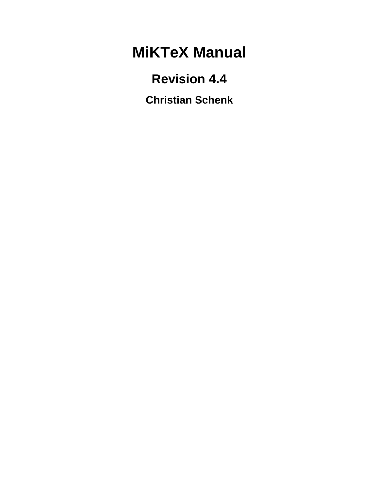# **MiKTeX Manual**

# **Revision 4.4**

**Christian Schenk**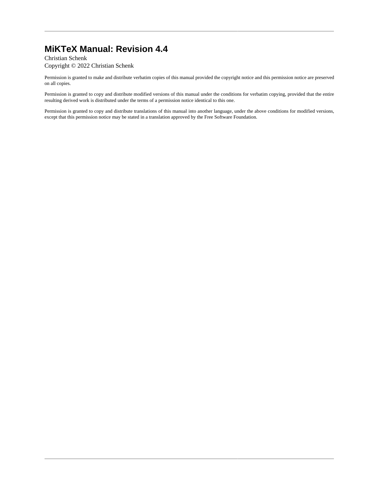#### **MiKTeX Manual: Revision 4.4**

Christian Schenk Copyright © 2022 Christian Schenk

Permission is granted to make and distribute verbatim copies of this manual provided the copyright notice and this permission notice are preserved on all copies.

Permission is granted to copy and distribute modified versions of this manual under the conditions for verbatim copying, provided that the entire resulting derived work is distributed under the terms of a permission notice identical to this one.

Permission is granted to copy and distribute translations of this manual into another language, under the above conditions for modified versions, except that this permission notice may be stated in a translation approved by the Free Software Foundation.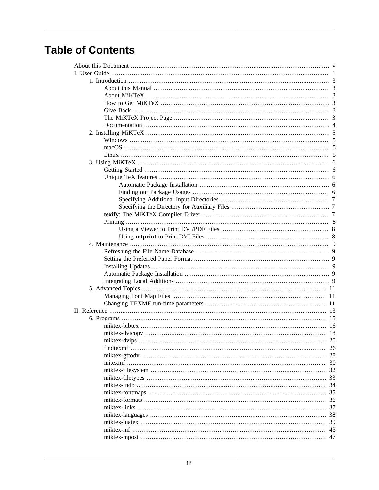### **Table of Contents**

| 20 |      |  |  |
|----|------|--|--|
|    | -26  |  |  |
|    | 28   |  |  |
|    |      |  |  |
|    | 32   |  |  |
|    |      |  |  |
|    | - 34 |  |  |
|    |      |  |  |
|    |      |  |  |
|    | - 36 |  |  |
|    |      |  |  |
|    |      |  |  |
|    |      |  |  |
|    | 43   |  |  |
|    | 47   |  |  |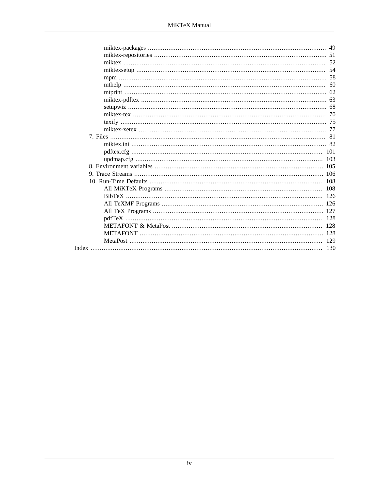| 108 |  |
|-----|--|
|     |  |
|     |  |
|     |  |
| 128 |  |
|     |  |
|     |  |
| 129 |  |
|     |  |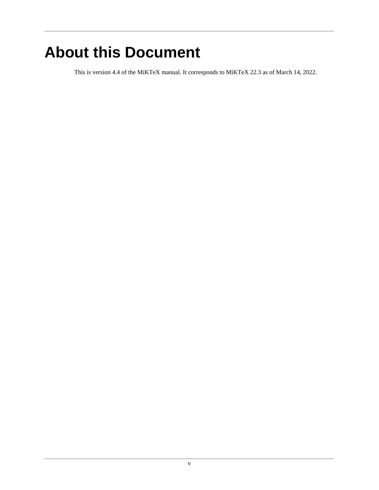# <span id="page-4-0"></span>**About this Document**

This is version 4.4 of the MiKTeX manual. It corresponds to MiKTeX 22.3 as of March 14, 2022.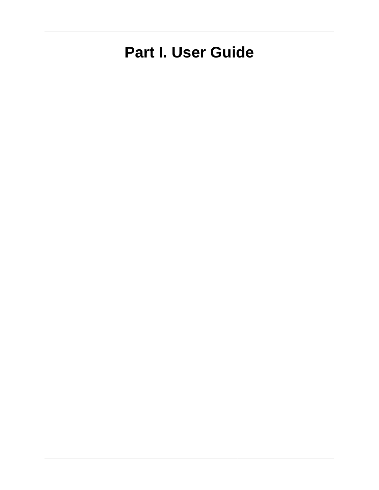# <span id="page-5-0"></span>**Part I. User Guide**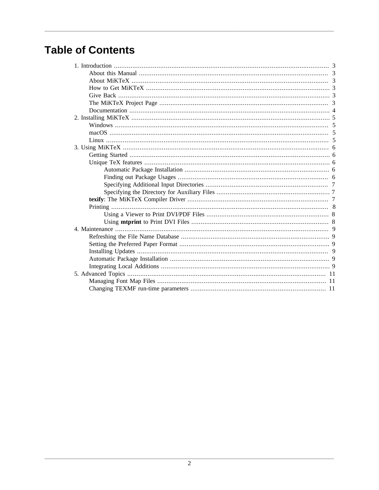### **Table of Contents**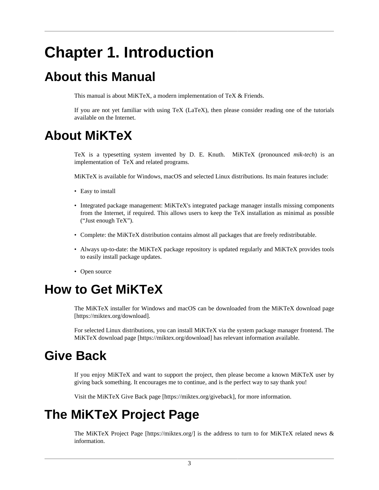# <span id="page-7-0"></span>**Chapter 1. Introduction**

### <span id="page-7-1"></span>**About this Manual**

This manual is about MiKTeX, a modern implementation of TeX & Friends.

If you are not yet familiar with using TeX (LaTeX), then please consider reading one of the tutorials available on the Internet.

### <span id="page-7-2"></span>**About MiKTeX**

TeX is a typesetting system invented by D. E. Knuth. MiKTeX (pronounced *mik-tech*) is an implementation of TeX and related programs.

MiKTeX is available for Windows, macOS and selected Linux distributions. Its main features include:

- Easy to install
- Integrated package management: MiKTeX's integrated package manager installs missing components from the Internet, if required. This allows users to keep the TeX installation as minimal as possible ("Just enough TeX").
- Complete: the MiKTeX distribution contains almost all packages that are freely redistributable.
- Always up-to-date: the MiKTeX package repository is updated regularly and MiKTeX provides tools to easily install package updates.
- Open source

### <span id="page-7-3"></span>**How to Get MiKTeX**

The MiKTeX installer for Windows and macOS can be downloaded from the [MiKTeX download page](https://miktex.org/download) [\[https://miktex.org/download\]](https://miktex.org/download).

For selected Linux distributions, you can install MiKTeX via the system package manager frontend. The [MiKTeX download page](https://miktex.org/download) [<https://miktex.org/download>] has relevant information available.

### <span id="page-7-4"></span>**Give Back**

If you enjoy MiKTeX and want to support the project, then please become a known MiKTeX user by giving back something. It encourages me to continue, and is the perfect way to say thank you!

Visit [the MiKTeX Give Back page](https://miktex.org/giveback) [[https://miktex.org/giveback\]](https://miktex.org/giveback), for more information.

### <span id="page-7-5"></span>**The MiKTeX Project Page**

The [MiKTeX Project Page](https://miktex.org/) [<https://miktex.org/>] is the address to turn to for MiKTeX related news  $\&$ information.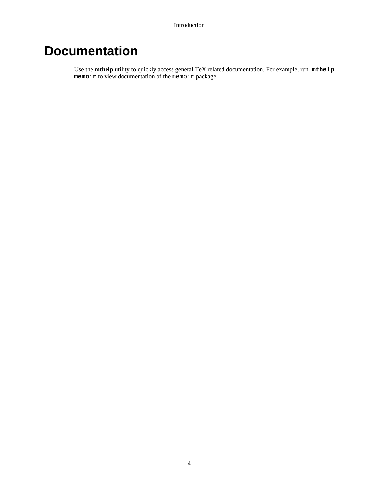### <span id="page-8-0"></span>**Documentation**

Use the **mthelp** utility to quickly access general TeX related documentation. For example, run **mthelp memoir** to view documentation of the memoir package.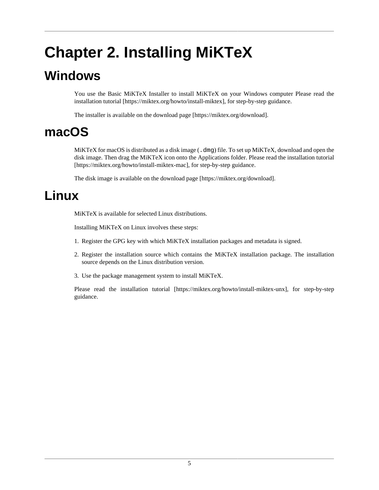# <span id="page-9-0"></span>**Chapter 2. Installing MiKTeX**

### <span id="page-9-1"></span>**Windows**

You use the Basic MiKTeX Installer to install MiKTeX on your Windows computer Please read the [installation tutorial](https://miktex.org/howto/install-miktex) [<https://miktex.org/howto/install-miktex>], for step-by-step guidance.

The installer is available on the [download page \[https://miktex.org/download](https://miktex.org/download)].

### <span id="page-9-2"></span>**macOS**

MiKTeX for macOS is distributed as a disk image  $($ . dmg) file. To set up MiKTeX, download and open the disk image. Then drag the MiKTeX icon onto the Applications folder. Please read the [installation tutorial](https://miktex.org/howto/install-miktex-mac) [\[https://miktex.org/howto/install-miktex-mac\]](https://miktex.org/howto/install-miktex-mac), for step-by-step guidance.

The disk image is available on the [download page](https://miktex.org/download) [<https://miktex.org/download>].

### <span id="page-9-3"></span>**Linux**

MiKTeX is available for selected Linux distributions.

Installing MiKTeX on Linux involves these steps:

- 1. Register the GPG key with which MiKTeX installation packages and metadata is signed.
- 2. Register the installation source which contains the MiKTeX installation package. The installation source depends on the Linux distribution version.
- 3. Use the package management system to install MiKTeX.

Please read the [installation tutorial](https://miktex.org/howto/install-miktex-unx) [<https://miktex.org/howto/install-miktex-unx>], for step-by-step guidance.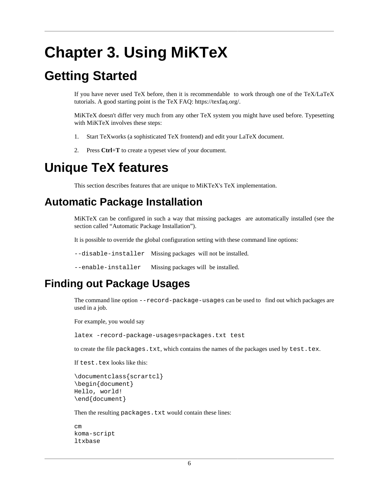# <span id="page-10-0"></span>**Chapter 3. Using MiKTeX**

### <span id="page-10-1"></span>**Getting Started**

If you have never used TeX before, then it is recommendable to work through one of the TeX/LaTeX tutorials. A good starting point is the TeX FAQ: <https://texfaq.org/>.

MiKTeX doesn't differ very much from any other TeX system you might have used before. Typesetting with MiKTeX involves these steps:

- 1. Start TeXworks (a sophisticated TeX frontend) and edit your LaTeX document.
- 2. Press **Ctrl**+**T** to create a typeset view of your document.

### <span id="page-10-2"></span>**Unique TeX features**

This section describes features that are unique to MiKTeX's TeX implementation.

#### <span id="page-10-3"></span>**Automatic Package Installation**

MiKTeX can be configured in such a way that missing packages are automatically installed (see [the](#page-13-4) [section called "Automatic Package Installation"\)](#page-13-4).

It is possible to override the global configuration setting with these command line options:

--disable-installer Missing packages will not be installed.

--enable-installer Missing packages will be installed.

#### <span id="page-10-4"></span>**Finding out Package Usages**

The command line option --record-package-usages can be used to find out which packages are used in a job.

For example, you would say

latex -record-package-usages=packages.txt test

to create the file packages.txt, which contains the names of the packages used by test.tex.

If test.tex looks like this:

```
\documentclass{scrartcl}
\begin{document}
Hello, world!
\end{document}
```
Then the resulting packages.txt would contain these lines:

```
cm
koma-script
ltxbase
```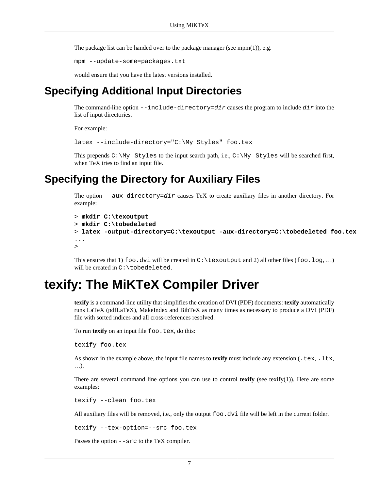The package list can be handed over to the package manager (see [mpm\(1\)](#page-62-0)), e.g.

mpm --update-some=packages.txt

would ensure that you have the latest versions installed.

#### <span id="page-11-0"></span>**Specifying Additional Input Directories**

The command-line option  $-\text{include}$ -directory=dir causes the program to include dir into the list of input directories.

For example:

latex --include-directory="C:\My Styles" foo.tex

This prepends  $C:\My \, \, \text{Styles}$  to the input search path, i.e.,  $C:\My \, \, \text{Styles}$  will be searched first, when TeX tries to find an input file.

#### <span id="page-11-1"></span>**Specifying the Directory for Auxiliary Files**

The option  $-\alpha x$ -directory=dir causes TeX to create auxiliary files in another directory. For example:

```
> mkdir C:\texoutput
> mkdir C:\tobedeleted
> latex -output-directory=C:\texoutput -aux-directory=C:\tobedeleted foo.tex
...
>
```
This ensures that 1) foo.dvi will be created in  $C:\text{lexoutput}$  and 2) all other files (foo.log, ...) will be created in  $C:\b{bolde}$  cheedeleted.

### <span id="page-11-2"></span>**texify: The MiKTeX Compiler Driver**

**texify** is a command-line utility that simplifies the creation of DVI (PDF) documents: **texify** automatically runs LaTeX (pdfLaTeX), MakeIndex and BibTeX as many times as necessary to produce a DVI (PDF) file with sorted indices and all cross-references resolved.

To run **texify** on an input file foo.tex, do this:

texify foo.tex

As shown in the example above, the input file names to **texify** must include any extension (.tex, .ltx, …).

There are several command line options you can use to control **texify** (see [texify\(1\)](#page-79-0)). Here are some examples:

texify --clean foo.tex

All auxiliary files will be removed, i.e., only the output foo.dvi file will be left in the current folder.

texify --tex-option=--src foo.tex

Passes the option --src to the TeX compiler.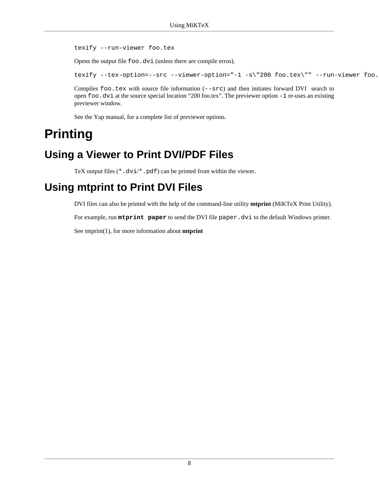texify --run-viewer foo.tex

Opens the output file foo.dvi (unless there are compile erros).

texify --tex-option=--src --viewer-option="-1 -s\"200 foo.tex\"" --run-viewer foo.

Compiles foo.tex with source file information (--src) and then initiates forward DVI search to open foo.dvi at the source special location "200 foo.tex". The previewer option -1 re-uses an existing previewer window.

See the Yap manual, for a complete list of previewer options.

### <span id="page-12-0"></span>**Printing**

#### <span id="page-12-1"></span>**Using a Viewer to Print DVI/PDF Files**

TeX output files  $(*.du/*.pdf)$  can be printed from within the viewer.

#### <span id="page-12-2"></span>**Using mtprint to Print DVI Files**

DVI files can also be printed with the help of the command-line utility **mtprint** (MiKTeX Print Utility).

For example, run **mtprint paper** to send the DVI file paper.dvi to the default Windows printer.

See [mtprint\(1\)](#page-66-0), for more information about **mtprint**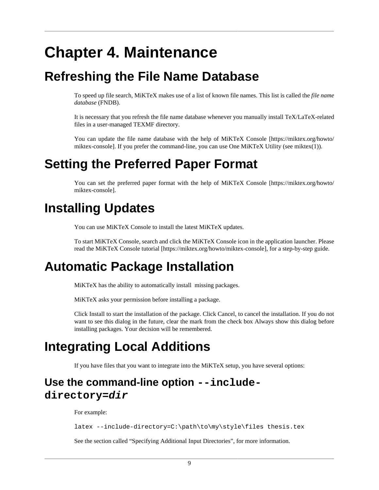## <span id="page-13-0"></span>**Chapter 4. Maintenance**

### <span id="page-13-1"></span>**Refreshing the File Name Database**

To speed up file search, MiKTeX makes use of a list of known file names. This list is called the *file name database* (FNDB).

It is necessary that you refresh the file name database whenever you manually install TeX/LaTeX-related files in a user-managed TEXMF directory.

You can update the file name database with the help of [MiKTeX Console \[https://miktex.org/howto/](https://miktex.org/howto/miktex-console) [miktex-console\]](https://miktex.org/howto/miktex-console). If you prefer the command-line, you can use One MiKTeX Utility (see [miktex\(1\)](#page-56-0)).

### <span id="page-13-2"></span>**Setting the Preferred Paper Format**

You can set the preferred paper format with the help of [MiKTeX Console \[https://miktex.org/howto/](https://miktex.org/howto/miktex-console) [miktex-console\]](https://miktex.org/howto/miktex-console).

### <span id="page-13-3"></span>**Installing Updates**

You can use MiKTeX Console to install the latest MiKTeX updates.

To start MiKTeX Console, search and click the MiKTeX Console icon in the application launcher. Please read [the MiKTeX Console tutorial](https://miktex.org/howto/miktex-console) [<https://miktex.org/howto/miktex-console>], for a step-by-step guide.

### <span id="page-13-4"></span>**Automatic Package Installation**

MiKTeX has the ability to automatically install missing packages.

MiKTeX asks your permission before installing a package.

Click Install to start the installation of the package. Click Cancel, to cancel the installation. If you do not want to see this dialog in the future, clear the mark from the check box Always show this dialog before installing packages. Your decision will be remembered.

### <span id="page-13-5"></span>**Integrating Local Additions**

If you have files that you want to integrate into the MiKTeX setup, you have several options:

#### **Use the command-line option --includedirectory=dir**

For example:

latex --include-directory=C:\path\to\my\style\files thesis.tex

See [the section called "Specifying Additional Input Directories",](#page-11-0) for more information.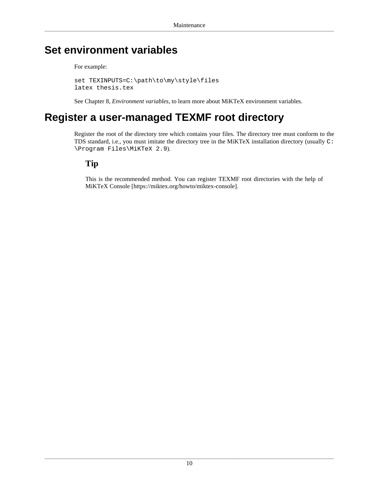#### **Set environment variables**

For example:

```
set TEXINPUTS=C:\path\to\my\style\files
latex thesis.tex
```
See Chapter 8, *[Environment variables](#page-109-0)*, to learn more about MiKTeX environment variables.

#### **Register a user-managed TEXMF root directory**

Register the root of the directory tree which contains your files. The directory tree must conform to the TDS standard, i.e., you must imitate the directory tree in the MiKTeX installation directory (usually C: \Program Files\MiKTeX 2.9).

#### **Tip**

This is the recommended method. You can register TEXMF root directories with the help of [MiKTeX Console](https://miktex.org/howto/miktex-console) [<https://miktex.org/howto/miktex-console>].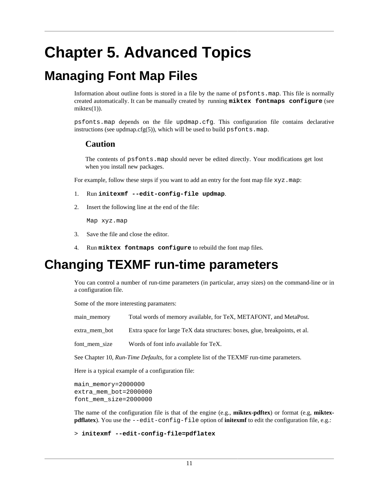# <span id="page-15-0"></span>**Chapter 5. Advanced Topics**

### <span id="page-15-1"></span>**Managing Font Map Files**

Information about outline fonts is stored in a file by the name of psfonts.map. This file is normally created automatically. It can be manually created by running **miktex fontmaps configure** (see  $miktext(1)$ ).

psfonts.map depends on the file updmap.cfg. This configuration file contains declarative instructions (see updmap.cfg $(5)$ ), which will be used to build psfonts.map.

#### **Caution**

The contents of psfonts.map should never be edited directly. Your modifications get lost when you install new packages.

For example, follow these steps if you want to add an entry for the font map file xyz.map:

```
1. Run initexmf --edit-config-file updmap.
```
2. Insert the following line at the end of the file:

Map xyz.map

- 3. Save the file and close the editor.
- 4. Run **miktex fontmaps configure** to rebuild the font map files.

### <span id="page-15-2"></span>**Changing TEXMF run-time parameters**

You can control a number of run-time parameters (in particular, array sizes) on the command-line or in a configuration file.

Some of the more interesting paramaters:

| main_memory                                                                                      | Total words of memory available, for TeX, METAFONT, and MetaPost.           |
|--------------------------------------------------------------------------------------------------|-----------------------------------------------------------------------------|
| extra mem bot                                                                                    | Extra space for large TeX data structures: boxes, glue, breakpoints, et al. |
| font mem size                                                                                    | Words of font info available for TeX.                                       |
| See Chapter 10, <i>Run-Time Defaults</i> , for a complete list of the TEXMF run-time parameters. |                                                                             |

Here is a typical example of a configuration file:

```
main_memory=2000000
extra_mem_bot=2000000
font mem size=2000000
```
The name of the configuration file is that of the engine (e.g., **miktex-pdftex**) or format (e.g, **miktexpdflatex**). You use the --edit-config-file option of **initexmf** to edit the configuration file, e.g.:

#### > **initexmf --edit-config-file=pdflatex**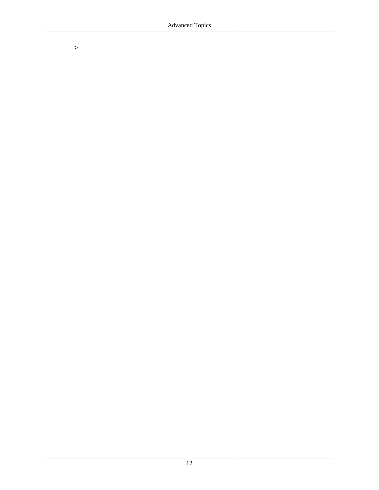>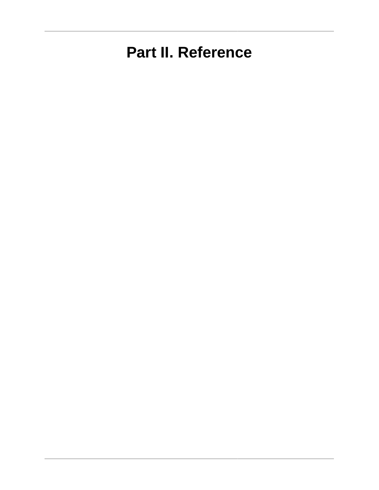# <span id="page-17-0"></span>**Part II. Reference**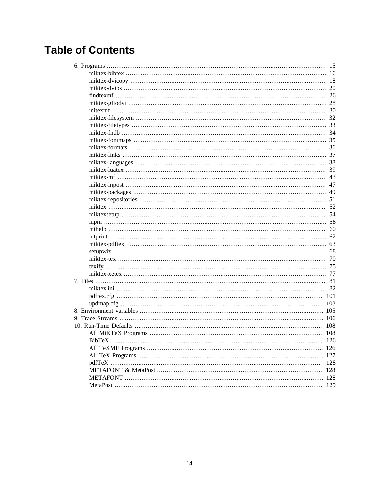### **Table of Contents**

| 15  |
|-----|
| 16  |
| 18  |
| 20  |
| 26  |
| 28  |
| 30  |
| 32  |
| 33  |
| 34  |
| 35  |
| 36  |
| 37  |
| 38  |
| 39  |
| 43  |
|     |
| 47  |
| 49  |
| 51  |
| 52  |
| 54  |
| 58  |
| 60  |
| 62  |
| 63  |
| 68  |
| 70  |
| 75  |
| 77  |
| 81  |
| 82  |
| 101 |
| 103 |
| 105 |
| 106 |
| 108 |
| 108 |
| 126 |
|     |
|     |
| 128 |
| 128 |
|     |
| 129 |
|     |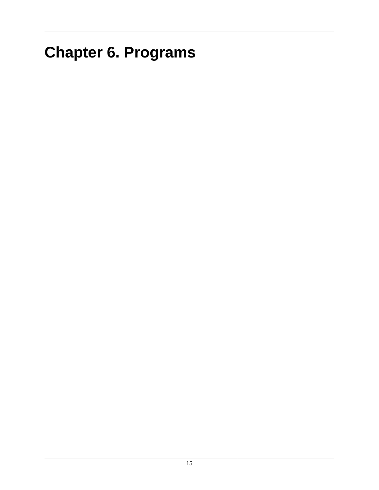# <span id="page-19-0"></span>**Chapter 6. Programs**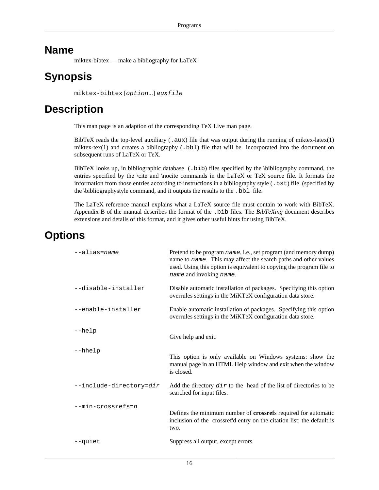#### <span id="page-20-0"></span>**Name**

miktex-bibtex — make a bibliography for LaTeX

### **Synopsis**

miktex-bibtex [option...] auxfile

#### **Description**

This man page is an adaption of the corresponding TeX Live man page.

BibTeX reads the top-level auxiliary  $( .aux)$  file that was output during the running of miktex-latex $(1)$ miktex-tex(1) and creates a bibliography  $(.bbL)$  file that will be incorporated into the document on subsequent runs of LaTeX or TeX.

BibTeX looks up, in bibliographic database (.bib) files specified by the \bibliography command, the entries specified by the \cite and \nocite commands in the LaTeX or TeX source file. It formats the information from those entries according to instructions in a bibliography style (.bst) file (specified by the \bibliographystyle command, and it outputs the results to the .bbl file.

The LaTeX reference manual explains what a LaTeX source file must contain to work with BibTeX. Appendix B of the manual describes the format of the .bib files. The *BibTeXing* document describes extensions and details of this format, and it gives other useful hints for using BibTeX.

### **Options**

| --alias=name              | Pretend to be program name, i.e., set program (and memory dump)<br>name to name. This may affect the search paths and other values<br>used. Using this option is equivalent to copying the program file to<br>name and invoking name. |
|---------------------------|---------------------------------------------------------------------------------------------------------------------------------------------------------------------------------------------------------------------------------------|
| --disable-installer       | Disable automatic installation of packages. Specifying this option<br>overrules settings in the MiKTeX configuration data store.                                                                                                      |
| --enable-installer        | Enable automatic installation of packages. Specifying this option<br>overrules settings in the MiKTeX configuration data store.                                                                                                       |
| $-\text{help}$            | Give help and exit.                                                                                                                                                                                                                   |
| --hhelp                   | This option is only available on Windows systems: show the<br>manual page in an HTML Help window and exit when the window<br>is closed.                                                                                               |
| $--include-directory=dir$ | Add the directory $\text{dir}$ to the head of the list of directories to be<br>searched for input files.                                                                                                                              |
| --min-crossrefs=n         | Defines the minimum number of crossrefs required for automatic<br>inclusion of the crossref'd entry on the citation list; the default is<br>two.                                                                                      |
| --quiet                   | Suppress all output, except errors.                                                                                                                                                                                                   |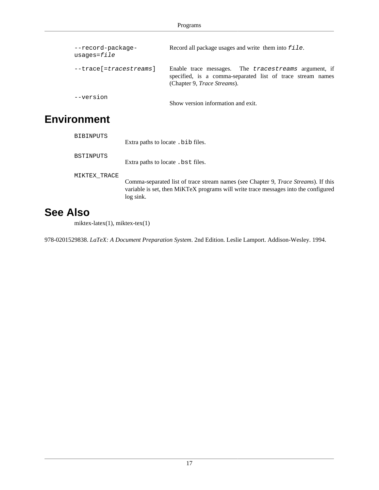| --record-package-<br>usages=file | Record all package usages and write them into file.                                                                                                       |
|----------------------------------|-----------------------------------------------------------------------------------------------------------------------------------------------------------|
| --trace[=tracestreams]           | Enable trace messages. The tracestreams argument, if<br>specified, is a comma-separated list of trace stream names<br>(Chapter 9, <i>Trace Streams</i> ). |
| $-$ -version                     | Show version information and exit.                                                                                                                        |

#### **Environment**

| BIBINPUTS    | Extra paths to locate . bib files.                                                                                                                                                             |
|--------------|------------------------------------------------------------------------------------------------------------------------------------------------------------------------------------------------|
| BSTINPUTS    | Extra paths to locate . bst files.                                                                                                                                                             |
| MIKTEX TRACE | Comma-separated list of trace stream names (see Chapter 9, <i>Trace Streams</i> ). If this<br>variable is set, then MiKTeX programs will write trace messages into the configured<br>log sink. |

#### **See Also**

miktex-latex(1), miktex-tex(1)

978-0201529838. *LaTeX: A Document Preparation System*. 2nd Edition. Leslie Lamport. Addison-Wesley. 1994.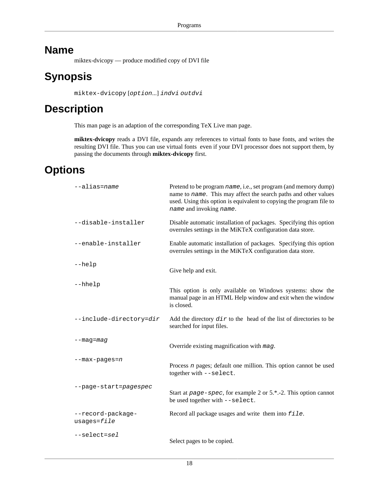#### <span id="page-22-0"></span>**Name**

miktex-dvicopy — produce modified copy of DVI file

### **Synopsis**

miktex-dvicopy [option...] indvi outdvi

#### **Description**

This man page is an adaption of the corresponding TeX Live man page.

**miktex-dvicopy** reads a DVI file, expands any references to virtual fonts to base fonts, and writes the resulting DVI file. Thus you can use virtual fonts even if your DVI processor does not support them, by passing the documents through **miktex-dvicopy** first.

#### **Options**

| --alias=name                         | Pretend to be program name, i.e., set program (and memory dump)<br>name to name. This may affect the search paths and other values<br>used. Using this option is equivalent to copying the program file to<br>name and invoking name. |
|--------------------------------------|---------------------------------------------------------------------------------------------------------------------------------------------------------------------------------------------------------------------------------------|
| --disable-installer                  | Disable automatic installation of packages. Specifying this option<br>overrules settings in the MiKTeX configuration data store.                                                                                                      |
| --enable-installer                   | Enable automatic installation of packages. Specifying this option<br>overrules settings in the MiKTeX configuration data store.                                                                                                       |
| $-\text{help}$                       | Give help and exit.                                                                                                                                                                                                                   |
| --hhelp                              | This option is only available on Windows systems: show the<br>manual page in an HTML Help window and exit when the window<br>is closed.                                                                                               |
| --include-directory=dir              | Add the directory $dir$ to the head of the list of directories to be<br>searched for input files.                                                                                                                                     |
| $-$ mag=mag                          | Override existing magnification with mag.                                                                                                                                                                                             |
| $--max-pages=n$                      | Process <i>n</i> pages; default one million. This option cannot be used<br>together with --select.                                                                                                                                    |
| --page-start=pagespec                | Start at $page - spec$ , for example 2 or 5.*.-2. This option cannot<br>be used together with --select.                                                                                                                               |
| --record-package-<br>$usages = file$ | Record all package usages and write them into file.                                                                                                                                                                                   |
| $--select=sel$                       | Select pages to be copied.                                                                                                                                                                                                            |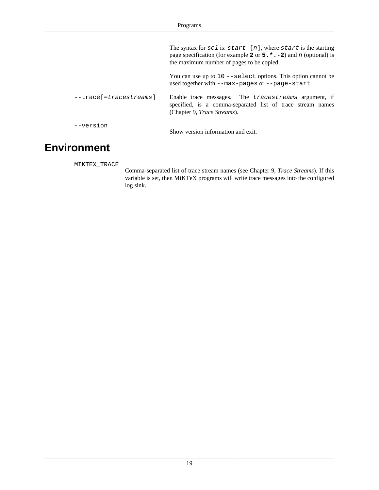|                        | The syntax for sel is: start $[n]$ , where start is the starting<br>page specification (for example 2 or $5.*.-2$ ) and n (optional) is<br>the maximum number of pages to be copied. |
|------------------------|--------------------------------------------------------------------------------------------------------------------------------------------------------------------------------------|
|                        | You can use up to $10$ --select options. This option cannot be<br>used together with --max-pages or --page-start.                                                                    |
| --trace[=tracestreams] | Enable trace messages. The tracestreams argument, if<br>specified, is a comma-separated list of trace stream names<br>(Chapter 9, <i>Trace Streams</i> ).                            |
| --version              | Show version information and exit.                                                                                                                                                   |

#### **Environment**

#### MIKTEX\_TRACE

Comma-separated list of trace stream names (see Chapter 9, *[Trace Streams](#page-110-0)*). If this variable is set, then MiKTeX programs will write trace messages into the configured log sink.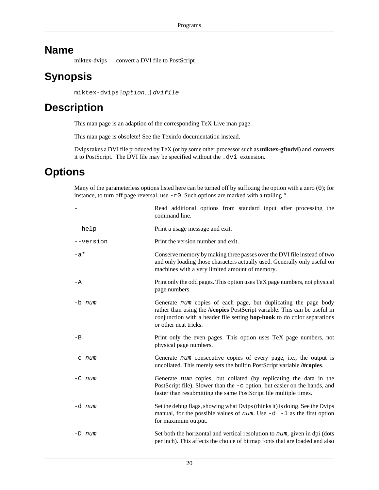#### <span id="page-24-0"></span>**Name**

miktex-dvips — convert a DVI file to PostScript

### **Synopsis**

miktex-dvips [option...] dvifile

#### **Description**

This man page is an adaption of the corresponding TeX Live man page.

This man page is obsolete! See the Texinfo documentation instead.

Dvips takes a DVI file produced by TeX (or by some other processor such as **miktex-gftodvi**) and converts it to PostScript. The DVI file may be specified without the .dvi extension.

#### **Options**

Many of the parameterless options listed here can be turned off by suffixing the option with a zero (0); for instance, to turn off page reversal, use  $-r0$ . Such options are marked with a trailing  $*$ .

|                | Read additional options from standard input after processing the<br>command line.                                                                                                                                                                       |
|----------------|---------------------------------------------------------------------------------------------------------------------------------------------------------------------------------------------------------------------------------------------------------|
| $-\text{help}$ | Print a usage message and exit.                                                                                                                                                                                                                         |
| --version      | Print the version number and exit.                                                                                                                                                                                                                      |
| $-a*$          | Conserve memory by making three passes over the DVI file instead of two<br>and only loading those characters actually used. Generally only useful on<br>machines with a very limited amount of memory.                                                  |
| $-A$           | Print only the odd pages. This option uses TeX page numbers, not physical<br>page numbers.                                                                                                                                                              |
| -b num         | Generate num copies of each page, but duplicating the page body<br>rather than using the /#copies PostScript variable. This can be useful in<br>conjunction with a header file setting <b>bop-hook</b> to do color separations<br>or other neat tricks. |
| -в             | Print only the even pages. This option uses TeX page numbers, not<br>physical page numbers.                                                                                                                                                             |
| $-c$ num       | Generate num consecutive copies of every page, i.e., the output is<br>uncollated. This merely sets the builtin PostScript variable /#copies.                                                                                                            |
| $-C$ num       | Generate num copies, but collated (by replicating the data in the<br>PostScript file). Slower than the -c option, but easier on the hands, and<br>faster than resubmitting the same PostScript file multiple times.                                     |
| -d num         | Set the debug flags, showing what Dvips (thinks it) is doing. See the Dvips<br>manual, for the possible values of num. Use $-d$ -1 as the first option<br>for maximum output.                                                                           |
| -D num         | Set both the horizontal and vertical resolution to num, given in dpi (dots<br>per inch). This affects the choice of bitmap fonts that are loaded and also                                                                                               |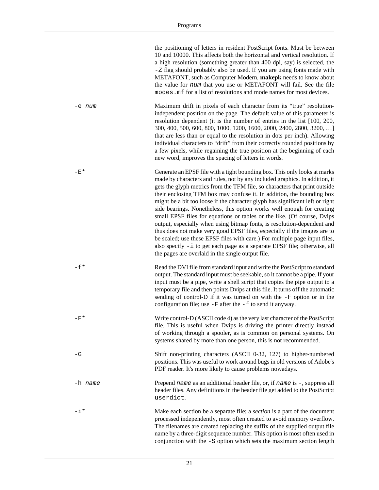the positioning of letters in resident PostScript fonts. Must be between 10 and 10000. This affects both the horizontal and vertical resolution. If a high resolution (something greater than 400 dpi, say) is selected, the -Z flag should probably also be used. If you are using fonts made with METAFONT, such as Computer Modern, **makepk** needs to know about the value for num that you use or METAFONT will fail. See the file modes.mf for a list of resolutions and mode names for most devices.

-e num Maximum drift in pixels of each character from its "true" resolutionindependent position on the page. The default value of this parameter is resolution dependent (it is the number of entries in the list [100, 200, 300, 400, 500, 600, 800, 1000, 1200, 1600, 2000, 2400, 2800, 3200, …] that are less than or equal to the resolution in dots per inch). Allowing individual characters to "drift" from their correctly rounded positions by a few pixels, while regaining the true position at the beginning of each new word, improves the spacing of letters in words.

-E\* Generate an EPSF file with a tight bounding box. This only looks at marks made by characters and rules, not by any included graphics. In addition, it gets the glyph metrics from the TFM file, so characters that print outside their enclosing TFM box may confuse it. In addition, the bounding box might be a bit too loose if the character glyph has significant left or right side bearings. Nonetheless, this option works well enough for creating small EPSF files for equations or tables or the like. (Of course, Dvips output, especially when using bitmap fonts, is resolution-dependent and thus does not make very good EPSF files, especially if the images are to be scaled; use these EPSF files with care.) For multiple page input files, also specify -i to get each page as a separate EPSF file; otherwise, all the pages are overlaid in the single output file.

-f\* Read the DVI file from standard input and write the PostScript to standard output. The standard input must be seekable, so it cannot be a pipe. If your input must be a pipe, write a shell script that copies the pipe output to a temporary file and then points Dvips at this file. It turns off the automatic sending of control-D if it was turned on with the -F option or in the configuration file; use  $-F$  after the  $-F$  to send it anyway.

- -F\* Write control-D (ASCII code 4) as the very last character of the PostScript file. This is useful when Dvips is driving the printer directly instead of working through a spooler, as is common on personal systems. On systems shared by more than one person, this is not recommended.
- -G Shift non-printing characters (ASCII 0-32, 127) to higher-numbered positions. This was useful to work around bugs in old versions of Adobe's PDF reader. It's more likely to cause problems nowadays.
- -h name Prepend name as an additional header file, or, if name is -, suppress all header files. Any definitions in the header file get added to the PostScript userdict.
- -i\* Make each section be a separate file; a *section* is a part of the document processed independently, most often created to avoid memory overflow. The filenames are created replacing the suffix of the supplied output file name by a three-digit sequence number. This option is most often used in conjunction with the -S option which sets the maximum section length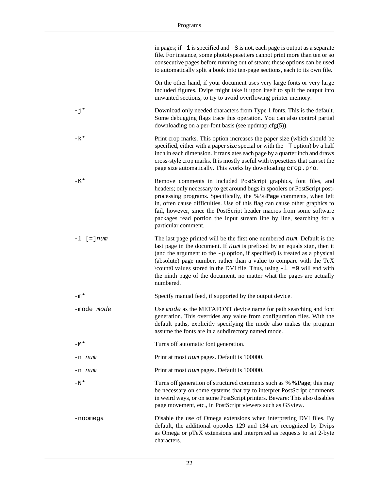|                 | in pages; if $-i$ is specified and $-S$ is not, each page is output as a separate<br>file. For instance, some phototypesetters cannot print more than ten or so<br>consecutive pages before running out of steam; these options can be used<br>to automatically split a book into ten-page sections, each to its own file.                                                                                                                                                  |
|-----------------|-----------------------------------------------------------------------------------------------------------------------------------------------------------------------------------------------------------------------------------------------------------------------------------------------------------------------------------------------------------------------------------------------------------------------------------------------------------------------------|
|                 | On the other hand, if your document uses very large fonts or very large<br>included figures, Dvips might take it upon itself to split the output into<br>unwanted sections, to try to avoid overflowing printer memory.                                                                                                                                                                                                                                                     |
| $-\mathbf{j}$ * | Download only needed characters from Type 1 fonts. This is the default.<br>Some debugging flags trace this operation. You can also control partial<br>downloading on a per-font basis (see updmap.cfg $(5)$ ).                                                                                                                                                                                                                                                              |
| $-k^*$          | Print crop marks. This option increases the paper size (which should be<br>specified, either with a paper size special or with the $-T$ option) by a half<br>inch in each dimension. It translates each page by a quarter inch and draws<br>cross-style crop marks. It is mostly useful with typesetters that can set the<br>page size automatically. This works by downloading crop.pro.                                                                                   |
| $-K^{\star}$    | Remove comments in included PostScript graphics, font files, and<br>headers; only necessary to get around bugs in spoolers or PostScript post-<br>processing programs. Specifically, the %%Page comments, when left<br>in, often cause difficulties. Use of this flag can cause other graphics to<br>fail, however, since the PostScript header macros from some software<br>packages read portion the input stream line by line, searching for a<br>particular comment.    |
| $-1$ [=] $num$  | The last page printed will be the first one numbered num. Default is the<br>last page in the document. If num is prefixed by an equals sign, then it<br>(and the argument to the -p option, if specified) is treated as a physical<br>(absolute) page number, rather than a value to compare with the TeX<br>\count0 values stored in the DVI file. Thus, using $-1$ =9 will end with<br>the ninth page of the document, no matter what the pages are actually<br>numbered. |
| $-m*$           | Specify manual feed, if supported by the output device.                                                                                                                                                                                                                                                                                                                                                                                                                     |
| -mode mode      | Use mode as the METAFONT device name for path searching and font<br>generation. This overrides any value from configuration files. With the<br>default paths, explicitly specifying the mode also makes the program<br>assume the fonts are in a subdirectory named mode.                                                                                                                                                                                                   |
| $-M^{\star}$    | Turns off automatic font generation.                                                                                                                                                                                                                                                                                                                                                                                                                                        |
| -n <i>num</i>   | Print at most num pages. Default is 100000.                                                                                                                                                                                                                                                                                                                                                                                                                                 |
| -n <i>num</i>   | Print at most num pages. Default is 100000.                                                                                                                                                                                                                                                                                                                                                                                                                                 |
| $-N^{\star}$    | Turns off generation of structured comments such as %%Page; this may<br>be necessary on some systems that try to interpret PostScript comments<br>in weird ways, or on some PostScript printers. Beware: This also disables<br>page movement, etc., in PostScript viewers such as GSview.                                                                                                                                                                                   |
| -noomega        | Disable the use of Omega extensions when interpreting DVI files. By<br>default, the additional opcodes 129 and 134 are recognized by Dvips<br>as Omega or pTeX extensions and interpreted as requests to set 2-byte<br>characters.                                                                                                                                                                                                                                          |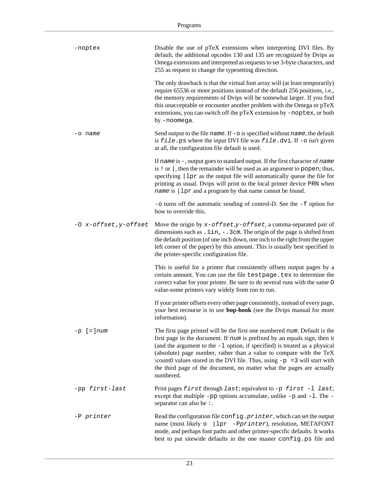| -noptex               | Disable the use of pTeX extensions when interpreting DVI files. By<br>default, the additional opcodes 130 and 135 are recognized by Dvips as<br>Omega extensions and interpreted as requests to set 3-byte characters, and<br>255 as request to change the typesetting direction.                                                                                                                                                                                                  |
|-----------------------|------------------------------------------------------------------------------------------------------------------------------------------------------------------------------------------------------------------------------------------------------------------------------------------------------------------------------------------------------------------------------------------------------------------------------------------------------------------------------------|
|                       | The only drawback is that the virtual font array will (at least temporarily)<br>require 65536 or more positions instead of the default 256 positions, i.e.,<br>the memory requirements of Dvips will be somewhat larger. If you find<br>this unacceptable or encounter another problem with the Omega or pTeX<br>extensions, you can switch off the pTeX extension by -noptex, or both<br>by -noomega.                                                                             |
| -o name               | Send output to the file name. If $-\circ$ is specified without name, the default<br>is $file$ . ps where the input DVI file was $file$ . $dvi$ . If -o isn't given<br>at all, the configuration file default is used.                                                                                                                                                                                                                                                              |
|                       | If name is $-$ , output goes to standard output. If the first character of name<br>is $\vert$ or $\vert$ , then the remainder will be used as an argument to popen; thus,<br>specifying   1pr as the output file will automatically queue the file for<br>printing as usual. Dvips will print to the local printer device PRN when<br>name is   1pr and a program by that name cannot be found.                                                                                    |
|                       | $-$ o turns off the automatic sending of control-D. See the $-$ f option for<br>how to override this.                                                                                                                                                                                                                                                                                                                                                                              |
| -0 x-offset, y-offset | Move the origin by $x$ -offset, $y$ -offset, a comma-separated pair of<br>dimensions such as $.1$ in $,-.3$ cm. The origin of the page is shifted from<br>the default position (of one inch down, one inch to the right from the upper<br>left corner of the paper) by this amount. This is usually best specified in<br>the printer-specific configuration file.                                                                                                                  |
|                       | This is useful for a printer that consistently offsets output pages by a<br>certain amount. You can use the file testpage. tex to determine the<br>correct value for your printer. Be sure to do several runs with the same O<br>value-some printers vary widely from run to run.                                                                                                                                                                                                  |
|                       | If your printer offsets every other page consistently, instead of every page,<br>your best recourse is to use <b>bop-hook</b> (see the Dvips manual for more<br>information).                                                                                                                                                                                                                                                                                                      |
| $-p$ [=] $num$        | The first page printed will be the first one numbered num. Default is the<br>first page in the document. If num is prefixed by an equals sign, then it<br>(and the argument to the $-1$ option, if specified) is treated as a physical<br>(absolute) page number, rather than a value to compare with the TeX<br>\count0 values stored in the DVI file. Thus, using $-p = 3$ will start with<br>the third page of the document, no matter what the pages are actually<br>numbered. |
| -pp first-last        | Print pages first through last; equivalent to -p first -l last,<br>except that multiple -pp options accumulate, unlike -p and $-1$ . The -<br>separator can also be :.                                                                                                                                                                                                                                                                                                             |
| -P printer            | Read the configuration file config.printer, which can set the output<br>name (most likely o   1pr -Pprinter), resolution, METAFONT<br>mode, and perhaps font paths and other printer-specific defaults. It works<br>best to put sitewide defaults in the one master config.ps file and                                                                                                                                                                                             |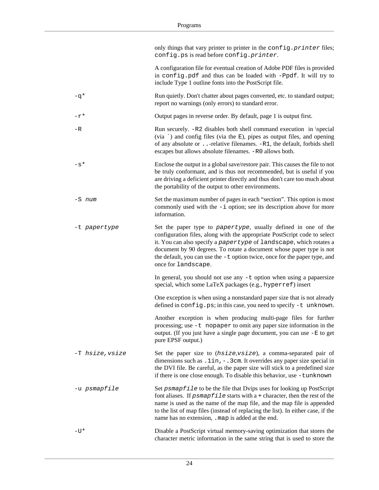| only things that vary printer to printer in the config. printer files; |
|------------------------------------------------------------------------|
| config.ps is read before config.printer.                               |
|                                                                        |

A configuration file for eventual creation of Adobe PDF files is provided in config.pdf and thus can be loaded with -Ppdf. It will try to include Type 1 outline fonts into the PostScript file.

- $-q^*$  Run quietly. Don't chatter about pages converted, etc. to standard output; report no warnings (only errors) to standard error.
- -r\* Output pages in reverse order. By default, page 1 is output first.
- -R Run securely. -R2 disables both shell command execution in \special (via `) and config files (via the E), pipes as output files, and opening of any absolute or ..-relative filenames. -R1, the default, forbids shell escapes but allows absolute filenames. -R0 allows both.
- -s\* Enclose the output in a global save/restore pair. This causes the file to not be truly conformant, and is thus not recommended, but is useful if you are driving a deficient printer directly and thus don't care too much about the portability of the output to other environments.
- -S num Set the maximum number of pages in each "section". This option is most commonly used with the -i option; see its description above for more information.
- -t papertype Set the paper type to papertype, usually defined in one of the configuration files, along with the appropriate PostScript code to select it. You can also specify a papertype of landscape, which rotates a document by 90 degrees. To rotate a document whose paper type is not the default, you can use the -t option twice, once for the paper type, and once for landscape.

In general, you should not use any  $-t$  option when using a papaersize special, which some LaTeX packages (e.g., hyperref) insert

One exception is when using a nonstandard paper size that is not already defined in config.ps; in this case, you need to specify -t unknown.

Another exception is when producing multi-page files for further processing; use -t nopaper to omit any paper size information in the output. (If you just have a single page document, you can use -E to get pure EPSF output.)

- -T hsize,vsize Set the paper size to (hsize,vsize), a comma-separated pair of dimensions such as . 1in, - . 3cm. It overrides any paper size special in the DVI file. Be careful, as the paper size will stick to a predefined size if there is one close enough. To disable this behavior, use -tunknown
- $-u$  psmapfile Set psmapfile to be the file that Dvips uses for looking up PostScript font aliases. If  $psmapfile$  starts with a + character, then the rest of the name is used as the name of the map file, and the map file is appended to the list of map files (instead of replacing the list). In either case, if the name has no extension, .map is added at the end.
- -U\* Disable a PostScript virtual memory-saving optimization that stores the character metric information in the same string that is used to store the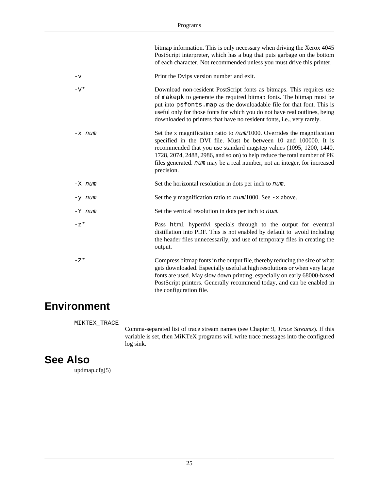|           | bitmap information. This is only necessary when driving the Xerox 4045<br>PostScript interpreter, which has a bug that puts garbage on the bottom<br>of each character. Not recommended unless you must drive this printer.                                                                                                                                                               |
|-----------|-------------------------------------------------------------------------------------------------------------------------------------------------------------------------------------------------------------------------------------------------------------------------------------------------------------------------------------------------------------------------------------------|
| $-\nabla$ | Print the Dvips version number and exit.                                                                                                                                                                                                                                                                                                                                                  |
| $-V^*$    | Download non-resident PostScript fonts as bitmaps. This requires use<br>of makepk to generate the required bitmap fonts. The bitmap must be<br>put into psfonts. map as the downloadable file for that font. This is<br>useful only for those fonts for which you do not have real outlines, being<br>downloaded to printers that have no resident fonts, i.e., very rarely.              |
| -x num    | Set the x magnification ratio to $num/1000$ . Overrides the magnification<br>specified in the DVI file. Must be between 10 and 100000. It is<br>recommended that you use standard magstep values (1095, 1200, 1440,<br>1728, 2074, 2488, 2986, and so on) to help reduce the total number of PK<br>files generated. num may be a real number, not an integer, for increased<br>precision. |
| -X num    | Set the horizontal resolution in dots per inch to num.                                                                                                                                                                                                                                                                                                                                    |
| -y num    | Set the y magnification ratio to $num/1000$ . See $-x$ above.                                                                                                                                                                                                                                                                                                                             |
| -Y num    | Set the vertical resolution in dots per inch to num.                                                                                                                                                                                                                                                                                                                                      |
| $-z^*$    | Pass html hyperdvi specials through to the output for eventual<br>distillation into PDF. This is not enabled by default to avoid including<br>the header files unnecessarily, and use of temporary files in creating the<br>output.                                                                                                                                                       |
| $-Z*$     | Compress bitmap fonts in the output file, thereby reducing the size of what<br>gets downloaded. Especially useful at high resolutions or when very large<br>fonts are used. May slow down printing, especially on early 68000-based<br>PostScript printers. Generally recommend today, and can be enabled in<br>the configuration file.                                                   |

#### **Environment**

MIKTEX\_TRACE

Comma-separated list of trace stream names (see Chapter 9, *[Trace Streams](#page-110-0)*). If this variable is set, then MiKTeX programs will write trace messages into the configured log sink.

#### **See Also**

updmap.cfg(5)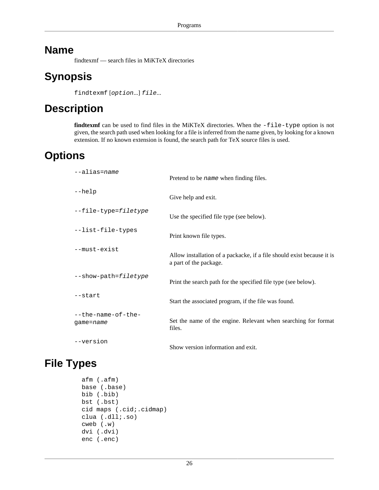#### <span id="page-30-0"></span>**Name**

findtexmf — search files in MiKTeX directories

### **Synopsis**

findtexmf [option...] file...

### **Description**

**findtexmf** can be used to find files in the MiKTeX directories. When the  $-file-type$  option is not given, the search path used when looking for a file is inferred from the name given, by looking for a known extension. If no known extension is found, the search path for TeX source files is used.

### **Options**

| --alias=name                    | Pretend to be <i>name</i> when finding files.                                                    |
|---------------------------------|--------------------------------------------------------------------------------------------------|
| --help                          | Give help and exit.                                                                              |
| --file-type=filetype            | Use the specified file type (see below).                                                         |
| --list-file-types               | Print known file types.                                                                          |
| --must-exist                    | Allow installation of a packacke, if a file should exist because it is<br>a part of the package. |
| --show-path=filetype            | Print the search path for the specified file type (see below).                                   |
| --start                         | Start the associated program, if the file was found.                                             |
| --the-name-of-the-<br>qame=name | Set the name of the engine. Relevant when searching for format<br>files.                         |
| --version                       | Show version information and exit.                                                               |

### **File Types**

```
 afm (.afm)
 base (.base)
 bib (.bib)
 bst (.bst)
cid maps (.cid;.cidmap)
 clua (.dll;.so)
 cweb (.w)
 dvi (.dvi)
 enc (.enc)
```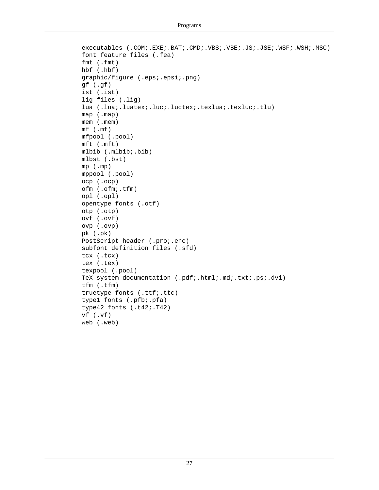```
 executables (.COM;.EXE;.BAT;.CMD;.VBS;.VBE;.JS;.JSE;.WSF;.WSH;.MSC)
 font feature files (.fea)
 fmt (.fmt)
 hbf (.hbf)
 graphic/figure (.eps;.epsi;.png)
 gf (.gf)
 ist (.ist)
 lig files (.lig)
lua (.lua;.luatex;.luc;.luctex;.texlua;.texluc;.tlu)
 map (.map)
 mem (.mem)
 mf (.mf)
 mfpool (.pool)
 mft (.mft)
 mlbib (.mlbib;.bib)
 mlbst (.bst)
 mp (.mp)
 mppool (.pool)
 ocp (.ocp)
 ofm (.ofm;.tfm)
 opl (.opl)
 opentype fonts (.otf)
 otp (.otp)
 ovf (.ovf)
 ovp (.ovp)
 pk (.pk)
PostScript header (.pro;.enc)
 subfont definition files (.sfd)
 tcx (.tcx)
 tex (.tex)
 texpool (.pool)
 TeX system documentation (.pdf;.html;.md;.txt;.ps;.dvi)
 tfm (.tfm)
 truetype fonts (.ttf;.ttc)
 type1 fonts (.pfb;.pfa)
 type42 fonts (.t42;.T42)
 vf (.vf)
 web (.web)
```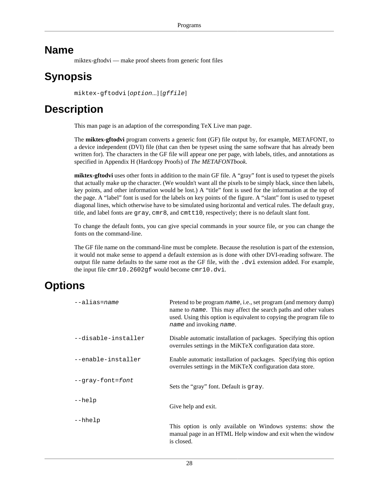#### <span id="page-32-0"></span>**Name**

miktex-gftodvi — make proof sheets from generic font files

### **Synopsis**

miktex-gftodvi [option...] [gffile]

#### **Description**

This man page is an adaption of the corresponding TeX Live man page.

The **miktex-gftodvi** program converts a generic font (GF) file output by, for example, METAFONT, to a device independent (DVI) file (that can then be typeset using the same software that has already been written for). The characters in the GF file will appear one per page, with labels, titles, and annotations as specified in Appendix H (Hardcopy Proofs) of *The METAFONTbook*.

**miktex-gftodvi** uses other fonts in addition to the main GF file. A "gray" font is used to typeset the pixels that actually make up the character. (We wouldn't want all the pixels to be simply black, since then labels, key points, and other information would be lost.) A "title" font is used for the information at the top of the page. A "label" font is used for the labels on key points of the figure. A "slant" font is used to typeset diagonal lines, which otherwise have to be simulated using horizontal and vertical rules. The default gray, title, and label fonts are gray, cmr8, and cmtt10, respectively; there is no default slant font.

To change the default fonts, you can give special commands in your source file, or you can change the fonts on the command-line.

The GF file name on the command-line must be complete. Because the resolution is part of the extension, it would not make sense to append a default extension as is done with other DVI-reading software. The output file name defaults to the same root as the GF file, with the .dvi extension added. For example, the input file cmr10.2602gf would become cmr10.dvi.

#### **Options**

| --alias=name        | Pretend to be program name, i.e., set program (and memory dump)<br>name to name. This may affect the search paths and other values<br>used. Using this option is equivalent to copying the program file to<br>name and invoking name. |
|---------------------|---------------------------------------------------------------------------------------------------------------------------------------------------------------------------------------------------------------------------------------|
| --disable-installer | Disable automatic installation of packages. Specifying this option<br>overrules settings in the MiKTeX configuration data store.                                                                                                      |
| --enable-installer  | Enable automatic installation of packages. Specifying this option<br>overrules settings in the MiKTeX configuration data store.                                                                                                       |
| --gray-font=font    | Sets the "gray" font. Default is gray.                                                                                                                                                                                                |
| $-\text{help}$      | Give help and exit.                                                                                                                                                                                                                   |
| --hhelp             | This option is only available on Windows systems: show the<br>manual page in an HTML Help window and exit when the window<br>is closed.                                                                                               |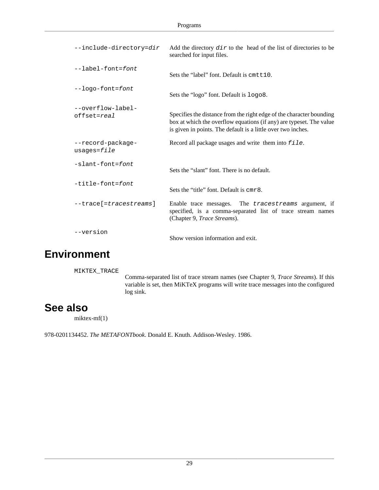| --include-directory=dir              | Add the directory $\text{dir}$ to the head of the list of directories to be<br>searched for input files.                                                                                                    |
|--------------------------------------|-------------------------------------------------------------------------------------------------------------------------------------------------------------------------------------------------------------|
| --label-font=font                    | Sets the "label" font. Default is cmtt10.                                                                                                                                                                   |
| $--logo$ -font=font                  | Sets the "logo" font. Default is logo8.                                                                                                                                                                     |
| --overflow-label-<br>$offset = real$ | Specifies the distance from the right edge of the character bounding<br>box at which the overflow equations (if any) are typeset. The value<br>is given in points. The default is a little over two inches. |
| --record-package-<br>$usages = file$ | Record all package usages and write them into $f$ i $l$ e.                                                                                                                                                  |
| $-s$ lant-font=font                  | Sets the "slant" font. There is no default.                                                                                                                                                                 |
| -title-font=font                     | Sets the "title" font. Default is cmr8.                                                                                                                                                                     |
| --trace[=tracestreams]               | Enable trace messages. The tracestreams argument, if<br>specified, is a comma-separated list of trace stream names<br>(Chapter 9, <i>Trace Streams</i> ).                                                   |
| --version                            | Show version information and exit.                                                                                                                                                                          |

#### **Environment**

```
MIKTEX_TRACE
```
Comma-separated list of trace stream names (see Chapter 9, *[Trace Streams](#page-110-0)*). If this variable is set, then MiKTeX programs will write trace messages into the configured log sink.

#### **See also**

miktex-mf(1)

978-0201134452. *The METAFONTbook*. Donald E. Knuth. Addison-Wesley. 1986.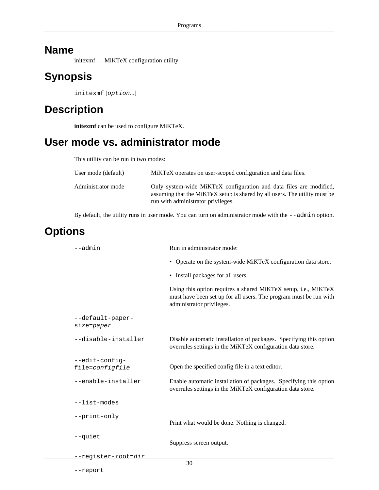#### <span id="page-34-0"></span>**Name**

initexmf — MiKTeX configuration utility

#### **Synopsis**

initexmf [option...]

#### **Description**

**initexmf** can be used to configure MiKTeX.

#### **User mode vs. administrator mode**

This utility can be run in two modes:

| User mode (default) | MikTeX operates on user-scoped configuration and data files.                                                                                                                           |
|---------------------|----------------------------------------------------------------------------------------------------------------------------------------------------------------------------------------|
| Administrator mode  | Only system-wide MiKTeX configuration and data files are modified,<br>assuming that the MiKTeX setup is shared by all users. The utility must be<br>run with administrator privileges. |

By default, the utility runs in user mode. You can turn on administrator mode with the --admin option.

#### **Options**

| --admin                           | Run in administrator mode:                                                                                                                                       |
|-----------------------------------|------------------------------------------------------------------------------------------------------------------------------------------------------------------|
|                                   | • Operate on the system-wide MiKTeX configuration data store.                                                                                                    |
|                                   | • Install packages for all users.                                                                                                                                |
|                                   | Using this option requires a shared MiKTeX setup, i.e., MiKTeX<br>must have been set up for all users. The program must be run with<br>administrator privileges. |
| --default-paper-<br>size=paper    |                                                                                                                                                                  |
| --disable-installer               | Disable automatic installation of packages. Specifying this option<br>overrules settings in the MiKTeX configuration data store.                                 |
| --edit-config-<br>file=configfile | Open the specified config file in a text editor.                                                                                                                 |
| --enable-installer                | Enable automatic installation of packages. Specifying this option<br>overrules settings in the MiKTeX configuration data store.                                  |
| $--list$ -modes                   |                                                                                                                                                                  |
| --print-only                      | Print what would be done. Nothing is changed.                                                                                                                    |
| --quiet                           | Suppress screen output.                                                                                                                                          |
| <u>--register-root=dir</u>        | 30                                                                                                                                                               |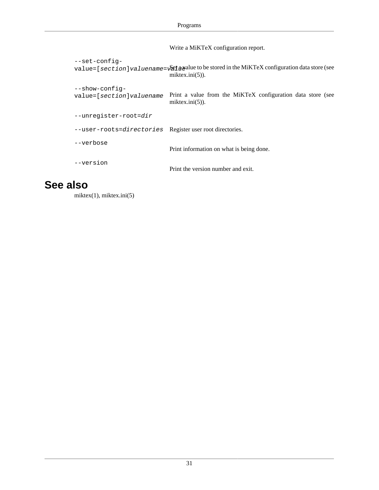Write a MiKTeX configuration report.

```
--set-config-
value=[section]valuename=v\mathcal{L}ta a value to be stored in the MiKTeX configuration data store (see
                                   miktex.ini(5)).
--show-config-<br>value=[section]valuename
                                   Print a value from the MiKTeX configuration data store (see
                                   miktex.ini(5)).
--unregister-root=dir
--user-roots=directories Register user root directories.
--verbose
                                   Print information on what is being done.
--version
                                   Print the version number and exit.
```
#### **See also**

miktex(1), miktex.ini(5)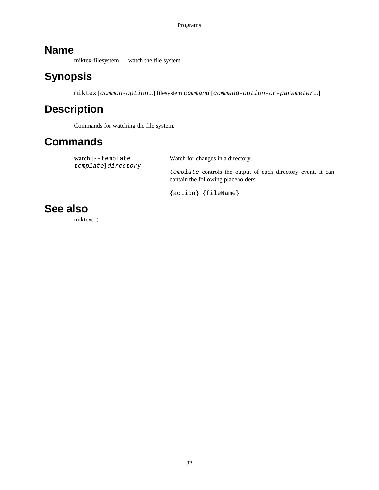miktex-filesystem — watch the file system

# **Synopsis**

miktex [common-option...] filesystem command [command-option-or-parameter...]

# **Description**

Commands for watching the file system.

# **Commands**

**watch** [--template template] directory Watch for changes in a directory.

template controls the output of each directory event. It can contain the following placeholders:

{action}, {fileName}

### **See also**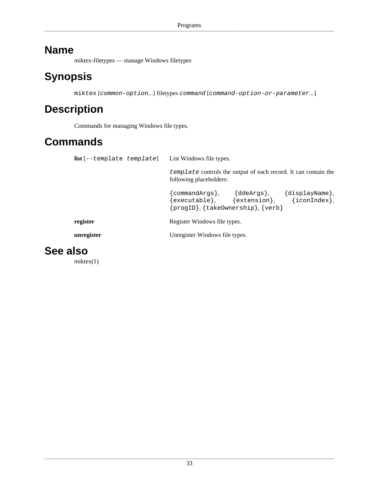miktex-filetypes — manage Windows filetypes

# **Synopsis**

miktex [common-option...] filetypes command [command-option-or-parameter...]

# **Description**

Commands for managing Windows file types.

# **Commands**

| <b>list</b> [--template <i>template</i> ] | List Windows file types.                                                                                                                             |
|-------------------------------------------|------------------------------------------------------------------------------------------------------------------------------------------------------|
|                                           | template controls the output of each record. It can contain the<br>following placeholders:                                                           |
|                                           | {commandArgs}, {ddeArgs}, {displayName},<br>$\{\text{execution}\}, \{\text{extension}\}, \{\text{iconIndex}\},$<br>{progID}, {take0wnership}, {verb} |
| register                                  | Register Windows file types.                                                                                                                         |
| unregister                                | Unregister Windows file types.                                                                                                                       |
|                                           |                                                                                                                                                      |

### **See also**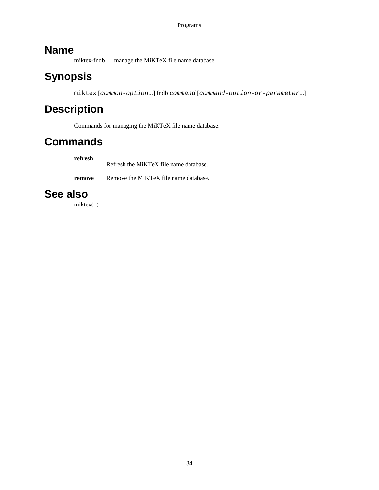miktex-fndb — manage the MiKTeX file name database

# **Synopsis**

miktex [common-option...] fndb command [command-option-or-parameter...]

# **Description**

Commands for managing the MiKTeX file name database.

# **Commands**

| refresh |                                        |
|---------|----------------------------------------|
|         | Refresh the MiKTeX file name database. |

**remove** Remove the MiKTeX file name database.

### **See also**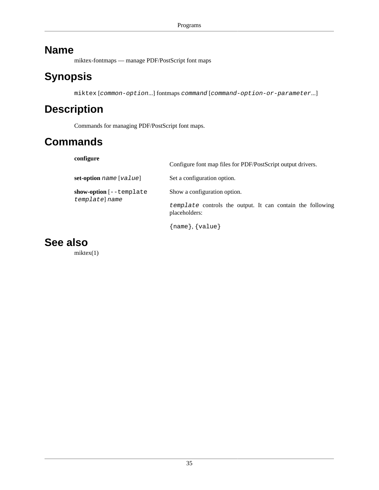miktex-fontmaps — manage PDF/PostScript font maps

# **Synopsis**

miktex [common-option...] fontmaps command [command-option-or-parameter...]

# **Description**

Commands for managing PDF/PostScript font maps.

# **Commands**

| configure                                    | Configure font map files for PDF/PostScript output drivers.                 |
|----------------------------------------------|-----------------------------------------------------------------------------|
| set-option name $[value]$                    | Set a configuration option.                                                 |
| show-option $[- -t$ emplate<br>template name | Show a configuration option.                                                |
|                                              | template controls the output. It can contain the following<br>placeholders: |
|                                              | $\{\texttt{name}\}, \{\texttt{value}\}$                                     |

### **See also**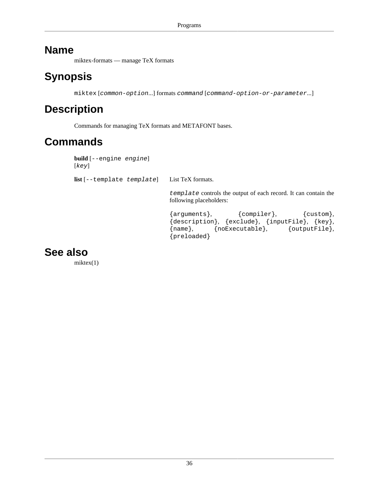miktex-formats — manage TeX formats

# **Synopsis**

miktex [common-option...] formats command [command-option-or-parameter...]

# **Description**

Commands for managing TeX formats and METAFONT bases.

# **Commands**

**build** [--engine engine] [key]

**list** [--template template] List TeX formats.

template controls the output of each record. It can contain the following placeholders:

```
{arguments}, {complier}, {custom},
{description}, {exclude}, {inputFile}, {key},
{name}, {noExecutable}, {outputFile},
{preloaded}
```
### **See also**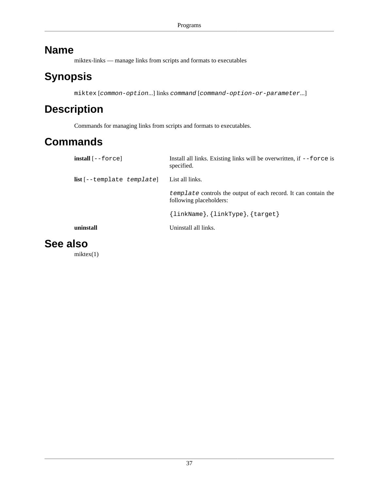miktex-links — manage links from scripts and formats to executables

# **Synopsis**

miktex [common-option...] links command [command-option-or-parameter...]

# **Description**

Commands for managing links from scripts and formats to executables.

# **Commands**

| $\text{install}$ [--force]   | Install all links. Existing links will be overwritten, if $-$ -force is<br>specified.      |
|------------------------------|--------------------------------------------------------------------------------------------|
| $list [--template template]$ | List all links.                                                                            |
|                              | template controls the output of each record. It can contain the<br>following placeholders: |
|                              | {linkName}, {linkType}, {target}                                                           |
| uninstall                    | Uninstall all links.                                                                       |

#### **See also**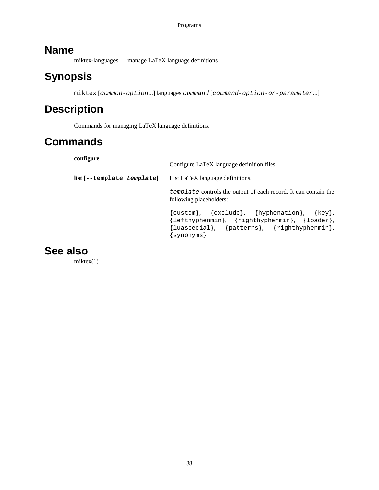miktex-languages — manage LaTeX language definitions

# **Synopsis**

miktex [common-option...] languages command [command-option-or-parameter...]

# **Description**

Commands for managing LaTeX language definitions.

# **Commands**

| configure                  | Configure LaTeX language definition files.                                                                                                                          |
|----------------------------|---------------------------------------------------------------------------------------------------------------------------------------------------------------------|
| list [--template template] | List LaTeX language definitions.                                                                                                                                    |
|                            | template controls the output of each record. It can contain the<br>following placeholders:                                                                          |
|                            | $\{custom\}, \{exclude\}, \{hyphenation\}, \{key\},$<br>{lefthyphenmin}, {righthyphenmin}, {loader},<br>{luaspecial}, {patterns}, {righthyphenmin},<br>$synonyms\}$ |

### **See also**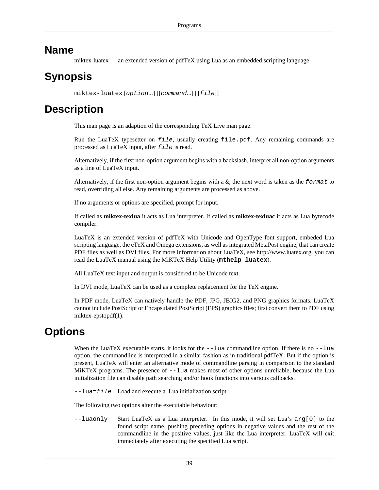miktex-luatex — an extended version of pdfTeX using Lua as an embedded scripting language

# **Synopsis**

miktex-luatex [option...] [[command...] | [file]]

### **Description**

This man page is an adaption of the corresponding TeX Live man page.

Run the LuaTeX typesetter on  $file$ , usually creating  $file.pdf$ . Any remaining commands are processed as LuaTeX input, after file is read.

Alternatively, if the first non-option argument begins with a backslash, interpret all non-option arguments as a line of LuaTeX input.

Alternatively, if the first non-option argument begins with a  $\&\&$ , the next word is taken as the *format* to read, overriding all else. Any remaining arguments are processed as above.

If no arguments or options are specified, prompt for input.

If called as **miktex-texlua** it acts as Lua interpreter. If called as **miktex-texluac** it acts as Lua bytecode compiler.

LuaTeX is an extended version of pdfTeX with Unicode and OpenType font support, embeded Lua scripting language, the eTeX and Omega extensions, as well as integrated MetaPost engine, that can create PDF files as well as DVI files. For more information about LuaTeX, see <http://www.luatex.org>, you can read the LuaTeX manual using the MiKTeX Help Utility (**mthelp luatex**).

All LuaTeX text input and output is considered to be Unicode text.

In DVI mode, LuaTeX can be used as a complete replacement for the TeX engine.

In PDF mode, LuaTeX can natively handle the PDF, JPG, JBIG2, and PNG graphics formats. LuaTeX cannot include PostScript or Encapsulated PostScript (EPS) graphics files; first convert them to PDF using miktex-epstopdf(1).

### **Options**

When the LuaTeX executable starts, it looks for the  $-$ -lua commandline option. If there is no  $-$ -lua option, the commandline is interpreted in a similar fashion as in traditional pdfTeX. But if the option is present, LuaTeX will enter an alternative mode of commandline parsing in comparison to the standard MiKTeX programs. The presence of --lua makes most of other options unreliable, because the Lua initialization file can disable path searching and/or hook functions into various callbacks.

--lua=file Load and execute a Lua initialization script.

The following two options alter the executable behaviour:

--luaonly Start LuaTeX as a Lua interpreter. In this mode, it will set Lua's arg[0] to the found script name, pushing preceding options in negative values and the rest of the commandline in the positive values, just like the Lua interpreter. LuaTeX will exit immediately after executing the specified Lua script.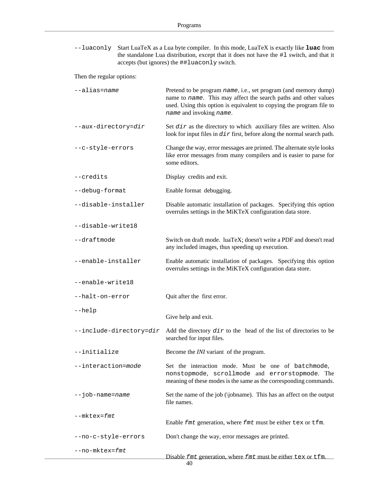| --luaconly Start LuaTeX as a Lua byte compiler. In this mode, LuaTeX is exactly like luac from |
|------------------------------------------------------------------------------------------------|
| the standalone Lua distribution, except that it does not have the $#1$ switch, and that it     |
| accepts (but ignores) the ##luaconly switch.                                                   |

Then the regular options:

| --alias=name            | Pretend to be program name, i.e., set program (and memory dump)<br>name to name. This may affect the search paths and other values<br>used. Using this option is equivalent to copying the program file to<br>name and invoking name. |
|-------------------------|---------------------------------------------------------------------------------------------------------------------------------------------------------------------------------------------------------------------------------------|
| --aux-directory=dir     | Set dir as the directory to which auxiliary files are written. Also<br>look for input files in $dir$ first, before along the normal search path.                                                                                      |
| --c-style-errors        | Change the way, error messages are printed. The alternate style looks<br>like error messages from many compilers and is easier to parse for<br>some editors.                                                                          |
| --credits               | Display credits and exit.                                                                                                                                                                                                             |
| --debug-format          | Enable format debugging.                                                                                                                                                                                                              |
| --disable-installer     | Disable automatic installation of packages. Specifying this option<br>overrules settings in the MiKTeX configuration data store.                                                                                                      |
| --disable-write18       |                                                                                                                                                                                                                                       |
| --draftmode             | Switch on draft mode. luaTeX; doesn't write a PDF and doesn't read<br>any included images, thus speeding up execution.                                                                                                                |
| --enable-installer      | Enable automatic installation of packages. Specifying this option<br>overrules settings in the MiKTeX configuration data store.                                                                                                       |
| --enable-write18        |                                                                                                                                                                                                                                       |
| --halt-on-error         | Quit after the first error.                                                                                                                                                                                                           |
| $-\text{help}$          | Give help and exit.                                                                                                                                                                                                                   |
| --include-directory=dir | Add the directory dir to the head of the list of directories to be<br>searched for input files.                                                                                                                                       |
| --initialize            | Become the <i>INI</i> variant of the program.                                                                                                                                                                                         |
| --interaction=mode      | Set the interaction mode. Must be one of batchmode,<br>nonstopmode, scrollmode and errorstopmode. The<br>meaning of these modes is the same as the corresponding commands.                                                            |
| --job-name=name         | Set the name of the job (\jobname). This has an affect on the output<br>file names.                                                                                                                                                   |
| $--mktext=fmt$          | Enable $Fmt$ generation, where $Fmt$ must be either $textrm{ }t$ ex or $tfm$ .                                                                                                                                                        |
|                         |                                                                                                                                                                                                                                       |
| --no-c-style-errors     | Don't change the way, error messages are printed.                                                                                                                                                                                     |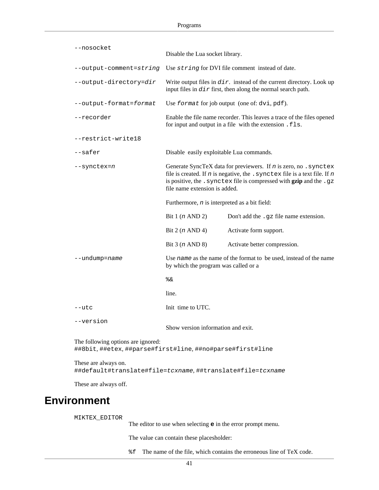| --nosocket                                                                                      | Disable the Lua socket library.                                                                                                                                                                                                                            |                                                                                                                                           |
|-------------------------------------------------------------------------------------------------|------------------------------------------------------------------------------------------------------------------------------------------------------------------------------------------------------------------------------------------------------------|-------------------------------------------------------------------------------------------------------------------------------------------|
| --output-comment=string                                                                         | Use string for DVI file comment instead of date.                                                                                                                                                                                                           |                                                                                                                                           |
| --output-directory=dir                                                                          |                                                                                                                                                                                                                                                            | Write output files in $dir$ . instead of the current directory. Look up<br>input files in $dir$ first, then along the normal search path. |
| --output-format=format                                                                          |                                                                                                                                                                                                                                                            | Use format for job output (one of: dvi, pdf).                                                                                             |
| --recorder                                                                                      | Enable the file name recorder. This leaves a trace of the files opened<br>for input and output in a file with the extension . fls.                                                                                                                         |                                                                                                                                           |
| --restrict-write18                                                                              |                                                                                                                                                                                                                                                            |                                                                                                                                           |
| --safer                                                                                         | Disable easily exploitable Lua commands.                                                                                                                                                                                                                   |                                                                                                                                           |
| --synctex=n                                                                                     | Generate SyncTeX data for previewers. If n is zero, no . synctex<br>file is created. If $n$ is negative, the . synctex file is a text file. If $n$<br>is positive, the . synctex file is compressed with gzip and the .gz<br>file name extension is added. |                                                                                                                                           |
|                                                                                                 | Furthermore, <i>n</i> is interpreted as a bit field:                                                                                                                                                                                                       |                                                                                                                                           |
|                                                                                                 | Bit $1(n$ AND $2)$                                                                                                                                                                                                                                         | Don't add the .gz file name extension.                                                                                                    |
|                                                                                                 | Bit $2(n$ AND 4)                                                                                                                                                                                                                                           | Activate form support.                                                                                                                    |
|                                                                                                 | Bit $3(n$ AND 8)                                                                                                                                                                                                                                           | Activate better compression.                                                                                                              |
| --undump=name                                                                                   | by which the program was called or a                                                                                                                                                                                                                       | Use name as the name of the format to be used, instead of the name                                                                        |
|                                                                                                 | နွန္                                                                                                                                                                                                                                                       |                                                                                                                                           |
|                                                                                                 | line.                                                                                                                                                                                                                                                      |                                                                                                                                           |
| $-$ -utc                                                                                        | Init time to UTC.                                                                                                                                                                                                                                          |                                                                                                                                           |
| --version                                                                                       | Show version information and exit.                                                                                                                                                                                                                         |                                                                                                                                           |
| The following options are ignored:<br>##8bit, ##etex, ##parse#first#line, ##no#parse#first#line |                                                                                                                                                                                                                                                            |                                                                                                                                           |
| These are always on.                                                                            |                                                                                                                                                                                                                                                            |                                                                                                                                           |

##default#translate#file=tcxname, ##translate#file=tcxname

These are always off.

### **Environment**

MIKTEX\_EDITOR

The editor to use when selecting **e** in the error prompt menu.

The value can contain these placesholder:

%f The name of the file, which contains the erroneous line of TeX code.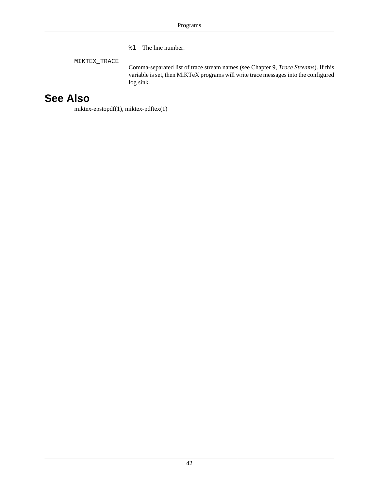%l The line number.

MIKTEX\_TRACE

Comma-separated list of trace stream names (see Chapter 9, *[Trace Streams](#page-110-0)*). If this variable is set, then MiKTeX programs will write trace messages into the configured log sink.

# **See Also**

miktex-epstopdf(1), miktex-pdftex(1)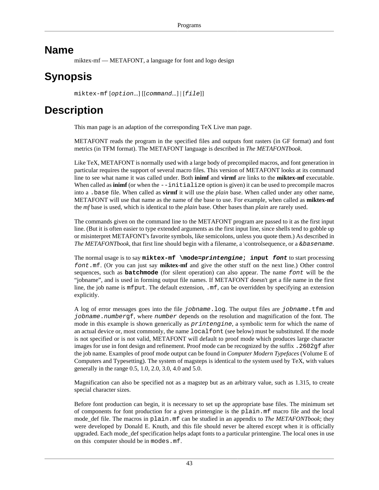miktex-mf — METAFONT, a language for font and logo design

# **Synopsis**

miktex-mf [option...] [[command...] | [file]]

### **Description**

This man page is an adaption of the corresponding TeX Live man page.

METAFONT reads the program in the specified files and outputs font rasters (in GF format) and font metrics (in TFM format). The METAFONT language is described in *The METAFONTbook*.

Like TeX, METAFONT is normally used with a large body of precompiled macros, and font generation in particular requires the support of several macro files. This version of METAFONT looks at its command line to see what name it was called under. Both **inimf** and **virmf** are links to the **miktex-mf** executable. When called as **inimf** (or when the  $-\text{initialize}$  option is given) it can be used to precompile macros into a .base file. When called as **virmf** it will use the *plain* base. When called under any other name, METAFONT will use that name as the name of the base to use. For example, when called as **miktex-mf** the *mf* base is used, which is identical to the *plain* base. Other bases than *plain* are rarely used.

The commands given on the command line to the METAFONT program are passed to it as the first input line. (But it is often easier to type extended arguments as the first input line, since shells tend to gobble up or misinterpret METAFONT's favorite symbols, like semicolons, unless you quote them.) As described in *The METAFONTbook*, that first line should begin with a filename, a \controlsequence, or a  $\&$  basename.

The normal usage is to say **miktex-mf \mode=printengine; input font** to start processing font.mf. (Or you can just say **miktex-mf** and give the other stuff on the next line.) Other control sequences, such as **batchmode** (for silent operation) can also appear. The name font will be the "jobname", and is used in forming output file names. If METAFONT doesn't get a file name in the first line, the job name is mfput. The default extension, .mf, can be overridden by specifying an extension explicitly.

A log of error messages goes into the file jobname.log. The output files are jobname.tfm and  $j$ obname.numbergf, where number depends on the resolution and magnification of the font. The mode in this example is shown generically as *printengine*, a symbolic term for which the name of an actual device or, most commonly, the name localfont (see below) must be substituted. If the mode is not specified or is not valid, METAFONT will default to proof mode which produces large character images for use in font design and refinement. Proof mode can be recognized by the suffix .  $2602qf$  after the job name. Examples of proof mode output can be found in *Computer Modern Typefaces* (Volume E of Computers and Typesetting). The system of magsteps is identical to the system used by TeX, with values generally in the range 0.5, 1.0, 2.0, 3.0, 4.0 and 5.0.

Magnification can also be specified not as a magstep but as an arbitrary value, such as 1.315, to create special character sizes.

Before font production can begin, it is necessary to set up the appropriate base files. The minimum set of components for font production for a given printengine is the plain.mf macro file and the local mode\_def file. The macros in plain.mf can be studied in an appendix to *The METAFONTbook*; they were developed by Donald E. Knuth, and this file should never be altered except when it is officially upgraded. Each mode\_def specification helps adapt fonts to a particular printengine. The local ones in use on this computer should be in modes.mf.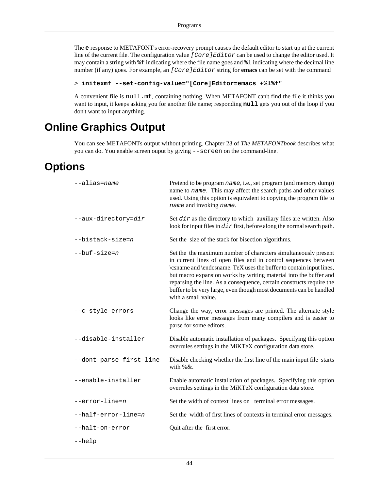The **e** response to METAFONT's error-recovery prompt causes the default editor to start up at the current line of the current file. The configuration value [Core]Editor can be used to change the editor used. It may contain a string with  $\frac{1}{2}$  indicating where the file name goes and  $\frac{1}{2}$  indicating where the decimal line number (if any) goes. For example, an [Core]Editor string for **emacs** can be set with the command

```
> initexmf --set-config-value="[Core]Editor=emacs +%l%f"
```
A convenient file is null.mf, containing nothing. When METAFONT can't find the file it thinks you want to input, it keeps asking you for another file name; responding **null** gets you out of the loop if you don't want to input anything.

#### **Online Graphics Output**

You can see METAFONTs output without printing. Chapter 23 of *The METAFONTbook* describes what you can do. You enable screen ouput by giving --screen on the command-line.

### **Options**

| --alias=name            | Pretend to be program name, i.e., set program (and memory dump)<br>name to name. This may affect the search paths and other values<br>used. Using this option is equivalent to copying the program file to<br>name and invoking name.                                                                                                                                                                                                               |
|-------------------------|-----------------------------------------------------------------------------------------------------------------------------------------------------------------------------------------------------------------------------------------------------------------------------------------------------------------------------------------------------------------------------------------------------------------------------------------------------|
| --aux-directory=dir     | Set <i>dir</i> as the directory to which auxiliary files are written. Also<br>look for input files in $dir$ first, before along the normal search path.                                                                                                                                                                                                                                                                                             |
| --bistack-size=n        | Set the size of the stack for bisection algorithms.                                                                                                                                                                                                                                                                                                                                                                                                 |
| --buf-size=n            | Set the the maximum number of characters simultaneously present<br>in current lines of open files and in control sequences between<br>\csname and \endcsname. TeX uses the buffer to contain input lines,<br>but macro expansion works by writing material into the buffer and<br>reparsing the line. As a consequence, certain constructs require the<br>buffer to be very large, even though most documents can be handled<br>with a small value. |
| --c-style-errors        | Change the way, error messages are printed. The alternate style<br>looks like error messages from many compilers and is easier to<br>parse for some editors.                                                                                                                                                                                                                                                                                        |
| --disable-installer     | Disable automatic installation of packages. Specifying this option<br>overrules settings in the MiKTeX configuration data store.                                                                                                                                                                                                                                                                                                                    |
| --dont-parse-first-line | Disable checking whether the first line of the main input file starts<br>with %&.                                                                                                                                                                                                                                                                                                                                                                   |
| --enable-installer      | Enable automatic installation of packages. Specifying this option<br>overrules settings in the MiKTeX configuration data store.                                                                                                                                                                                                                                                                                                                     |
| --error-line=n          | Set the width of context lines on terminal error messages.                                                                                                                                                                                                                                                                                                                                                                                          |
| --half-error-line=n     | Set the width of first lines of contexts in terminal error messages.                                                                                                                                                                                                                                                                                                                                                                                |
| --halt-on-error         | Quit after the first error.                                                                                                                                                                                                                                                                                                                                                                                                                         |
| --help                  |                                                                                                                                                                                                                                                                                                                                                                                                                                                     |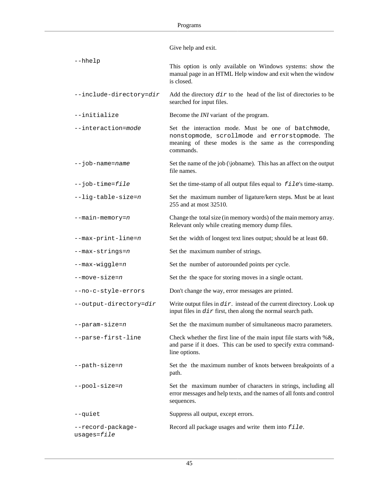|                                          | Give help and exit.                                                                                                                                                           |
|------------------------------------------|-------------------------------------------------------------------------------------------------------------------------------------------------------------------------------|
| --hhelp                                  | This option is only available on Windows systems: show the<br>manual page in an HTML Help window and exit when the window<br>is closed.                                       |
| --include-directory=dir                  | Add the directory $\text{dir}$ to the head of the list of directories to be<br>searched for input files.                                                                      |
| --initialize                             | Become the INI variant of the program.                                                                                                                                        |
| --interaction=mode                       | Set the interaction mode. Must be one of batchmode,<br>nonstopmode, scrollmode and errorstopmode. The<br>meaning of these modes is the same as the corresponding<br>commands. |
| --job-name=name                          | Set the name of the job (\jobname). This has an affect on the output<br>file names.                                                                                           |
| --job-time=file                          | Set the time-stamp of all output files equal to $f \text{ i } \text{ l } e$ 's time-stamp.                                                                                    |
| --lig-table-size=n                       | Set the maximum number of ligature/kern steps. Must be at least<br>255 and at most 32510.                                                                                     |
| --main-memory=n                          | Change the total size (in memory words) of the main memory array.<br>Relevant only while creating memory dump files.                                                          |
| --max-print-line=n                       | Set the width of longest text lines output; should be at least 60.                                                                                                            |
| --max-strings=n                          | Set the maximum number of strings.                                                                                                                                            |
| --max-wiggle=n                           | Set the number of autorounded points per cycle.                                                                                                                               |
| --move-size=n                            | Set the the space for storing moves in a single octant.                                                                                                                       |
| --no-c-style-errors                      | Don't change the way, error messages are printed.                                                                                                                             |
| --output-directory=dir                   | Write output files in $\text{dir.}$ instead of the current directory. Look up<br>input files in $dir$ first, then along the normal search path.                               |
| --param-size=n                           | Set the the maximum number of simultaneous macro parameters.                                                                                                                  |
| --parse-first-line                       | Check whether the first line of the main input file starts with $% \&$ ,<br>and parse if it does. This can be used to specify extra command-<br>line options.                 |
| --path-size=n                            | Set the the maximum number of knots between breakpoints of a<br>path.                                                                                                         |
| --pool-size=n                            | Set the maximum number of characters in strings, including all<br>error messages and help texts, and the names of all fonts and control<br>sequences.                         |
| --quiet                                  | Suppress all output, except errors.                                                                                                                                           |
| --record-package-<br>usages=f <i>ile</i> | Record all package usages and write them into $f$ i $l$ e.                                                                                                                    |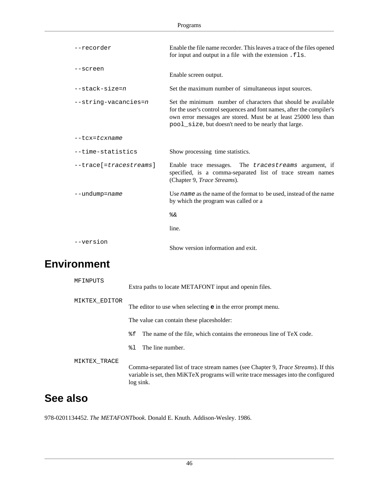| --recorder                    | Enable the file name recorder. This leaves a trace of the files opened<br>for input and output in a file with the extension . fls.                                                                                                                                |
|-------------------------------|-------------------------------------------------------------------------------------------------------------------------------------------------------------------------------------------------------------------------------------------------------------------|
| --screen                      | Enable screen output.                                                                                                                                                                                                                                             |
| --stack-size=n                | Set the maximum number of simultaneous input sources.                                                                                                                                                                                                             |
| $--string\text{-}vacancies=n$ | Set the minimum number of characters that should be available<br>for the user's control sequences and font names, after the compiler's<br>own error messages are stored. Must be at least 25000 less than<br>pool_size, but doesn't need to be nearly that large. |
| --tcx=tcxname                 |                                                                                                                                                                                                                                                                   |
| --time-statistics             | Show processing time statistics.                                                                                                                                                                                                                                  |
| --trace[=tracestreams]        | Enable trace messages. The tracestreams argument, if<br>specified, is a comma-separated list of trace stream names<br>(Chapter 9, Trace Streams).                                                                                                                 |
| --undump=name                 | Use name as the name of the format to be used, instead of the name<br>by which the program was called or a                                                                                                                                                        |
|                               | శ &                                                                                                                                                                                                                                                               |
|                               | line.                                                                                                                                                                                                                                                             |
| --version                     | Show version information and exit.                                                                                                                                                                                                                                |

# **Environment**

| MFINPUTS      | Extra paths to locate METAFONT input and open in files.                                                                                                                                        |
|---------------|------------------------------------------------------------------------------------------------------------------------------------------------------------------------------------------------|
| MIKTEX EDITOR | The editor to use when selecting $e$ in the error prompt menu.                                                                                                                                 |
|               | The value can contain these placesholder:                                                                                                                                                      |
|               | The name of the file, which contains the erroneous line of TeX code.<br>%£                                                                                                                     |
|               | The line number.<br>81                                                                                                                                                                         |
| MIKTEX TRACE  | Comma-separated list of trace stream names (see Chapter 9, <i>Trace Streams</i> ). If this<br>variable is set, then MiKTeX programs will write trace messages into the configured<br>log sink. |

# **See also**

978-0201134452. *The METAFONTbook*. Donald E. Knuth. Addison-Wesley. 1986.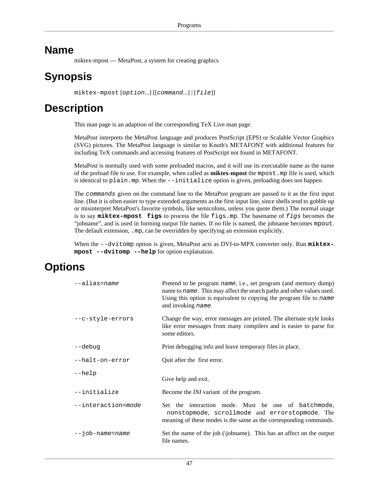miktex-mpost — MetaPost, a system for creating graphics

# **Synopsis**

miktex-mpost [option...] [[command...] | [file]]

# **Description**

This man page is an adaption of the corresponding TeX Live man page.

MetaPost interprets the MetaPost language and produces PostScript (EPS) or Scalable Vector Graphics (SVG) pictures. The MetaPost language is similar to Knuth's METAFONT with additional features for including TeX commands and accessing features of PostScript not found in METAFONT.

MetaPost is normally used with some preloaded macros, and it will use its executable name as the name of the preload file to use. For example, when called as **miktex-mpost** the mpost.mp file is used, which is identical to plain.mp. When the --initialize option is given, preloading does not happen.

The commands given on the command line to the MetaPost program are passed to it as the first input line. (But it is often easier to type extended arguments as the first input line, since shells tend to gobble up or misinterpret MetaPost's favorite symbols, like semicolons, unless you quote them.) The normal usage is to say **miktex-mpost figs** to process the file figs.mp. The basename of figs becomes the "jobname", and is used in forming output file names. If no file is named, the jobname becomes mpout. The default extension, .mp, can be overridden by specifying an extension explicitly.

When the  $--$ dvitomp option is given, MetaPost acts as DVI-to-MPX converter only. Run miktex**mpost --dvitomp --help** for option explanation.

# **Options**

| --alias=name       | Pretend to be program name, i.e., set program (and memory dump)<br>name to name. This may affect the search paths and other values used.<br>Using this option is equivalent to copying the program file to name<br>and invoking name. |
|--------------------|---------------------------------------------------------------------------------------------------------------------------------------------------------------------------------------------------------------------------------------|
| --c-style-errors   | Change the way, error messages are printed. The alternate style looks<br>like error messages from many compilers and is easier to parse for<br>some editors.                                                                          |
| --debug            | Print debugging info and leave temporary files in place.                                                                                                                                                                              |
| --halt-on-error    | Quit after the first error.                                                                                                                                                                                                           |
| $-\text{help}$     | Give help and exit.                                                                                                                                                                                                                   |
| --initialize       | Become the <i>INI</i> variant of the program.                                                                                                                                                                                         |
| --interaction=mode | Set the interaction mode. Must be one of batchmode,<br>nonstopmode, scrollmode and errorstopmode. The<br>meaning of these modes is the same as the corresponding commands.                                                            |
| --job-name=name    | Set the name of the job (\jobname). This has an affect on the output<br>file names.                                                                                                                                                   |
|                    |                                                                                                                                                                                                                                       |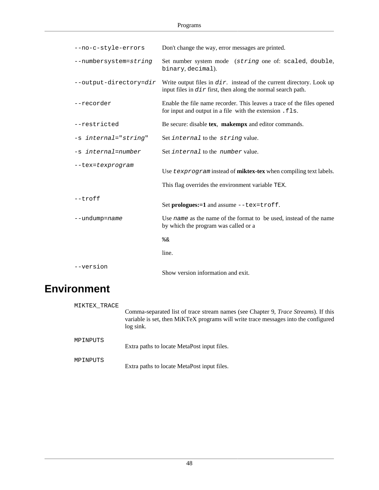| --no-c-style-errors    | Don't change the way, error messages are printed.                                                                                                |
|------------------------|--------------------------------------------------------------------------------------------------------------------------------------------------|
| --numbersystem=string  | Set number system mode (string one of: scaled, double,<br>binary, decimal).                                                                      |
| --output-directory=dir | Write output files in $dir$ . instead of the current directory. Look up<br>input files in $\text{dir}$ first, then along the normal search path. |
| --recorder             | Enable the file name recorder. This leaves a trace of the files opened<br>for input and output in a file with the extension . fls.               |
| --restricted           | Be secure: disable tex, makempx and editor commands.                                                                                             |
| -s internal="string"   | Set internal to the string value.                                                                                                                |
| -s internal=number     | Set <i>internal</i> to the <i>number</i> value.                                                                                                  |
| --tex=texprogram       | Use texprogram instead of <b>miktex-tex</b> when compiling text labels.                                                                          |
|                        | This flag overrides the environment variable TEX.                                                                                                |
| $-$ troff              | Set prologues:=1 and assume --tex=troff.                                                                                                         |
| --undump=name          | Use name as the name of the format to be used, instead of the name<br>by which the program was called or a                                       |
|                        | ಕೆ &                                                                                                                                             |
|                        |                                                                                                                                                  |
|                        | line.                                                                                                                                            |

# **Environment**

| MIKTEX TRACE | Comma-separated list of trace stream names (see Chapter 9, <i>Trace Streams</i> ). If this<br>variable is set, then MiKTeX programs will write trace messages into the configured<br>log sink. |
|--------------|------------------------------------------------------------------------------------------------------------------------------------------------------------------------------------------------|
| MPINPUTS     | Extra paths to locate MetaPost input files.                                                                                                                                                    |
| MPINPUTS     | Extra paths to locate MetaPost input files.                                                                                                                                                    |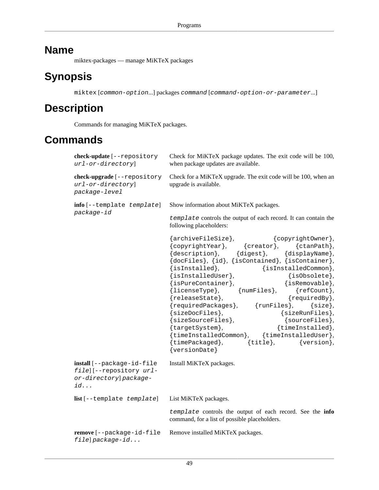miktex-packages — manage MiKTeX packages

# **Synopsis**

miktex [common-option...] packages command [command-option-or-parameter...]

# **Description**

Commands for managing MiKTeX packages.

# **Commands**

| check-update [--repository<br>url-or-directory]                                       | Check for MiKTeX package updates. The exit code will be 100,<br>when package updates are available.                                                                                                                                                                                                                                                                                                                                                                                                                                                                                                                                                                                                                                                                                                             |
|---------------------------------------------------------------------------------------|-----------------------------------------------------------------------------------------------------------------------------------------------------------------------------------------------------------------------------------------------------------------------------------------------------------------------------------------------------------------------------------------------------------------------------------------------------------------------------------------------------------------------------------------------------------------------------------------------------------------------------------------------------------------------------------------------------------------------------------------------------------------------------------------------------------------|
| check-upgrade [--repository<br>url-or-directory]<br>package-level                     | Check for a MiKTeX upgrade. The exit code will be 100, when an<br>upgrade is available.                                                                                                                                                                                                                                                                                                                                                                                                                                                                                                                                                                                                                                                                                                                         |
| info [--template template]<br>package-id                                              | Show information about MiKTeX packages.                                                                                                                                                                                                                                                                                                                                                                                                                                                                                                                                                                                                                                                                                                                                                                         |
|                                                                                       | template controls the output of each record. It can contain the<br>following placeholders:                                                                                                                                                                                                                                                                                                                                                                                                                                                                                                                                                                                                                                                                                                                      |
|                                                                                       | $\{archiveFilesize\},\$<br>${copyrightOwner},$<br>$\{copyrightYear\}, \{creation\}, \{ctanPath\},$<br>{description}, ${digest}$ , ${displayName}$ ,<br>{docFiles}, {id}, {isContained}, {isContainer},<br>${\text{isInsteadledCommon}}$ ,<br>${\texttt{isInsteadled}},$<br>${\text{isObsolete}},$<br>${\{\texttt{isInsteadledUser}\}},$<br>{isPureContainer},<br>${\text{isRemovable}},$<br>$\{refCount\},$<br>${lineerype},$<br>${\text{numFiles}},$<br>${releaseState},$<br>${redBy},$<br>${runFiles},$<br>${redPacks},$<br>$\{size\},$<br>${sizeDocFiles},$<br>${sizeRunFiles},$<br>${sizesourceFiles},$<br>$\{sourceFiles\},\$<br>{targetSystem},<br>${timeInsteadled},$<br>{timeInstalledCommon}, {timeInstalledUser},<br>${\{\texttt{timePacked}\}},$<br>${\text{title}}$ , {version},<br>${versionDate}$ |
| install [--package-id-file<br>file][--repository url-<br>or-directory] package-<br>id | Install MiKTeX packages.                                                                                                                                                                                                                                                                                                                                                                                                                                                                                                                                                                                                                                                                                                                                                                                        |
| list [--template template]                                                            | List MiKTeX packages.                                                                                                                                                                                                                                                                                                                                                                                                                                                                                                                                                                                                                                                                                                                                                                                           |
|                                                                                       | template controls the output of each record. See the info<br>command, for a list of possible placeholders.                                                                                                                                                                                                                                                                                                                                                                                                                                                                                                                                                                                                                                                                                                      |
| remove [--package-id-file<br>$file] package-id$                                       | Remove installed MiKTeX packages.                                                                                                                                                                                                                                                                                                                                                                                                                                                                                                                                                                                                                                                                                                                                                                               |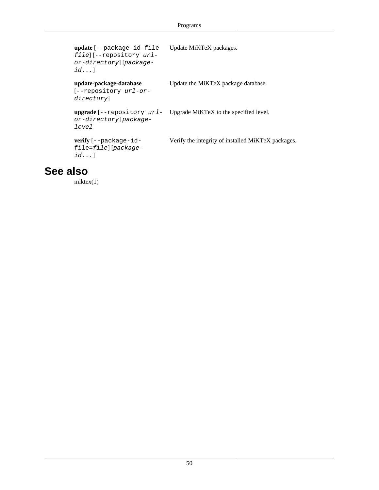| $update[-package-id-file$<br>file][--repository url-<br>or-directory [package-<br>id | Update MiKTeX packages.                                                  |
|--------------------------------------------------------------------------------------|--------------------------------------------------------------------------|
| update-package-database<br>[--repository url-or-<br>directory                        | Update the MiKTeX package database.                                      |
| or-directory package-<br>level                                                       | <b>upgrade</b> [--repository url- Upgrade MiKTeX to the specified level. |
| <b>verify</b> $[-$ -package-id-<br>file=file [package-<br><i>id</i> l                | Verify the integrity of installed MiKTeX packages.                       |
|                                                                                      |                                                                          |

#### **See also**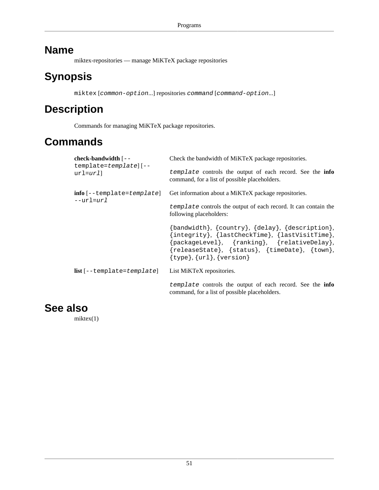miktex-repositories — manage MiKTeX package repositories

# **Synopsis**

miktex [common-option...] repositories command [command-option...]

# **Description**

Commands for managing MiKTeX package repositories.

# **Commands**

| check-bandwidth $\left[-\right]$<br>template=template [--<br>$url=url$ | Check the bandwidth of MiKTeX package repositories.<br>template controls the output of each record. See the <b>info</b><br>command, for a list of possible placeholders.                                                         |
|------------------------------------------------------------------------|----------------------------------------------------------------------------------------------------------------------------------------------------------------------------------------------------------------------------------|
| <b>info</b> [--template=template]                                      | Get information about a MiKTeX package repositories.                                                                                                                                                                             |
| $-$ -url=url                                                           | <i>template</i> controls the output of each record. It can contain the<br>following placeholders:                                                                                                                                |
|                                                                        | {bandwidth}, {country}, {delay}, {description},<br>{integrity}, {lastCheckTime}, {lastVisitTime},<br>{packageLevel}, {ranking}, {relativeDelay},<br>{releaseState}, {status}, {timeDate}, {town},<br>${type}, {curl}, {version}$ |
| $list [--template=template]$                                           | List MiKTeX repositories.                                                                                                                                                                                                        |
|                                                                        | template controls the output of each record. See the <b>info</b><br>command, for a list of possible placeholders.                                                                                                                |

### **See also**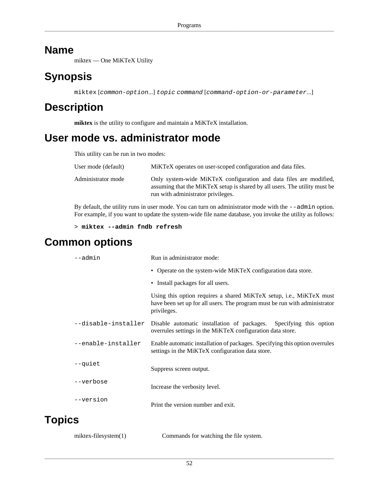miktex — One MiKTeX Utility

# **Synopsis**

miktex [common-option...] topic command [command-option-or-parameter...]

# **Description**

**miktex** is the utility to configure and maintain a MiKTeX installation.

### **User mode vs. administrator mode**

This utility can be run in two modes:

| User mode (default) | MikTeX operates on user-scoped configuration and data files.               |
|---------------------|----------------------------------------------------------------------------|
| Administrator mode  | Only system-wide MiKTeX configuration and data files are modified,         |
|                     | assuming that the MiKTeX setup is shared by all users. The utility must be |

run with administrator privileges.

By default, the utility runs in user mode. You can turn on administrator mode with the  $-\text{admin}$  option. For example, if you want to update the system-wide file name database, you invoke the utility as follows:

```
> miktex --admin fndb refresh
```
### **Common options**

| --admin             | Run in administrator mode:                                                                                                                                       |
|---------------------|------------------------------------------------------------------------------------------------------------------------------------------------------------------|
|                     | • Operate on the system-wide MiKTeX configuration data store.                                                                                                    |
|                     | • Install packages for all users.                                                                                                                                |
|                     | Using this option requires a shared MiKTeX setup, i.e., MiKTeX must<br>have been set up for all users. The program must be run with administrator<br>privileges. |
| --disable-installer | Disable automatic installation of packages. Specifying this option<br>overrules settings in the MiKTeX configuration data store.                                 |
| --enable-installer  | Enable automatic installation of packages. Specifying this option overrules<br>settings in the MiKTeX configuration data store.                                  |
| --quiet             | Suppress screen output.                                                                                                                                          |
| --verbose           | Increase the verbosity level.                                                                                                                                    |
| --version           | Print the version number and exit.                                                                                                                               |
|                     |                                                                                                                                                                  |

### **Topics**

| $m$ iktex-filesystem $(1)$ | Commands for watching the file system. |
|----------------------------|----------------------------------------|
|                            |                                        |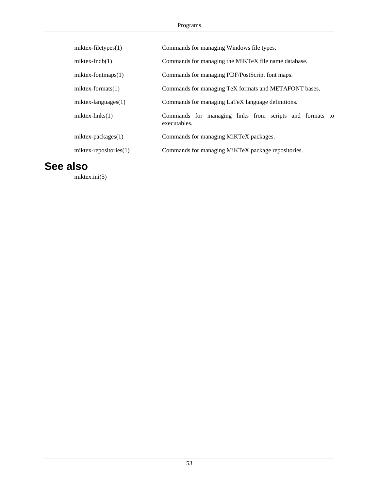| $m$ iktex-filetypes $(1)$    | Commands for managing Windows file types.                               |
|------------------------------|-------------------------------------------------------------------------|
| $m$ iktex-fndb $(1)$         | Commands for managing the MiKTeX file name database.                    |
| $m$ iktex-fontmaps $(1)$     | Commands for managing PDF/PostScript font maps.                         |
| $miktext-formats(1)$         | Commands for managing TeX formats and METAFONT bases.                   |
| $m$ iktex-languages $(1)$    | Commands for managing LaTeX language definitions.                       |
| $m$ iktex-links $(1)$        | Commands for managing links from scripts and formats to<br>executables. |
| $m$ iktex-packages $(1)$     | Commands for managing MiKTeX packages.                                  |
| $m$ iktex-repositories $(1)$ | Commands for managing MiKTeX package repositories.                      |
|                              |                                                                         |

### **See also**

miktex.ini(5)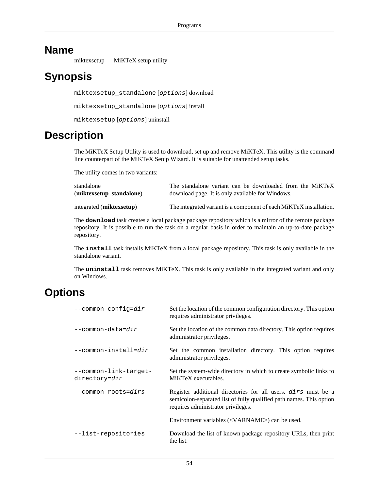miktexsetup — MiKTeX setup utility

# **Synopsis**

miktexsetup\_standalone [options] download

miktexsetup\_standalone [options] install

```
miktexsetup [options] uninstall
```
### **Description**

The MiKTeX Setup Utility is used to download, set up and remove MiKTeX. This utility is the command line counterpart of the MiKTeX Setup Wizard. It is suitable for unattended setup tasks.

The utility comes in two variants:

| standalone                        | The standalone variant can be downloaded from the MiKTeX           |
|-----------------------------------|--------------------------------------------------------------------|
| (miktexsetup_standalone)          | download page. It is only available for Windows.                   |
| integrated ( <b>miktexsetup</b> ) | The integrated variant is a component of each MiKTeX installation. |

The **download** task creates a local package package repository which is a mirror of the remote package repository. It is possible to run the task on a regular basis in order to maintain an up-to-date package repository.

The **install** task installs MiKTeX from a local package repository. This task is only available in the standalone variant.

The **uninstall** task removes MiKTeX. This task is only available in the integrated variant and only on Windows.

### **Options**

| $--common = diff = dir$                | Set the location of the common configuration directory. This option<br>requires administrator privileges.                                                                         |
|----------------------------------------|-----------------------------------------------------------------------------------------------------------------------------------------------------------------------------------|
| $--$ common-data= $dir$                | Set the location of the common data directory. This option requires<br>administrator privileges.                                                                                  |
| $--$ common-install= $dir$             | Set the common installation directory. This option requires<br>administrator privileges.                                                                                          |
| --common-link-target-<br>directory=dir | Set the system-wide directory in which to create symbolic links to<br>MiKTeX executables.                                                                                         |
| --common-roots=dirs                    | Register additional directories for all users. <i>dirs</i> must be a<br>semicolon-separated list of fully qualified path names. This option<br>requires administrator privileges. |
|                                        | Environment variables ( <varname>) can be used.</varname>                                                                                                                         |
| --list-repositories                    | Download the list of known package repository URLs, then print<br>the list.                                                                                                       |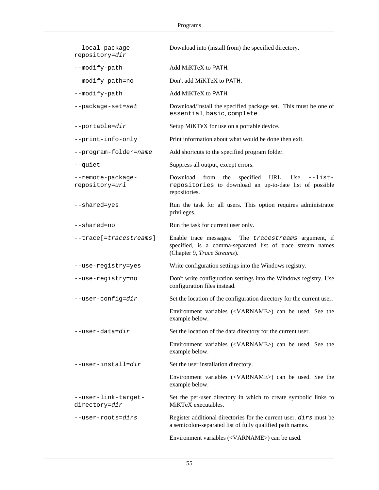| --local-package-<br>repository=dir   | Download into (install from) the specified directory.                                                                                             |
|--------------------------------------|---------------------------------------------------------------------------------------------------------------------------------------------------|
| --modify-path                        | Add MiKTeX to PATH.                                                                                                                               |
| --modify-path=no                     | Don't add MiKTeX to PATH.                                                                                                                         |
| --modify-path                        | Add MiKTeX to PATH.                                                                                                                               |
| --package-set=set                    | Download/Install the specified package set. This must be one of<br>essential, basic, complete.                                                    |
| $--portable=dir$                     | Setup MiKTeX for use on a portable device.                                                                                                        |
| --print-info-only                    | Print information about what would be done then exit.                                                                                             |
| --program-folder=name                | Add shortcuts to the specified program folder.                                                                                                    |
| --quiet                              | Suppress all output, except errors.                                                                                                               |
| --remote-package-<br>repository=url  | specified URL.<br>Download<br>from<br>the<br>Use  <br>$--list-$<br>repositories to download an up-to-date list of possible<br>repositories.       |
| --shared=yes                         | Run the task for all users. This option requires administrator<br>privileges.                                                                     |
| --shared=no                          | Run the task for current user only.                                                                                                               |
| --trace[=tracestreams]               | Enable trace messages. The tracestreams argument, if<br>specified, is a comma-separated list of trace stream names<br>(Chapter 9, Trace Streams). |
| --use-registry=yes                   | Write configuration settings into the Windows registry.                                                                                           |
| --use-registry=no                    | Don't write configuration settings into the Windows registry. Use<br>configuration files instead.                                                 |
| $-$ -user-config= $dir$              | Set the location of the configuration directory for the current user.                                                                             |
|                                      | Environment variables ( <varname>) can be used. See the<br/>example below.</varname>                                                              |
| $-$ -user-data= $dir$                | Set the location of the data directory for the current user.                                                                                      |
|                                      | Environment variables ( <varname>) can be used. See the<br/>example below.</varname>                                                              |
| --user-install=dir                   | Set the user installation directory.                                                                                                              |
|                                      | Environment variables ( <varname>) can be used. See the<br/>example below.</varname>                                                              |
| --user-link-target-<br>directory=dir | Set the per-user directory in which to create symbolic links to<br>MiKTeX executables.                                                            |
| --user-roots=dirs                    | Register additional directories for the current user. $\text{d}ir\text{s}$ must be<br>a semicolon-separated list of fully qualified path names.   |
|                                      | Environment variables ( <varname>) can be used.</varname>                                                                                         |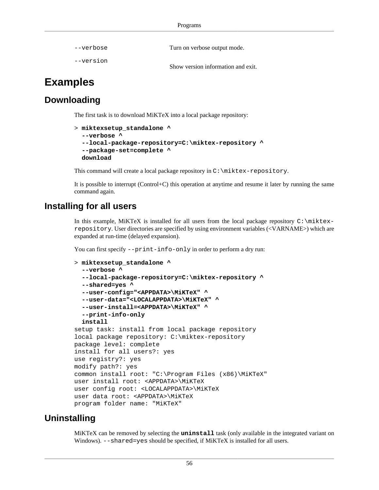| --verbose | Turn on verbose output mode.       |  |  |
|-----------|------------------------------------|--|--|
| --version | Show version information and exit. |  |  |

### **Examples**

#### **Downloading**

The first task is to download MiKTeX into a local package repository:

```
> miktexsetup_standalone ^
   --verbose ^
   --local-package-repository=C:\miktex-repository ^
   --package-set=complete ^
  download
```
This command will create a local package repository in  $C:\mathbb{R}$  itera-repository.

It is possible to interrupt (Control+C) this operation at anytime and resume it later by running the same command again.

#### **Installing for all users**

In this example, MiKTeX is installed for all users from the local package repository  $C:\mathcal{L}\to\mathcal{L}$ repository. User directories are specified by using environment variables (<VARNAME>) which are expanded at run-time (delayed expansion).

You can first specify --print-info-only in order to perform a dry run:

```
> miktexsetup_standalone ^
   --verbose ^
   --local-package-repository=C:\miktex-repository ^
   --shared=yes ^
   --user-config="<APPDATA>\MiKTeX" ^
   --user-data="<LOCALAPPDATA>\MiKTeX" ^
   --user-install=<APPDATA>\MiKTeX" ^
   --print-info-only
   install
setup task: install from local package repository
local package repository: C:\miktex-repository
package level: complete
install for all users?: yes
use registry?: yes
modify path?: yes
common install root: "C:\Program Files (x86)\MiKTeX"
user install root: <APPDATA>\MiKTeX
user config root: <LOCALAPPDATA>\MiKTeX
user data root: <APPDATA>\MiKTeX
program folder name: "MiKTeX"
```
#### **Uninstalling**

MiKTeX can be removed by selecting the **uninstall** task (only available in the integrated variant on Windows).  $-$ -shared=yes should be specified, if MiKTeX is installed for all users.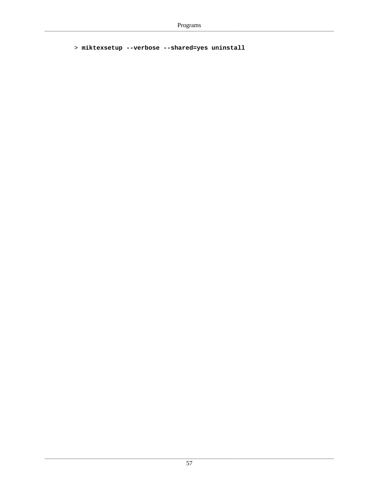> **miktexsetup --verbose --shared=yes uninstall**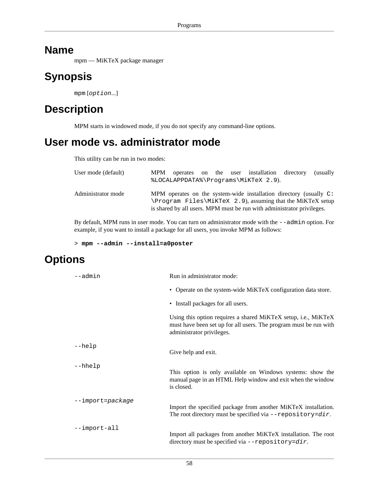mpm — MiKTeX package manager

# **Synopsis**

mpm [option...]

### **Description**

MPM starts in windowed mode, if you do not specify any command-line options.

### **User mode vs. administrator mode**

This utility can be run in two modes:

| User mode (default) | <b>MPM</b> |  |  | operates on the user installation directory<br>%LOCALAPPDATA%\Programs\MiKTeX 2.9).                                                                                                                           | (usually) |
|---------------------|------------|--|--|---------------------------------------------------------------------------------------------------------------------------------------------------------------------------------------------------------------|-----------|
| Administrator mode  |            |  |  | MPM operates on the system-wide installation directory (usually $C$ :<br>\Program Files\MiKTeX 2.9), assuming that the MiKTeX setup<br>is shared by all users. MPM must be run with administrator privileges. |           |

By default, MPM runs in user mode. You can turn on administrator mode with the --admin option. For example, if you want to install a package for all users, you invoke MPM as follows:

```
> mpm --admin --install=a0poster
```
# **Options**

| --admin          | Run in administrator mode:                                                                                                                                               |
|------------------|--------------------------------------------------------------------------------------------------------------------------------------------------------------------------|
|                  | • Operate on the system-wide MiKTeX configuration data store.                                                                                                            |
|                  | • Install packages for all users.                                                                                                                                        |
|                  | Using this option requires a shared MiKTeX setup, <i>i.e.</i> , MiKTeX<br>must have been set up for all users. The program must be run with<br>administrator privileges. |
| --help           | Give help and exit.                                                                                                                                                      |
| --hhelp          | This option is only available on Windows systems: show the<br>manual page in an HTML Help window and exit when the window<br>is closed.                                  |
| --import=package | Import the specified package from another MiKTeX installation.<br>The root directory must be specified via $-$ -repository=dir.                                          |
| --import-all     | Import all packages from another MiKTeX installation. The root<br>directory must be specified via --repository=dir.                                                      |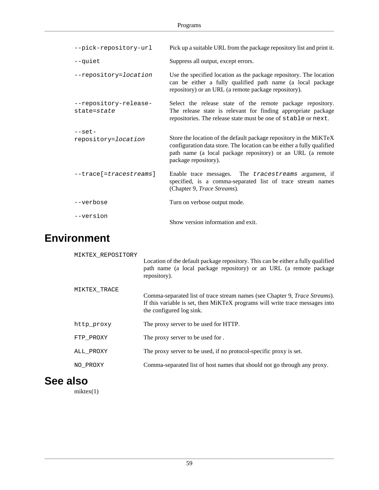| --pick-repository-url                | Pick up a suitable URL from the package repository list and print it.                                                                                                                                                              |
|--------------------------------------|------------------------------------------------------------------------------------------------------------------------------------------------------------------------------------------------------------------------------------|
| --quiet                              | Suppress all output, except errors.                                                                                                                                                                                                |
| --repository=location                | Use the specified location as the package repository. The location<br>can be either a fully qualified path name (a local package<br>repository) or an URL (a remote package repository).                                           |
| --repository-release-<br>state=state | Select the release state of the remote package repository.<br>The release state is relevant for finding appropriate package<br>repositories. The release state must be one of stable or next.                                      |
| $--set-$<br>repository=location      | Store the location of the default package repository in the MiKTeX<br>configuration data store. The location can be either a fully qualified<br>path name (a local package repository) or an URL (a remote<br>package repository). |
| --trace[=tracestreams]               | Enable trace messages. The tracestreams argument, if<br>specified, is a comma-separated list of trace stream names<br>(Chapter 9, <i>Trace Streams</i> ).                                                                          |
| --verbose                            | Turn on verbose output mode.                                                                                                                                                                                                       |
| --version                            | Show version information and exit.                                                                                                                                                                                                 |

# **Environment**

| Location of the default package repository. This can be either a fully qualified<br>path name (a local package repository) or an URL (a remote package<br>repository).                         |
|------------------------------------------------------------------------------------------------------------------------------------------------------------------------------------------------|
| Comma-separated list of trace stream names (see Chapter 9, <i>Trace Streams</i> ).<br>If this variable is set, then MiKTeX programs will write trace messages into<br>the configured log sink. |
| The proxy server to be used for HTTP.                                                                                                                                                          |
| The proxy server to be used for.                                                                                                                                                               |
| The proxy server to be used, if no protocol-specific proxy is set.                                                                                                                             |
| Comma-separated list of host names that should not go through any proxy.                                                                                                                       |
|                                                                                                                                                                                                |

# **See also**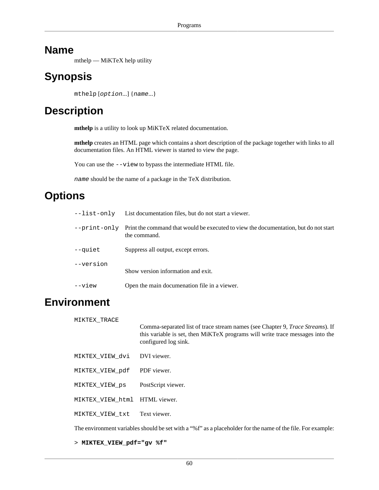mthelp — MiKTeX help utility

### **Synopsis**

mthelp [option...] {name...}

### **Description**

**mthelp** is a utility to look up MiKTeX related documentation.

**mthelp** creates an HTML page which contains a short description of the package together with links to all documentation files. An HTML viewer is started to view the page.

You can use the  $-\text{view}$  to bypass the intermediate HTML file.

name should be the name of a package in the TeX distribution.

### **Options**

| --list-only | List documentation files, but do not start a viewer.                                                                |
|-------------|---------------------------------------------------------------------------------------------------------------------|
|             | $--print-only$ Print the command that would be executed to view the documentation, but do not start<br>the command. |
| --quiet     | Suppress all output, except errors.                                                                                 |
| --version   | Show version information and exit.                                                                                  |
| $--view$    | Open the main documenation file in a viewer.                                                                        |

### **Environment**

| MIKTEX TRACE                  | Comma-separated list of trace stream names (see Chapter 9, <i>Trace Streams</i> ). If<br>this variable is set, then MiKTeX programs will write trace messages into the<br>configured log sink. |
|-------------------------------|------------------------------------------------------------------------------------------------------------------------------------------------------------------------------------------------|
| MIKTEX VIEW dvi               | DVI viewer.                                                                                                                                                                                    |
| MIKTEX VIEW pdf               | PDF viewer.                                                                                                                                                                                    |
| MIKTEX VIEW ps                | PostScript viewer.                                                                                                                                                                             |
| MIKTEX_VIEW_html HTML viewer. |                                                                                                                                                                                                |
| MIKTEX VIEW txt               | Text viewer.                                                                                                                                                                                   |

The environment variables should be set with a "%f" as a placeholder for the name of the file. For example:

#### > **MIKTEX\_VIEW\_pdf="gv %f"**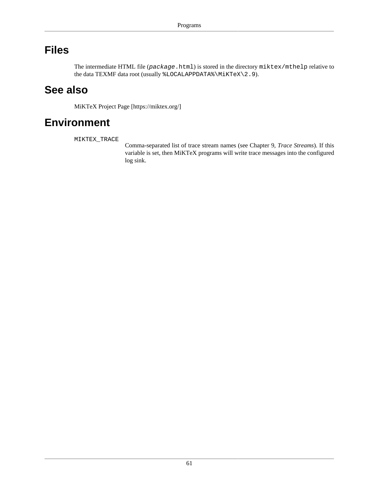### **Files**

The intermediate HTML file (package.html) is stored in the directory miktex/mthelp relative to the data TEXMF data root (usually %LOCALAPPDATA%\MiKTeX\2.9).

### **See also**

[MiKTeX Project Page](https://miktex.org/) [\[https://miktex.org/](https://miktex.org/)]

### **Environment**

MIKTEX\_TRACE

Comma-separated list of trace stream names (see Chapter 9, *[Trace Streams](#page-110-0)*). If this variable is set, then MiKTeX programs will write trace messages into the configured log sink.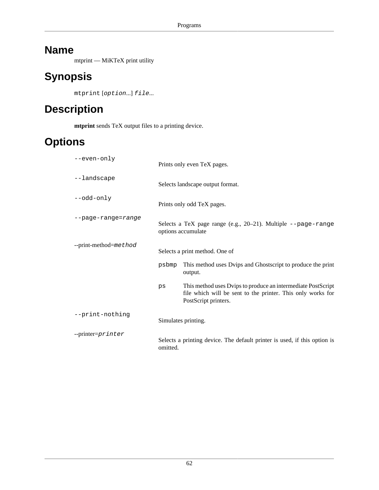mtprint — MiKTeX print utility

# **Synopsis**

mtprint [option...] file...

# **Description**

**mtprint** sends TeX output files to a printing device.

# **Options**

| --even-only           |          | Prints only even TeX pages.                                                                                                                         |
|-----------------------|----------|-----------------------------------------------------------------------------------------------------------------------------------------------------|
| --landscape           |          | Selects landscape output format.                                                                                                                    |
| --odd-only            |          | Prints only odd TeX pages.                                                                                                                          |
| --page-range=range    |          | Selects a TeX page range (e.g., 20-21). Multiple --page-range<br>options accumulate                                                                 |
| --print-method=method |          | Selects a print method. One of                                                                                                                      |
|                       | psbmp    | This method uses Dvips and Ghostscript to produce the print<br>output.                                                                              |
|                       | ps       | This method uses Dvips to produce an intermediate PostScript<br>file which will be sent to the printer. This only works for<br>PostScript printers. |
| --print-nothing       |          | Simulates printing.                                                                                                                                 |
| --printer=printer     | omitted. | Selects a printing device. The default printer is used, if this option is                                                                           |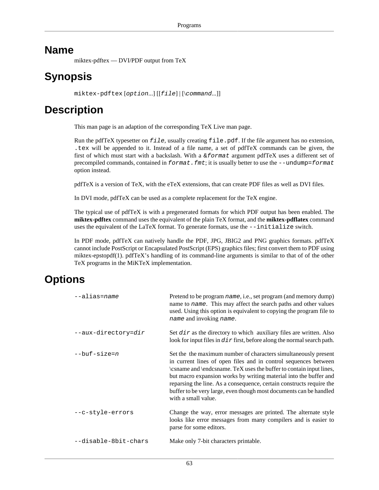miktex-pdftex — DVI/PDF output from TeX

# **Synopsis**

miktex-pdftex [option...] [[file] | [\command...]]

### **Description**

This man page is an adaption of the corresponding TeX Live man page.

Run the pdfTeX typesetter on  $file$ , usually creating  $file$ ,  $pdf$ . If the file argument has no extension, .tex will be appended to it. Instead of a file name, a set of pdfTeX commands can be given, the first of which must start with a backslash. With a &format argument pdfTeX uses a different set of precompiled commands, contained in  $format$ . fmt; it is usually better to use the  $-$ -undump=format option instead.

pdfTeX is a version of TeX, with the eTeX extensions, that can create PDF files as well as DVI files.

In DVI mode, pdfTeX can be used as a complete replacement for the TeX engine.

The typical use of pdfTeX is with a pregenerated formats for which PDF output has been enabled. The **miktex-pdftex** command uses the equivalent of the plain TeX format, and the **miktex-pdflatex** command uses the equivalent of the LaTeX format. To generate formats, use the --initialize switch.

In PDF mode, pdfTeX can natively handle the PDF, JPG, JBIG2 and PNG graphics formats. pdfTeX cannot include PostScript or Encapsulated PostScript (EPS) graphics files; first convert them to PDF using miktex-epstopdf(1). pdfTeX's handling of its command-line arguments is similar to that of of the other TeX programs in the MiKTeX implementation.

### **Options**

| --alias=name         | Pretend to be program name, i.e., set program (and memory dump)<br>name to name. This may affect the search paths and other values<br>used. Using this option is equivalent to copying the program file to<br>name and invoking name.                                                                                                                                                                                                               |
|----------------------|-----------------------------------------------------------------------------------------------------------------------------------------------------------------------------------------------------------------------------------------------------------------------------------------------------------------------------------------------------------------------------------------------------------------------------------------------------|
| --aux-directory=dir  | Set $dir$ as the directory to which auxiliary files are written. Also<br>look for input files in $\vec{d}$ is first, before along the normal search path.                                                                                                                                                                                                                                                                                           |
| $--$ buf-size=n      | Set the the maximum number of characters simultaneously present<br>in current lines of open files and in control sequences between<br>\csname and \endcsname. TeX uses the buffer to contain input lines,<br>but macro expansion works by writing material into the buffer and<br>reparsing the line. As a consequence, certain constructs require the<br>buffer to be very large, even though most documents can be handled<br>with a small value. |
| --c-style-errors     | Change the way, error messages are printed. The alternate style<br>looks like error messages from many compilers and is easier to<br>parse for some editors.                                                                                                                                                                                                                                                                                        |
| --disable-8bit-chars | Make only 7-bit characters printable.                                                                                                                                                                                                                                                                                                                                                                                                               |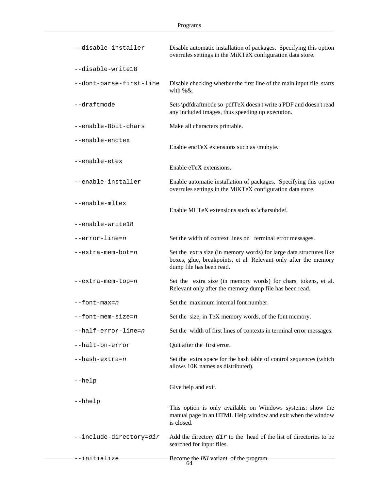| --disable-installer        | Disable automatic installation of packages. Specifying this option<br>overrules settings in the MiKTeX configuration data store.                                   |
|----------------------------|--------------------------------------------------------------------------------------------------------------------------------------------------------------------|
| --disable-write18          |                                                                                                                                                                    |
| --dont-parse-first-line    | Disable checking whether the first line of the main input file starts<br>with $% &$ .                                                                              |
| --draftmode                | Sets \pdfdraftmode so pdfTeX doesn't write a PDF and doesn't read<br>any included images, thus speeding up execution.                                              |
| --enable-8bit-chars        | Make all characters printable.                                                                                                                                     |
| --enable-enctex            | Enable encTeX extensions such as \mubyte.                                                                                                                          |
| --enable-etex              | Enable eTeX extensions.                                                                                                                                            |
| --enable-installer         | Enable automatic installation of packages. Specifying this option<br>overrules settings in the MiKTeX configuration data store.                                    |
| --enable-mltex             | Enable MLTeX extensions such as \charsubdef.                                                                                                                       |
| --enable-write18           |                                                                                                                                                                    |
| --error-line=n             | Set the width of context lines on terminal error messages.                                                                                                         |
| --extra-mem-bot=n          | Set the extra size (in memory words) for large data structures like<br>boxes, glue, breakpoints, et al. Relevant only after the memory<br>dump file has been read. |
| --extra-mem-top=n          | Set the extra size (in memory words) for chars, tokens, et al.<br>Relevant only after the memory dump file has been read.                                          |
| $--font-max=n$             | Set the maximum internal font number.                                                                                                                              |
| $--font$ - $mem$ size= $n$ | Set the size, in TeX memory words, of the font memory.                                                                                                             |
| --half-error-line=n        | Set the width of first lines of contexts in terminal error messages.                                                                                               |
| --halt-on-error            | Quit after the first error.                                                                                                                                        |
| --hash-extra=n             | Set the extra space for the hash table of control sequences (which<br>allows 10K names as distributed).                                                            |
| $-\text{help}$             | Give help and exit.                                                                                                                                                |
| --hhelp                    | This option is only available on Windows systems: show the<br>manual page in an HTML Help window and exit when the window<br>is closed.                            |
| --include-directory=dir    | Add the directory $\text{dir}$ to the head of the list of directories to be<br>searched for input files.                                                           |
| -initialize                | Become the INI variant of the program.<br>64                                                                                                                       |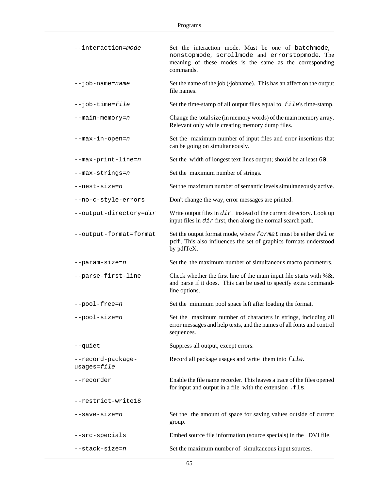| --interaction=mode                   | Set the interaction mode. Must be one of batchmode,<br>nonstopmode, scrollmode and errorstopmode. The<br>meaning of these modes is the same as the corresponding<br>commands. |
|--------------------------------------|-------------------------------------------------------------------------------------------------------------------------------------------------------------------------------|
| --job-name=name                      | Set the name of the job (\jobname). This has an affect on the output<br>file names.                                                                                           |
| $--job-time=file$                    | Set the time-stamp of all output files equal to $f \perp e$ 's time-stamp.                                                                                                    |
| --main-memory=n                      | Change the total size (in memory words) of the main memory array.<br>Relevant only while creating memory dump files.                                                          |
| $-$ -max-in-open= $n$                | Set the maximum number of input files and error insertions that<br>can be going on simultaneously.                                                                            |
| --max-print-line=n                   | Set the width of longest text lines output; should be at least 60.                                                                                                            |
| $--max-strings=n$                    | Set the maximum number of strings.                                                                                                                                            |
| $--nest-size=n$                      | Set the maximum number of semantic levels simultaneously active.                                                                                                              |
| --no-c-style-errors                  | Don't change the way, error messages are printed.                                                                                                                             |
| --output-directory=dir               | Write output files in $dir$ . instead of the current directory. Look up<br>input files in $\text{dir}$ first, then along the normal search path.                              |
| --output-format=format               | Set the output format mode, where format must be either dvi or<br>pdf. This also influences the set of graphics formats understood<br>by pdfTeX.                              |
| --param-size=n                       | Set the the maximum number of simultaneous macro parameters.                                                                                                                  |
| --parse-first-line                   | Check whether the first line of the main input file starts with $% \&$ ,<br>and parse if it does. This can be used to specify extra command-<br>line options.                 |
| $-$ -pool-free= $n$                  | Set the minimum pool space left after loading the format.                                                                                                                     |
| --pool-size=n                        | Set the maximum number of characters in strings, including all<br>error messages and help texts, and the names of all fonts and control<br>sequences.                         |
| --quiet                              | Suppress all output, except errors.                                                                                                                                           |
| --record-package-<br>$usages = file$ | Record all package usages and write them into $file$ .                                                                                                                        |
| --recorder                           | Enable the file name recorder. This leaves a trace of the files opened<br>for input and output in a file with the extension . fls.                                            |
| --restrict-write18                   |                                                                                                                                                                               |
| $--save-size=n$                      | Set the the amount of space for saving values outside of current<br>group.                                                                                                    |
| --src-specials                       | Embed source file information (source specials) in the DVI file.                                                                                                              |
| $--stack-size=n$                     | Set the maximum number of simultaneous input sources.                                                                                                                         |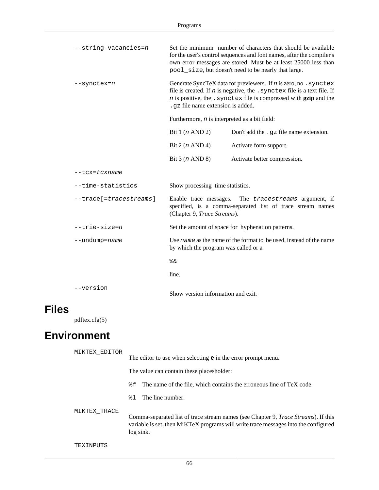| --string-vacancies=n   | Set the minimum number of characters that should be available<br>for the user's control sequences and font names, after the compiler's<br>own error messages are stored. Must be at least 25000 less than<br>pool_size, but doesn't need to be nearly that large. |
|------------------------|-------------------------------------------------------------------------------------------------------------------------------------------------------------------------------------------------------------------------------------------------------------------|
| --synctex=n            | Generate SyncTeX data for previewers. If n is zero, no. synctex<br>file is created. If $n$ is negative, the . synctex file is a text file. If<br>n is positive, the . synctex file is compressed with gzip and the<br>. gz file name extension is added.          |
|                        | Furthermore, $n$ is interpreted as a bit field:                                                                                                                                                                                                                   |
|                        | Bit $1(n$ AND $2)$<br>Don't add the .gz file name extension.                                                                                                                                                                                                      |
|                        | Bit $2(n$ AND 4)<br>Activate form support.                                                                                                                                                                                                                        |
|                        | Bit $3(n$ AND $8)$<br>Activate better compression.                                                                                                                                                                                                                |
| --tcx=tcxname          |                                                                                                                                                                                                                                                                   |
| --time-statistics      | Show processing time statistics.                                                                                                                                                                                                                                  |
| --trace[=tracestreams] | Enable trace messages.<br>The tracestreams argument, if<br>specified, is a comma-separated list of trace stream names<br>(Chapter 9, Trace Streams).                                                                                                              |
| $-$ -trie-size= $n$    | Set the amount of space for hyphenation patterns.                                                                                                                                                                                                                 |
| --undump=name          | Use name as the name of the format to be used, instead of the name<br>by which the program was called or a                                                                                                                                                        |
|                        | ಕೆ &                                                                                                                                                                                                                                                              |
|                        | line.                                                                                                                                                                                                                                                             |
| --version              | Show version information and exit.                                                                                                                                                                                                                                |

# **Files**

pdftex.cfg(5)

### **Environment**

| MIKTEX EDITOR | The editor to use when selecting $e$ in the error prompt menu.                                                                                                                                 |  |
|---------------|------------------------------------------------------------------------------------------------------------------------------------------------------------------------------------------------|--|
|               | The value can contain these placesholder:                                                                                                                                                      |  |
|               | The name of the file, which contains the erroneous line of TeX code.<br>%f                                                                                                                     |  |
|               | The line number.<br>%l                                                                                                                                                                         |  |
| MIKTEX TRACE  | Comma-separated list of trace stream names (see Chapter 9, <i>Trace Streams</i> ). If this<br>variable is set, then MiKTeX programs will write trace messages into the configured<br>log sink. |  |
| TEXINPUTS     |                                                                                                                                                                                                |  |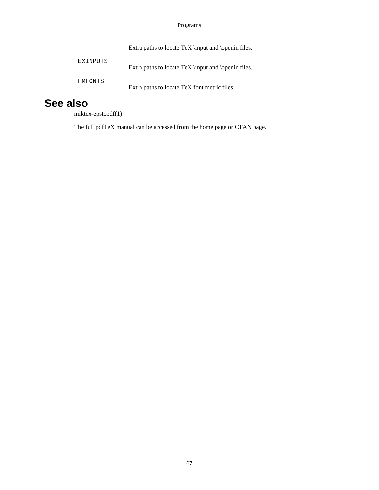Extra paths to locate TeX \input and \openin files.

| TEXINPUTS | Extra paths to locate $TeX \in and \open in files.$ |
|-----------|-----------------------------------------------------|
| TFMFONTS  | Extra paths to locate TeX font metric files         |

### **See also**

miktex-epstopdf(1)

The full pdfTeX manual can be accessed from the home page or CTAN page.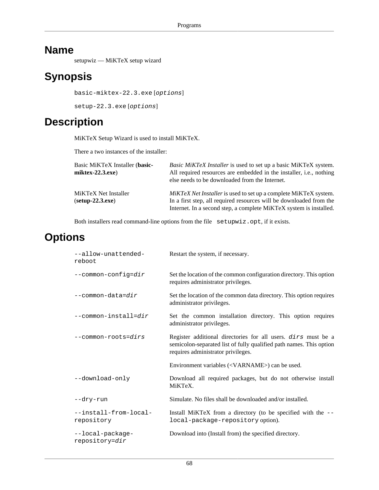setupwiz — MiKTeX setup wizard

# **Synopsis**

basic-miktex-22.3.exe [options]

setup-22.3.exe [options]

#### **Description**

MiKTeX Setup Wizard is used to install MiKTeX.

There a two instances of the installer:

| Basic MiKTeX Installer (basic-<br>miktex-22.3.exe) | <i>Basic MiKTeX Installer</i> is used to set up a basic MiKTeX system.<br>All required resources are embedded in the installer, i.e., nothing<br>else needs to be downloaded from the Internet.                      |
|----------------------------------------------------|----------------------------------------------------------------------------------------------------------------------------------------------------------------------------------------------------------------------|
| MiKTeX Net Installer<br>$(setup-22.3.exe)$         | <i>MiKTeX Net Installer</i> is used to set up a complete MiKTeX system.<br>In a first step, all required resources will be downloaded from the<br>Internet. In a second step, a complete MiKTeX system is installed. |

Both installers read command-line options from the file setupwiz.opt, if it exists.

| --allow-unattended-<br>reboot       | Restart the system, if necessary.                                                                                                                                                 |
|-------------------------------------|-----------------------------------------------------------------------------------------------------------------------------------------------------------------------------------|
| $--common = diff$                   | Set the location of the common configuration directory. This option<br>requires administrator privileges.                                                                         |
| $--$ common-data= $dir$             | Set the location of the common data directory. This option requires<br>administrator privileges.                                                                                  |
| $--common-install=dir$              | Set the common installation directory. This option requires<br>administrator privileges.                                                                                          |
| --common-roots=dirs                 | Register additional directories for all users. <i>dirs</i> must be a<br>semicolon-separated list of fully qualified path names. This option<br>requires administrator privileges. |
|                                     | Environment variables ( <varname>) can be used.</varname>                                                                                                                         |
| --download-only                     | Download all required packages, but do not otherwise install<br>MiKTeX.                                                                                                           |
| --dry-run                           | Simulate. No files shall be downloaded and/or installed.                                                                                                                          |
| --install-from-local-<br>repository | Install MiKTeX from a directory (to be specified with the $-$<br>local-package-repository option).                                                                                |
| --local-package-<br>repository=dir  | Download into (Install from) the specified directory.                                                                                                                             |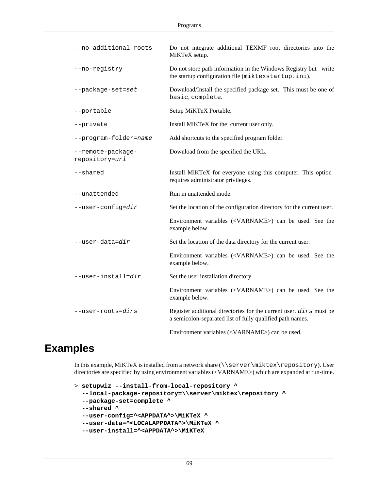| --no-additional-roots               | Do not integrate additional TEXMF root directories into the<br>MiKTeX setup.                                                           |
|-------------------------------------|----------------------------------------------------------------------------------------------------------------------------------------|
| --no-registry                       | Do not store path information in the Windows Registry but write<br>the startup configuration file (miktexstartup.ini).                 |
| --package-set=set                   | Download/Install the specified package set. This must be one of<br>basic, complete.                                                    |
| --portable                          | Setup MiKTeX Portable.                                                                                                                 |
| --private                           | Install MiKTeX for the current user only.                                                                                              |
| --program-folder=name               | Add shortcuts to the specified program folder.                                                                                         |
| --remote-package-<br>repository=url | Download from the specified the URL.                                                                                                   |
| --shared                            | Install MiKTeX for everyone using this computer. This option<br>requires administrator privileges.                                     |
| --unattended                        | Run in unattended mode.                                                                                                                |
| --user-config=dir                   | Set the location of the configuration directory for the current user.                                                                  |
|                                     | Environment variables ( <varname>) can be used. See the<br/>example below.</varname>                                                   |
| --user-data=dir                     | Set the location of the data directory for the current user.                                                                           |
|                                     | Environment variables ( <varname>) can be used. See the<br/>example below.</varname>                                                   |
| $--user-install=dir$                | Set the user installation directory.                                                                                                   |
|                                     | Environment variables ( <varname>) can be used. See the<br/>example below.</varname>                                                   |
| --user-roots=dirs                   | Register additional directories for the current user. <i>dirs</i> must be<br>a semicolon-separated list of fully qualified path names. |
|                                     | Environment variables ( <varname>) can be used.</varname>                                                                              |

#### **Examples**

In this example, MiKTeX is installed from a network share (\\server\miktex\repository). User directories are specified by using environment variables (<VARNAME>) which are expanded at run-time.

```
> setupwiz --install-from-local-repository ^
  --local-package-repository=\\server\miktex\repository ^
   --package-set=complete ^
   --shared ^
  --user-config=^<APPDATA^>\MiKTeX ^
  --user-data=^<LOCALAPPDATA^>\MiKTeX ^
  --user-install=^<APPDATA^>\MiKTeX
```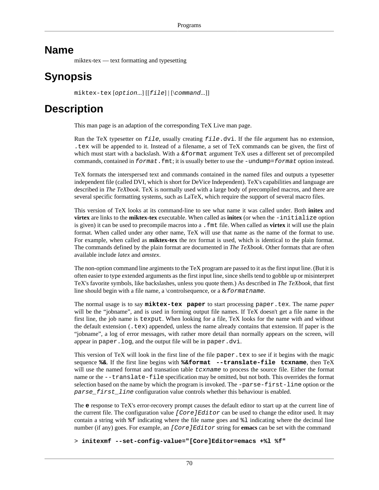miktex-tex — text formatting and typesetting

# **Synopsis**

miktex-tex [option...] [[file] | [\command...]]

## **Description**

This man page is an adaption of the corresponding TeX Live man page.

Run the TeX typesetter on  $Eile$ , usually creating  $Eile$ .dvi. If the file argument has no extension, .tex will be appended to it. Instead of a filename, a set of TeX commands can be given, the first of which must start with a backslash. With a &format argument TeX uses a different set of precompiled commands, contained in  $format$ . fmt; it is usually better to use the -undump=format option instead.

TeX formats the interspersed text and commands contained in the named files and outputs a typesetter independent file (called DVI, which is short for DeVice Independent). TeX's capabilities and language are described in *The TeXbook*. TeX is normally used with a large body of precompiled macros, and there are several specific formatting systems, such as LaTeX, which require the support of several macro files.

This version of TeX looks at its command-line to see what name it was called under. Both **initex** and **virtex** are links to the **miktex-tex** executable. When called as **initex** (or when the -initialize option is given) it can be used to precompile macros into a .fmt file. When called as **virtex** it will use the plain format. When called under any other name, TeX will use that name as the name of the format to use. For example, when called as **miktex-tex** the *tex* format is used, which is identical to the plain format. The commands defined by the plain format are documented in *The TeXbook*. Other formats that are often available include *latex* and *amstex*.

The non-option command line argiments to the TeX program are passed to it as the first input line. (But it is often easier to type extended arguments as the first input line, since shells tend to gobble up or misinterpret TeX's favorite symbols, like backslashes, unless you quote them.) As described in *The TeXbook*, that first line should begin with a file name, a \controlsequence, or a  $&$ formatname.

The normal usage is to say **miktex-tex paper** to start processing paper.tex. The name *paper* will be the "jobname", and is used in forming output file names. If TeX doesn't get a file name in the first line, the job name is texput. When looking for a file, TeX looks for the name with and without the default extension (.tex) appended, unless the name already contains that extension. If paper is the "jobname", a log of error messages, with rather more detail than normally appears on the screen, will appear in paper.log, and the output file will be in paper.dvi.

This version of TeX will look in the first line of the file paper.tex to see if it begins with the magic sequence **%&**. If the first line begins with **%&format --translate-file tcxname**, then TeX will use the named format and transation table tcxname to process the source file. Either the format name or the --translate-file specification may be omitted, but not both. This overrides the format selection based on the name by which the program is invoked. The -parse-first-line option or the parse first line configuration value controls whether this behaviour is enabled.

The **e** response to TeX's error-recovery prompt causes the default editor to start up at the current line of the current file. The configuration value [Core]Editor can be used to change the editor used. It may contain a string with  $\mathcal{E}$  indicating where the file name goes and  $\mathcal{E}$  indicating where the decimal line number (if any) goes. For example, an [Core]Editor string for **emacs** can be set with the command

> **initexmf --set-config-value="[Core]Editor=emacs +%l %f"**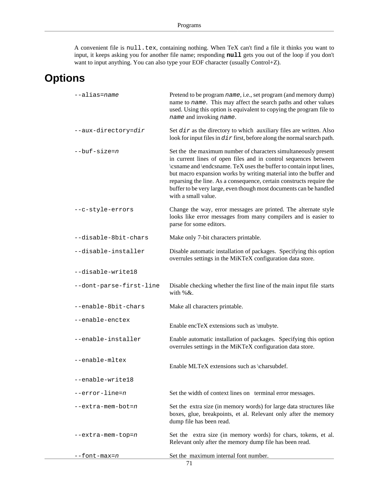A convenient file is null.tex, containing nothing. When TeX can't find a file it thinks you want to input, it keeps asking you for another file name; responding **null** gets you out of the loop if you don't want to input anything. You can also type your EOF character (usually Control+Z).

| --alias=name              | Pretend to be program name, i.e., set program (and memory dump)<br>name to name. This may affect the search paths and other values<br>used. Using this option is equivalent to copying the program file to<br>name and invoking name.                                                                                                                                                                                                               |
|---------------------------|-----------------------------------------------------------------------------------------------------------------------------------------------------------------------------------------------------------------------------------------------------------------------------------------------------------------------------------------------------------------------------------------------------------------------------------------------------|
| --aux-directory=dir       | Set $dir$ as the directory to which auxiliary files are written. Also<br>look for input files in $dir$ first, before along the normal search path.                                                                                                                                                                                                                                                                                                  |
| $--$ buf-size=n           | Set the the maximum number of characters simultaneously present<br>in current lines of open files and in control sequences between<br>\csname and \endcsname. TeX uses the buffer to contain input lines,<br>but macro expansion works by writing material into the buffer and<br>reparsing the line. As a consequence, certain constructs require the<br>buffer to be very large, even though most documents can be handled<br>with a small value. |
| --c-style-errors          | Change the way, error messages are printed. The alternate style<br>looks like error messages from many compilers and is easier to<br>parse for some editors.                                                                                                                                                                                                                                                                                        |
| --disable-8bit-chars      | Make only 7-bit characters printable.                                                                                                                                                                                                                                                                                                                                                                                                               |
| --disable-installer       | Disable automatic installation of packages. Specifying this option<br>overrules settings in the MiKTeX configuration data store.                                                                                                                                                                                                                                                                                                                    |
| --disable-write18         |                                                                                                                                                                                                                                                                                                                                                                                                                                                     |
| --dont-parse-first-line   | Disable checking whether the first line of the main input file starts<br>with $% &$ .                                                                                                                                                                                                                                                                                                                                                               |
| --enable-8bit-chars       | Make all characters printable.                                                                                                                                                                                                                                                                                                                                                                                                                      |
| --enable-enctex           | Enable encTeX extensions such as \mubyte.                                                                                                                                                                                                                                                                                                                                                                                                           |
| --enable-installer        | Enable automatic installation of packages. Specifying this option<br>overrules settings in the MiKTeX configuration data store.                                                                                                                                                                                                                                                                                                                     |
| --enable-mltex            | Enable MLTeX extensions such as \charsubdef.                                                                                                                                                                                                                                                                                                                                                                                                        |
| --enable-write18          |                                                                                                                                                                                                                                                                                                                                                                                                                                                     |
| --error-line=n            | Set the width of context lines on terminal error messages.                                                                                                                                                                                                                                                                                                                                                                                          |
| --extra-mem-bot= <i>n</i> | Set the extra size (in memory words) for large data structures like<br>boxes, glue, breakpoints, et al. Relevant only after the memory<br>dump file has been read.                                                                                                                                                                                                                                                                                  |
| --extra-mem-top=n         | Set the extra size (in memory words) for chars, tokens, et al.<br>Relevant only after the memory dump file has been read.                                                                                                                                                                                                                                                                                                                           |
| --font-max= <i>n</i>      | Set the maximum internal font number.                                                                                                                                                                                                                                                                                                                                                                                                               |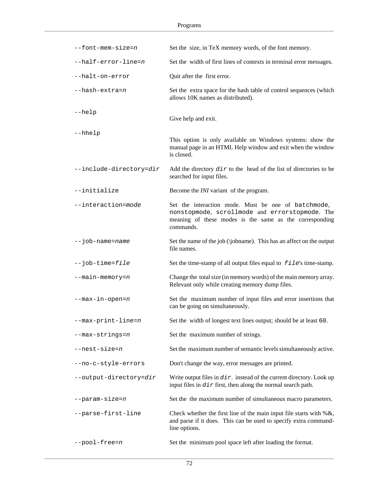| $--font$ - $m$ em- $size=n$ | Set the size, in TeX memory words, of the font memory.                                                                                                                        |
|-----------------------------|-------------------------------------------------------------------------------------------------------------------------------------------------------------------------------|
| --half-error-line=n         | Set the width of first lines of contexts in terminal error messages.                                                                                                          |
| --halt-on-error             | Quit after the first error.                                                                                                                                                   |
| --hash-extra=n              | Set the extra space for the hash table of control sequences (which<br>allows 10K names as distributed).                                                                       |
| $-\text{help}$              | Give help and exit.                                                                                                                                                           |
| --hhelp                     | This option is only available on Windows systems: show the<br>manual page in an HTML Help window and exit when the window<br>is closed.                                       |
| --include-directory=dir     | Add the directory $\text{dir}$ to the head of the list of directories to be<br>searched for input files.                                                                      |
| --initialize                | Become the <i>INI</i> variant of the program.                                                                                                                                 |
| --interaction=mode          | Set the interaction mode. Must be one of batchmode,<br>nonstopmode, scrollmode and errorstopmode. The<br>meaning of these modes is the same as the corresponding<br>commands. |
| --job-name=name             | Set the name of the job (\jobname). This has an affect on the output<br>file names.                                                                                           |
| $--job-time=file$           | Set the time-stamp of all output files equal to $f \perp e$ 's time-stamp.                                                                                                    |
| --main-memory=n             | Change the total size (in memory words) of the main memory array.<br>Relevant only while creating memory dump files.                                                          |
| $-$ -max-in-open= $n$       | Set the maximum number of input files and error insertions that<br>can be going on simultaneously.                                                                            |
| --max-print-line=n          | Set the width of longest text lines output; should be at least 60.                                                                                                            |
| $--max-strings=n$           | Set the maximum number of strings.                                                                                                                                            |
| $--nest-size=n$             | Set the maximum number of semantic levels simultaneously active.                                                                                                              |
| --no-c-style-errors         | Don't change the way, error messages are printed.                                                                                                                             |
| --output-directory=dir      | Write output files in $\text{dir.}$ instead of the current directory. Look up<br>input files in $dir$ first, then along the normal search path.                               |
| $--param-size = n$          | Set the the maximum number of simultaneous macro parameters.                                                                                                                  |
| --parse-first-line          | Check whether the first line of the main input file starts with $\% \&$ ,<br>and parse if it does. This can be used to specify extra command-<br>line options.                |
| --pool-free=n               | Set the minimum pool space left after loading the format.                                                                                                                     |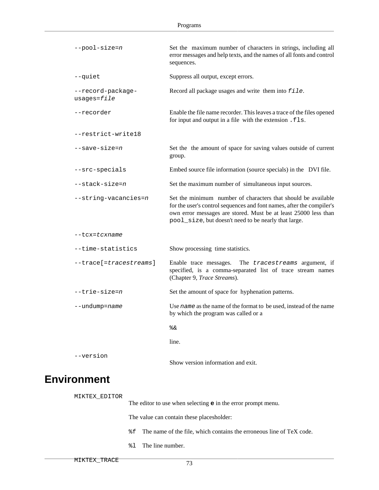| --pool-size=n                        | Set the maximum number of characters in strings, including all<br>error messages and help texts, and the names of all fonts and control<br>sequences.                                                                                                             |
|--------------------------------------|-------------------------------------------------------------------------------------------------------------------------------------------------------------------------------------------------------------------------------------------------------------------|
| --quiet                              | Suppress all output, except errors.                                                                                                                                                                                                                               |
| --record-package-<br>$usages = file$ | Record all package usages and write them into file.                                                                                                                                                                                                               |
| --recorder                           | Enable the file name recorder. This leaves a trace of the files opened<br>for input and output in a file with the extension . fls.                                                                                                                                |
| --restrict-write18                   |                                                                                                                                                                                                                                                                   |
| $--save-size=n$                      | Set the the amount of space for saving values outside of current<br>group.                                                                                                                                                                                        |
| --src-specials                       | Embed source file information (source specials) in the DVI file.                                                                                                                                                                                                  |
| --stack-size=n                       | Set the maximum number of simultaneous input sources.                                                                                                                                                                                                             |
| --string-vacancies=n                 | Set the minimum number of characters that should be available<br>for the user's control sequences and font names, after the compiler's<br>own error messages are stored. Must be at least 25000 less than<br>pool_size, but doesn't need to be nearly that large. |
| --tcx=tcxname                        |                                                                                                                                                                                                                                                                   |
| --time-statistics                    | Show processing time statistics.                                                                                                                                                                                                                                  |
| --trace[=tracestreams]               | Enable trace messages. The tracestreams argument, if<br>specified, is a comma-separated list of trace stream names<br>(Chapter 9, Trace Streams).                                                                                                                 |
| --trie-size=n                        | Set the amount of space for hyphenation patterns.                                                                                                                                                                                                                 |
| --undump=name                        | Use name as the name of the format to be used, instead of the name<br>by which the program was called or a                                                                                                                                                        |
|                                      | ಕಿ&                                                                                                                                                                                                                                                               |
|                                      | line.                                                                                                                                                                                                                                                             |
| --version                            | Show version information and exit.                                                                                                                                                                                                                                |

## **Environment**

| MIKTEX EDITOR | The editor to use when selecting $e$ in the error prompt menu.           |
|---------------|--------------------------------------------------------------------------|
|               | The value can contain these placesholder:                                |
|               | § f The name of the file, which contains the erroneous line of TeX code. |
|               | The line number.<br>ዱ ገ                                                  |
|               |                                                                          |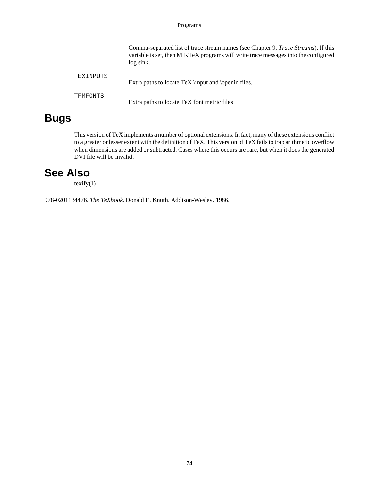|           | Comma-separated list of trace stream names (see Chapter 9, <i>Trace Streams</i> ). If this<br>variable is set, then MiKTeX programs will write trace messages into the configured<br>log sink. |
|-----------|------------------------------------------------------------------------------------------------------------------------------------------------------------------------------------------------|
| TEXINPUTS | Extra paths to locate $TeX \input$ and \openin files.                                                                                                                                          |
| TFMFONTS  | Extra paths to locate TeX font metric files                                                                                                                                                    |

#### **Bugs**

This version of TeX implements a number of optional extensions. In fact, many of these extensions conflict to a greater or lesser extent with the definition of TeX. This version of TeX fails to trap arithmetic overflow when dimensions are added or subtracted. Cases where this occurs are rare, but when it does the generated DVI file will be invalid.

#### **See Also**

texify(1)

978-0201134476. *The TeXbook*. Donald E. Knuth. Addison-Wesley. 1986.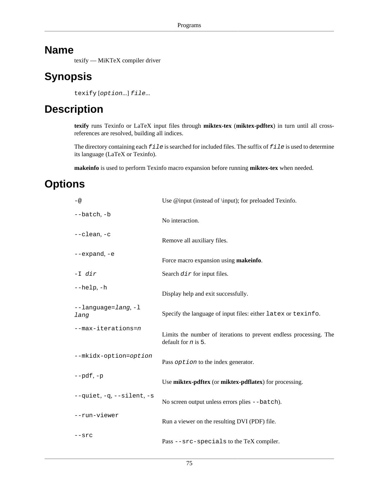texify — MiKTeX compiler driver

# **Synopsis**

texify [option...] file...

#### **Description**

**texify** runs Texinfo or LaTeX input files through **miktex-tex** (**miktex-pdftex**) in turn until all crossreferences are resolved, building all indices.

The directory containing each  $f$  i  $l$  is searched for included files. The suffix of  $f$  i  $l$  is used to determine its language (LaTeX or Texinfo).

**makeinfo** is used to perform Texinfo macro expansion before running **miktex-tex** when needed.

| $-\omega$                  | Use $@$ input (instead of \input); for preloaded Texinfo.                                        |
|----------------------------|--------------------------------------------------------------------------------------------------|
| --batch, -b                | No interaction.                                                                                  |
| --clean, -c                | Remove all auxiliary files.                                                                      |
| --expand, -e               | Force macro expansion using makeinfo.                                                            |
| -I dir                     | Search $\text{dir}$ for input files.                                                             |
| $-$ help, $-$ h            | Display help and exit successfully.                                                              |
| --language=lang,-1<br>lang | Specify the language of input files: either latex or texinfo.                                    |
| --max-iterations=n         | Limits the number of iterations to prevent endless processing. The<br>default for <i>n</i> is 5. |
| --mkidx-option=option      | Pass option to the index generator.                                                              |
| $--pdf, -p$                | Use miktex-pdftex (or miktex-pdflatex) for processing.                                           |
| --quiet, -q, --silent, -s  | No screen output unless errors plies --batch).                                                   |
| --run-viewer               | Run a viewer on the resulting DVI (PDF) file.                                                    |
| $--src$                    | Pass --src-specials to the TeX compiler.                                                         |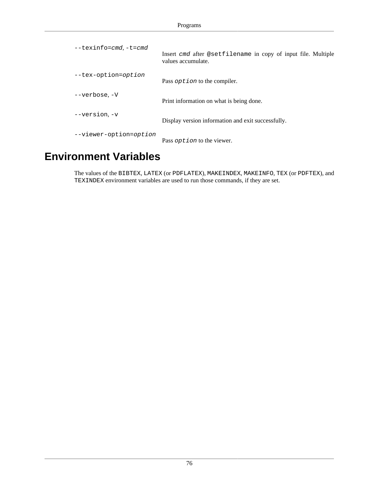| --texinfo=cmd,-t=cmd   | Insert cmd after @setfilename in copy of input file. Multiple<br>values accumulate. |
|------------------------|-------------------------------------------------------------------------------------|
| --tex-option=option    | Pass <i>option</i> to the compiler.                                                 |
| --verbose.-V           | Print information on what is being done.                                            |
| $-$ -version, $-v$     | Display version information and exit successfully.                                  |
| --viewer-option=option | Pass <i>option</i> to the viewer.                                                   |

## **Environment Variables**

The values of the BIBTEX, LATEX (or PDFLATEX), MAKEINDEX, MAKEINFO, TEX (or PDFTEX), and TEXINDEX environment variables are used to run those commands, if they are set.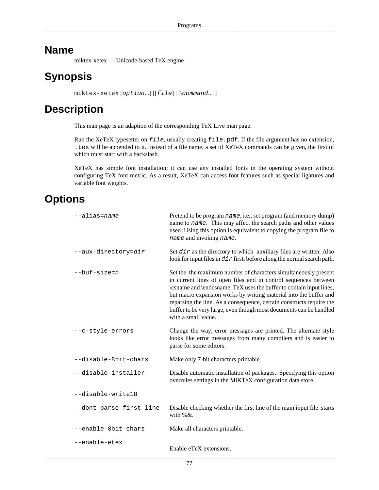miktex-xetex — Unicode-based TeX engine

# **Synopsis**

miktex-xetex [option...] [[file] | [\command...]]

#### **Description**

This man page is an adaption of the corresponding TeX Live man page.

Run the XeTeX typesetter on  $file$ , usually creating  $file$ . pdf. If the file argument has no extension, .tex will be appended to it. Instead of a file name, a set of XeTeX commands can be given, the first of which must start with a backslash.

XeTeX has simple font installation; it can use any installed fonts in the operating system without configuring TeX font metric. As a result, XeTeX can access font features such as special ligatures and variable font weights.

| --alias=name            | Pretend to be program <i>name</i> , i.e., set program (and memory dump)<br>name to name. This may affect the search paths and other values<br>used. Using this option is equivalent to copying the program file to<br>name and invoking name.                                                                                                                                                                                                       |
|-------------------------|-----------------------------------------------------------------------------------------------------------------------------------------------------------------------------------------------------------------------------------------------------------------------------------------------------------------------------------------------------------------------------------------------------------------------------------------------------|
| --aux-directory=dir     | Set $dir$ as the directory to which auxiliary files are written. Also<br>look for input files in $dir$ first, before along the normal search path.                                                                                                                                                                                                                                                                                                  |
| $--$ buf-size=n         | Set the the maximum number of characters simultaneously present<br>in current lines of open files and in control sequences between<br>\csname and \endcsname. TeX uses the buffer to contain input lines,<br>but macro expansion works by writing material into the buffer and<br>reparsing the line. As a consequence, certain constructs require the<br>buffer to be very large, even though most documents can be handled<br>with a small value. |
| --c-style-errors        | Change the way, error messages are printed. The alternate style<br>looks like error messages from many compilers and is easier to<br>parse for some editors.                                                                                                                                                                                                                                                                                        |
| --disable-8bit-chars    | Make only 7-bit characters printable.                                                                                                                                                                                                                                                                                                                                                                                                               |
| --disable-installer     | Disable automatic installation of packages. Specifying this option<br>overrules settings in the MiKTeX configuration data store.                                                                                                                                                                                                                                                                                                                    |
| --disable-write18       |                                                                                                                                                                                                                                                                                                                                                                                                                                                     |
| --dont-parse-first-line | Disable checking whether the first line of the main input file starts<br>with $% &$ .                                                                                                                                                                                                                                                                                                                                                               |
| --enable-8bit-chars     | Make all characters printable.                                                                                                                                                                                                                                                                                                                                                                                                                      |
| --enable-etex           | Enable eTeX extensions.                                                                                                                                                                                                                                                                                                                                                                                                                             |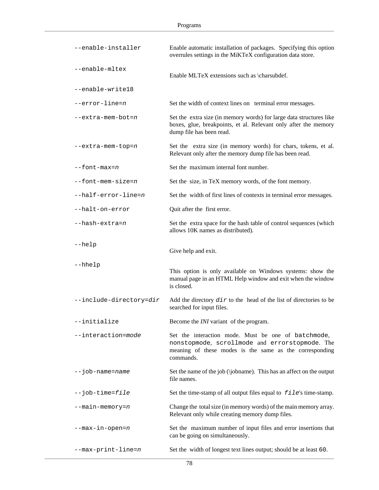| --enable-installer       | Enable automatic installation of packages. Specifying this option<br>overrules settings in the MiKTeX configuration data store.                                               |
|--------------------------|-------------------------------------------------------------------------------------------------------------------------------------------------------------------------------|
| --enable-mltex           | Enable MLTeX extensions such as \charsubdef.                                                                                                                                  |
| --enable-write18         |                                                                                                                                                                               |
| --error-line=n           | Set the width of context lines on terminal error messages.                                                                                                                    |
| --extra-mem-bot=n        | Set the extra size (in memory words) for large data structures like<br>boxes, glue, breakpoints, et al. Relevant only after the memory<br>dump file has been read.            |
| --extra-mem-top=n        | Set the extra size (in memory words) for chars, tokens, et al.<br>Relevant only after the memory dump file has been read.                                                     |
| $--font-max=n$           | Set the maximum internal font number.                                                                                                                                         |
| $--font$ - $m$ em-size=n | Set the size, in TeX memory words, of the font memory.                                                                                                                        |
| --half-error-line=n      | Set the width of first lines of contexts in terminal error messages.                                                                                                          |
| --halt-on-error          | Quit after the first error.                                                                                                                                                   |
| --hash-extra=n           | Set the extra space for the hash table of control sequences (which<br>allows 10K names as distributed).                                                                       |
| $-\text{help}$           | Give help and exit.                                                                                                                                                           |
| --hhelp                  | This option is only available on Windows systems: show the<br>manual page in an HTML Help window and exit when the window<br>is closed.                                       |
| --include-directory=dir  | Add the directory $dir$ to the head of the list of directories to be<br>searched for input files.                                                                             |
| --initialize             |                                                                                                                                                                               |
|                          | Become the <i>INI</i> variant of the program.                                                                                                                                 |
| --interaction=mode       | Set the interaction mode. Must be one of batchmode,<br>nonstopmode, scrollmode and errorstopmode. The<br>meaning of these modes is the same as the corresponding<br>commands. |
| --job-name=name          | Set the name of the job (\jobname). This has an affect on the output<br>file names.                                                                                           |
| $--job-time=file$        | Set the time-stamp of all output files equal to $f \perp e$ 's time-stamp.                                                                                                    |
| --main-memory=n          | Change the total size (in memory words) of the main memory array.<br>Relevant only while creating memory dump files.                                                          |
| $-$ -max-in-open= $n$    | Set the maximum number of input files and error insertions that<br>can be going on simultaneously.                                                                            |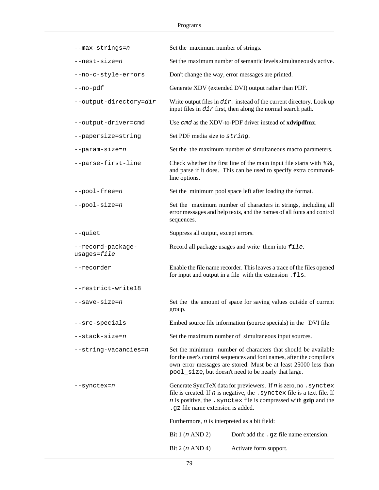| $--max-strings=n$                    | Set the maximum number of strings.                                                                                                                                                                                                                                |                                                                                                                                         |
|--------------------------------------|-------------------------------------------------------------------------------------------------------------------------------------------------------------------------------------------------------------------------------------------------------------------|-----------------------------------------------------------------------------------------------------------------------------------------|
| $--nest-size=n$                      | Set the maximum number of semantic levels simultaneously active.                                                                                                                                                                                                  |                                                                                                                                         |
| --no-c-style-errors                  | Don't change the way, error messages are printed.                                                                                                                                                                                                                 |                                                                                                                                         |
| --no-pdf                             | Generate XDV (extended DVI) output rather than PDF.                                                                                                                                                                                                               |                                                                                                                                         |
| --output-directory=dir               | Write output files in $dir$ . instead of the current directory. Look up<br>input files in $dir$ first, then along the normal search path.                                                                                                                         |                                                                                                                                         |
| --output-driver=cmd                  | Use cmd as the XDV-to-PDF driver instead of xdvipdfmx.                                                                                                                                                                                                            |                                                                                                                                         |
| --papersize=string                   | Set PDF media size to string.                                                                                                                                                                                                                                     |                                                                                                                                         |
| $--param-size = n$                   | Set the the maximum number of simultaneous macro parameters.                                                                                                                                                                                                      |                                                                                                                                         |
| --parse-first-line                   | Check whether the first line of the main input file starts with $% &,$<br>and parse if it does. This can be used to specify extra command-<br>line options.                                                                                                       |                                                                                                                                         |
| --pool-free=n                        | Set the minimum pool space left after loading the format.                                                                                                                                                                                                         |                                                                                                                                         |
| --pool-size=n                        | sequences.                                                                                                                                                                                                                                                        | Set the maximum number of characters in strings, including all<br>error messages and help texts, and the names of all fonts and control |
| --quiet                              | Suppress all output, except errors.                                                                                                                                                                                                                               |                                                                                                                                         |
| --record-package-<br>$usages = file$ | Record all package usages and write them into $file$ .                                                                                                                                                                                                            |                                                                                                                                         |
| --recorder                           | Enable the file name recorder. This leaves a trace of the files opened<br>for input and output in a file with the extension . fls.                                                                                                                                |                                                                                                                                         |
| --restrict-write18                   |                                                                                                                                                                                                                                                                   |                                                                                                                                         |
| --save-size=n                        | Set the the amount of space for saving values outside of current<br>group.                                                                                                                                                                                        |                                                                                                                                         |
| --src-specials                       | Embed source file information (source specials) in the DVI file.                                                                                                                                                                                                  |                                                                                                                                         |
| --stack-size=n                       | Set the maximum number of simultaneous input sources.                                                                                                                                                                                                             |                                                                                                                                         |
| --string-vacancies=n                 | Set the minimum number of characters that should be available<br>for the user's control sequences and font names, after the compiler's<br>own error messages are stored. Must be at least 25000 less than<br>pool_size, but doesn't need to be nearly that large. |                                                                                                                                         |
| --synctex= <i>n</i>                  | Generate SyncTeX data for previewers. If n is zero, no. synctex<br>file is created. If $n$ is negative, the . synctex file is a text file. If<br>n is positive, the . synctex file is compressed with gzip and the<br>. gz file name extension is added.          |                                                                                                                                         |
|                                      | Furthermore, <i>n</i> is interpreted as a bit field:                                                                                                                                                                                                              |                                                                                                                                         |
|                                      | Bit $1(n$ AND $2)$                                                                                                                                                                                                                                                | Don't add the .gz file name extension.                                                                                                  |
|                                      | Bit $2(n$ AND 4)                                                                                                                                                                                                                                                  | Activate form support.                                                                                                                  |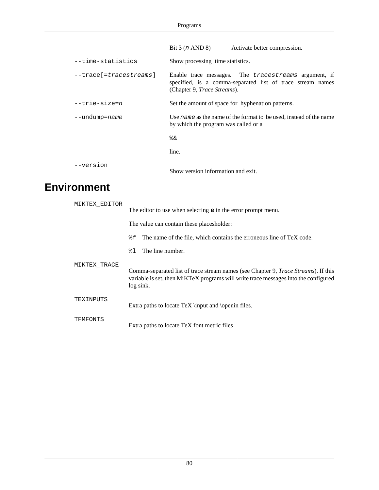|                        | Bit $3(n$ AND $8)$                                                                                         | Activate better compression.                                                                                       |
|------------------------|------------------------------------------------------------------------------------------------------------|--------------------------------------------------------------------------------------------------------------------|
| --time-statistics      | Show processing time statistics.                                                                           |                                                                                                                    |
| --trace[=tracestreams] | (Chapter 9, <i>Trace Streams</i> ).                                                                        | Enable trace messages. The tracestreams argument, if<br>specified, is a comma-separated list of trace stream names |
| $-$ trie-size= $n$     |                                                                                                            | Set the amount of space for hyphenation patterns.                                                                  |
| --undump=name          | Use name as the name of the format to be used, instead of the name<br>by which the program was called or a |                                                                                                                    |
|                        | ಕೆ &                                                                                                       |                                                                                                                    |
|                        | line.                                                                                                      |                                                                                                                    |
| --version              | Show version information and exit.                                                                         |                                                                                                                    |

# **Environment**

| MIKTEX EDITOR | The editor to use when selecting $e$ in the error prompt menu.                                                                                                                                 |  |  |
|---------------|------------------------------------------------------------------------------------------------------------------------------------------------------------------------------------------------|--|--|
|               | The value can contain these placesholder:                                                                                                                                                      |  |  |
|               | The name of the file, which contains the erroneous line of TeX code.<br>%f                                                                                                                     |  |  |
|               | The line number.<br>%l                                                                                                                                                                         |  |  |
| MIKTEX TRACE  | Comma-separated list of trace stream names (see Chapter 9, <i>Trace Streams</i> ). If this<br>variable is set, then MiKTeX programs will write trace messages into the configured<br>log sink. |  |  |
| TEXINPUTS     | Extra paths to locate $TeX \input$ and \openin files.                                                                                                                                          |  |  |
| TFMFONTS      | Extra paths to locate TeX font metric files                                                                                                                                                    |  |  |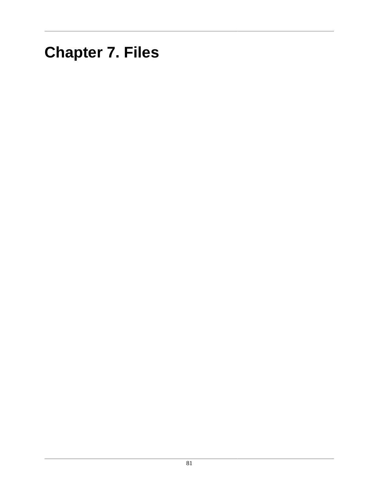# **Chapter 7. Files**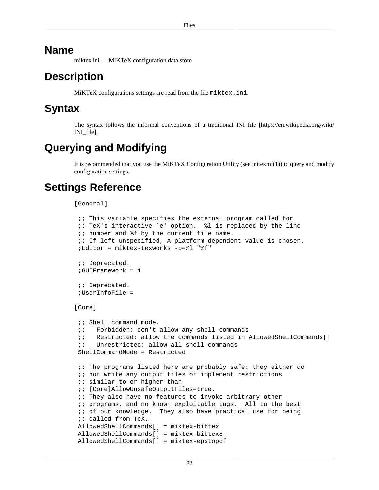miktex.ini — MiKTeX configuration data store

# **Description**

MiKTeX configurations settings are read from the file miktex.ini.

## **Syntax**

The syntax follows the informal conventions of a traditional [INI file](https://en.wikipedia.org/wiki/INI_file) [[https://en.wikipedia.org/wiki/](https://en.wikipedia.org/wiki/INI_file) [INI\\_file](https://en.wikipedia.org/wiki/INI_file)].

# **Querying and Modifying**

It is recommended that you use the MiKTeX Configuration Utility (see initexmf(1)) to query and modify configuration settings.

## **Settings Reference**

```
[General]
```

```
 ;; This variable specifies the external program called for
  ;; TeX's interactive `e' option. %l is replaced by the line
  ;; number and %f by the current file name.
  ;; If left unspecified, A platform dependent value is chosen.
  ;Editor = miktex-texworks -p=%l "%f"
  ;; Deprecated.
  ;GUIFramework = 1
  ;; Deprecated.
  ;UserInfoFile = 
[Core]
  ;; Shell command mode.
  ;; Forbidden: don't allow any shell commands
  ;; Restricted: allow the commands listed in AllowedShellCommands[]
  ;; Unrestricted: allow all shell commands
  ShellCommandMode = Restricted
  ;; The programs listed here are probably safe: they either do
 i; not write any output files or implement restrictions
 i; similar to or higher than
  ;; [Core]AllowUnsafeOutputFiles=true.
  ;; They also have no features to invoke arbitrary other
  ;; programs, and no known exploitable bugs. All to the best
  ;; of our knowledge. They also have practical use for being
  ;; called from TeX.
 AllowedShellCommands[] = miktex-bibtex
 AllowedShellCommands[] = miktex-bibtex8
 AllowedShellCommands[] = miktex-epstopdf
```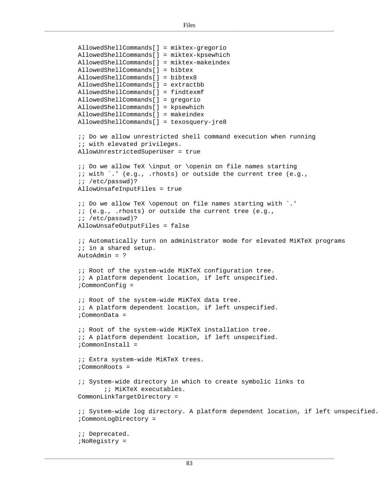```
 AllowedShellCommands[] = miktex-gregorio
 AllowedShellCommands[] = miktex-kpsewhich
 AllowedShellCommands[] = miktex-makeindex
 AllowedShellCommands[] = bibtex
 AllowedShellCommands[] = bibtex8
 AllowedShellCommands[] = extractbb
 AllowedShellCommands[] = findtexmf
 AllowedShellCommands[] = gregorio
 AllowedShellCommands[] = kpsewhich
 AllowedShellCommands[] = makeindex
 AllowedShellCommands[] = texosquery-jre8
 ;; Do we allow unrestricted shell command execution when running
: with elevated privileges.
 AllowUnrestrictedSuperUser = true
i: Do we allow TeX \input or \openin on file names starting
 ;; with `.' (e.g., .rhosts) or outside the current tree (e.g.,
 ;; /etc/passwd)?
 AllowUnsafeInputFiles = true
 ;; Do we allow TeX \openout on file names starting with `.'
 ;; (e.g., .rhosts) or outside the current tree (e.g.,
 ;; /etc/passwd)?
 AllowUnsafeOutputFiles = false
 ;; Automatically turn on administrator mode for elevated MiKTeX programs
 ;; in a shared setup.
 AutoAdmin = ?
: Root of the system-wide MiKTeX configuration tree.
 ;; A platform dependent location, if left unspecified.
 ;CommonConfig = 
: Root of the system-wide MiKTeX data tree.
i: A platform dependent location, if left unspecified.
 ;CommonData = 
: Root of the system-wide MiKTeX installation tree.
i: A platform dependent location, if left unspecified.
 ;CommonInstall = 
: Extra system-wide MiKTeX trees.
 ;CommonRoots = 
 ;; System-wide directory in which to create symbolic links to
        ;; MiKTeX executables.
 CommonLinkTargetDirectory = 
 ;; System-wide log directory. A platform dependent location, if left unspecified.
 ;CommonLogDirectory = 
 ;; Deprecated.
 ;NoRegistry =
```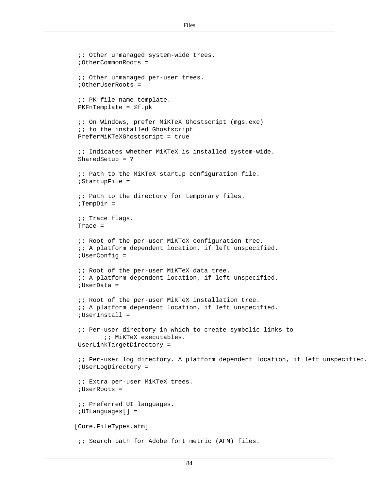: Other unmanaged system-wide trees.

```
 ;OtherCommonRoots = 
  ;; Other unmanaged per-user trees.
  ;OtherUserRoots = 
  ;; PK file name template.
 PKFnTemplate = %f.pk
  ;; On Windows, prefer MiKTeX Ghostscript (mgs.exe)
 i; to the installed Ghostscript
 PreferMiKTeXGhostscript = true
  ;; Indicates whether MiKTeX is installed system-wide.
 SharedSetup = ?
 i; Path to the MiKTeX startup configuration file.
  ;StartupFile = 
 i; Path to the directory for temporary files.
  ;TempDir =
  ;; Trace flags.
 Trace =
 : Root of the per-user MiKTeX configuration tree.
 i: A platform dependent location, if left unspecified.
  ;UserConfig = 
 : ; Root of the per-user MiKTeX data tree.
  ;; A platform dependent location, if left unspecified.
  ;UserData = 
 : Root of the per-user MiKTeX installation tree.
 i: A platform dependent location, if left unspecified.
  ;UserInstall = 
 : Per-user directory in which to create symbolic links to
         ;; MiKTeX executables.
 UserLinkTargetDirectory = 
  ;; Per-user log directory. A platform dependent location, if left unspecified.
  ;UserLogDirectory = 
 ;; Extra per-user MiKTeX trees.
  ;UserRoots = 
  ;; Preferred UI languages.
  ;UILanguages[] = 
[Core.FileTypes.afm]
 : Search path for Adobe font metric (AFM) files.
```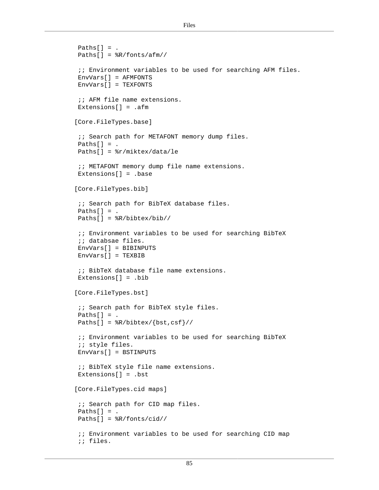```
 Paths[] = .
Paths[] = \frac{8R}{fonts}/\frac{4fm}{f} ;; Environment variables to be used for searching AFM files.
 EnvVars[] = AFMFONTS
 EnvVars[] = TEXFONTS
  ;; AFM file name extensions.
 Extensions[] = .afm
[Core.FileTypes.base]
 : Search path for METAFONT memory dump files.
Paths[] = . Paths[] = %r/miktex/data/le
  ;; METAFONT memory dump file name extensions.
 Extensions[] = .base
[Core.FileTypes.bib]
 ;; Search path for BibTeX database files.
 Paths[] = .
 Paths[] = %R/bibtex/bib//
  ;; Environment variables to be used for searching BibTeX
  ;; databsae files.
 EnvVars[] = BIBINPUTS
 EnvVars[] = TEXBIB
  ;; BibTeX database file name extensions.
 Extensions[] = .bib
[Core.FileTypes.bst]
  ;; Search path for BibTeX style files.
Paths[] = .Paths[] = R/bibtex/{bst,csf}//
 :: Environment variables to be used for searching BibTeX
  ;; style files.
 EnvVars[] = BSTINPUTS
  ;; BibTeX style file name extensions.
 Extensions[] = .bst
[Core.FileTypes.cid maps]
 \forall i Search path for CID map files.
Paths[] = . Paths[] = %R/fonts/cid//
  ;; Environment variables to be used for searching CID map
  ;; files.
```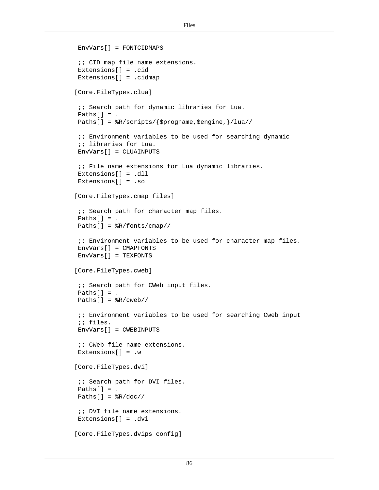```
 EnvVars[] = FONTCIDMAPS
  ;; CID map file name extensions.
 Extensions[] = .cid
 Extensions[] = .cidmap
[Core.FileTypes.clua]
  ;; Search path for dynamic libraries for Lua.
Paths[] = . Paths[] = %R/scripts/{$progname,$engine,}/lua//
  ;; Environment variables to be used for searching dynamic
  ;; libraries for Lua.
 EnvVars[] = CLUAINPUTS
  ;; File name extensions for Lua dynamic libraries.
 Extensions[] = .dll
 Extensions[] = .so
[Core.FileTypes.cmap files]
 \forall i Search path for character map files.
Paths[] = . Paths[] = %R/fonts/cmap//
 ;; Environment variables to be used for character map files.
 EnvVars[] = CMAPFONTS
 EnvVars[] = TEXFONTS
[Core.FileTypes.cweb]
  ;; Search path for CWeb input files.
Paths[] = .Paths[] = R/cweb// ;; Environment variables to be used for searching Cweb input
  ;; files.
 EnvVars[] = CWEBINPUTS
 ;; CWeb file name extensions.
 Extensions[] = .w
[Core.FileTypes.dvi]
  ;; Search path for DVI files.
Paths[] = .Paths[] = R/doc//
  ;; DVI file name extensions.
 Extensions[] = .dvi
[Core.FileTypes.dvips config]
```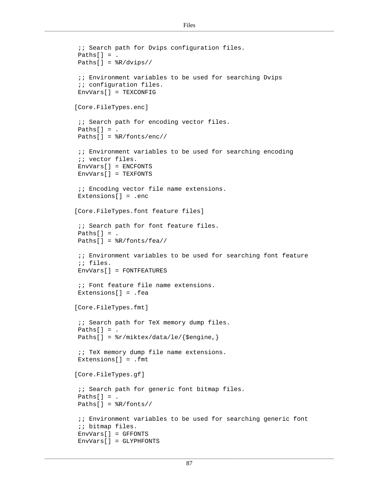```
 ;; Search path for Dvips configuration files.
Paths[] = . Paths[] = %R/dvips//
 :: Environment variables to be used for searching Dvips
  ;; configuration files.
 EnvVars[] = TEXCONFIG
[Core.FileTypes.enc]
 \forall i Search path for encoding vector files.
Paths[] = . Paths[] = %R/fonts/enc//
 ;; Environment variables to be used for searching encoding
  ;; vector files.
 EnvVars[] = ENCFONTS
 EnvVars[] = TEXFONTS
 \ldots Encoding vector file name extensions.
 Extensions[] = .enc
[Core.FileTypes.font feature files]
 \forall i Search path for font feature files.
Paths[] = . Paths[] = %R/fonts/fea//
 ;; Environment variables to be used for searching font feature
  ;; files.
 EnvVars[] = FONTFEATURES
  ;; Font feature file name extensions.
 Extensions[] = .fea
[Core.FileTypes.fmt]
 \forall i Search path for TeX memory dump files.
Paths[] = . Paths[] = %r/miktex/data/le/{$engine,}
  ;; TeX memory dump file name extensions.
 Extensions[] = .fmt
[Core.FileTypes.gf]
 \ldots ; : Search path for generic font bitmap files.
Paths[] = . Paths[] = %R/fonts//
 ;; Environment variables to be used for searching generic font
  ;; bitmap files.
 EnvVars[] = GFFONTS
 EnvVars[] = GLYPHFONTS
```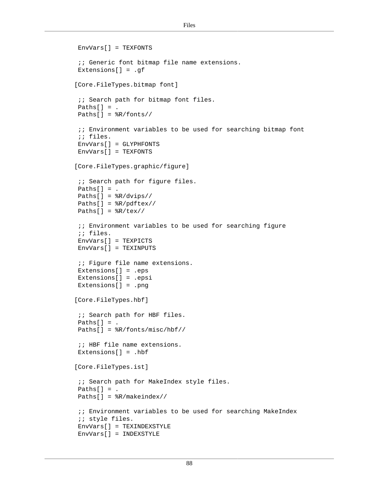```
 EnvVars[] = TEXFONTS
  ;; Generic font bitmap file name extensions.
 Extensions[] = .gf
[Core.FileTypes.bitmap font]
 ;; Search path for bitmap font files.
Paths[] = . Paths[] = %R/fonts//
 ;; Environment variables to be used for searching bitmap font
  ;; files.
 EnvVars[] = GLYPHFONTS
 EnvVars[] = TEXFONTS
[Core.FileTypes.graphic/figure]
 i; Search path for figure files.
Paths[] = . Paths[] = %R/dvips//
 Paths[] = %R/pdftex//
Paths[] = %R/text/i: Environment variables to be used for searching figure
  ;; files.
 EnvVars[] = TEXPICTS
 EnvVars[] = TEXINPUTS
 ;; Figure file name extensions.
 Extensions[] = .eps
 Extensions[] = .epsi
 Extensions[] = .png
[Core.FileTypes.hbf]
: Search path for HBF files.
 Paths[] = .
 Paths[] = %R/fonts/misc/hbf//
 ;; HBF file name extensions.
 Extensions[] = .hbf
[Core.FileTypes.ist]
 : Search path for MakeIndex style files.
Paths[] = . Paths[] = %R/makeindex//
 ;; Environment variables to be used for searching MakeIndex
  ;; style files.
 EnvVars[] = TEXINDEXSTYLE
 EnvVars[] = INDEXSTYLE
```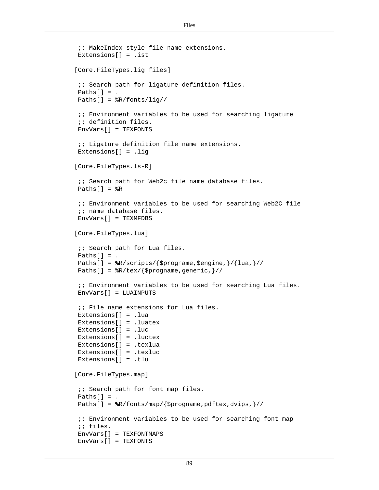```
 ;; MakeIndex style file name extensions.
 Extensions[] = .ist
[Core.FileTypes.lig files]
  ;; Search path for ligature definition files.
Paths[] = .Paths[] = \frac{8R}{fonts}/\frac{1}{q}/ ;; Environment variables to be used for searching ligature
  ;; definition files.
 EnvVars[] = TEXFONTS
  ;; Ligature definition file name extensions.
 Extensions[] = .lig
[Core.FileTypes.ls-R]
 : Search path for Web2c file name database files.
Paths[] = <math>8R</math> ;; Environment variables to be used for searching Web2C file
  ;; name database files.
 EnvVars[] = TEXMFDBS
[Core.FileTypes.lua]
  ;; Search path for Lua files.
Paths[] = .Paths[] = R/scripts / \{sprogname, $engine, \} / \{lua, \} //Paths[] = R/\text{tex}/\{\text{sprogname}}, generic, \frac{1}{1} ;; Environment variables to be used for searching Lua files.
 EnvVars[] = LUAINPUTS
  ;; File name extensions for Lua files.
 Extensions[] = .lua
 Extensions[] = .luatex
 Extensions[] = .luc
 Extensions[] = .luctex
 Extensions[] = .texlua
 Extensions[] = .texluc
 Extensions[] = .tlu
[Core.FileTypes.map]
 i; Search path for font map files.
Paths[] = . Paths[] = %R/fonts/map/{$progname,pdftex,dvips,}//
  ;; Environment variables to be used for searching font map
  ;; files.
 EnvVars[] = TEXFONTMAPS
 EnvVars[] = TEXFONTS
```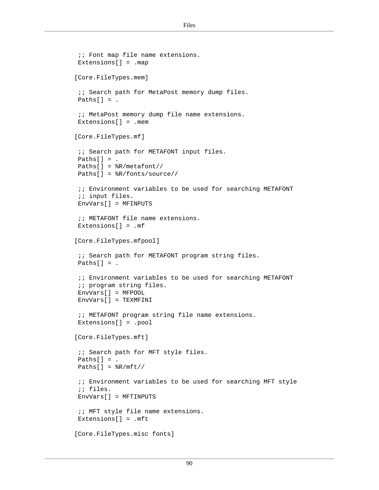```
 ;; Font map file name extensions.
 Extensions[] = .map
[Core.FileTypes.mem]
 \ldots Search path for MetaPost memory dump files.
Paths[] = . ;; MetaPost memory dump file name extensions.
 Extensions[] = .mem
[Core.FileTypes.mf]
 ;; Search path for METAFONT input files.
Paths[] = . Paths[] = %R/metafont//
 Paths[] = %R/fonts/source//
  ;; Environment variables to be used for searching METAFONT
  ;; input files.
 EnvVars[] = MFINPUTS
  ;; METAFONT file name extensions.
 Extensions[] = .mf
[Core.FileTypes.mfpool]
: Search path for METAFONT program string files.
Paths[] = .: Environment variables to be used for searching METAFONT
  ;; program string files.
 EnvVars[] = MFPOOL
 EnvVars[] = TEXMFINI
  ;; METAFONT program string file name extensions.
 Extensions[] = .pool
[Core.FileTypes.mft]
 i; Search path for MFT style files.
Paths[] = .Paths[ ] = R/mft// ;; Environment variables to be used for searching MFT style
  ;; files.
 EnvVars[] = MFTINPUTS
 ;; MFT style file name extensions.
 Extensions[] = .mft
[Core.FileTypes.misc fonts]
```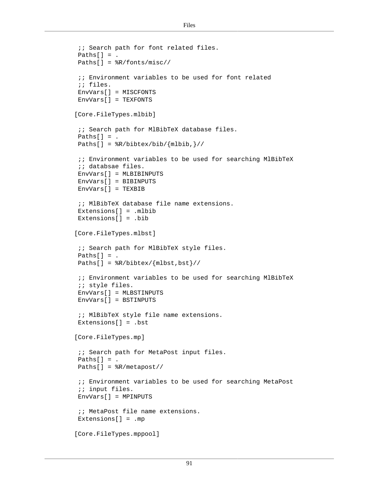```
i; Search path for font related files.
Paths[] = . Paths[] = %R/fonts/misc//
 \forall i Environment variables to be used for font related
  ;; files.
 EnvVars[] = MISCFONTS
 EnvVars[] = TEXFONTS
[Core.FileTypes.mlbib]
 \forall i Search path for MlBibTeX database files.
Paths[] = .Paths[] = R/bibtex/bib/(mlbib,}//:: Environment variables to be used for searching MlBibTeX
  ;; databsae files.
 EnvVars[] = MLBIBINPUTS
 EnvVars[] = BIBINPUTS
 EnvVars[] = TEXBIB
 ;; MlBibTeX database file name extensions.
 Extensions[] = .mlbib
 Extensions[] = .bib
[Core.FileTypes.mlbst]
  ;; Search path for MlBibTeX style files.
Paths[] = .Paths[] = R/bibtex/{mlbst,bst}//
 :: Environment variables to be used for searching MlBibTeX
  ;; style files.
 EnvVars[] = MLBSTINPUTS
 EnvVars[] = BSTINPUTS
  ;; MlBibTeX style file name extensions.
 Extensions[] = .bst
[Core.FileTypes.mp]
  ;; Search path for MetaPost input files.
Paths[] = . Paths[] = %R/metapost//
  ;; Environment variables to be used for searching MetaPost
  ;; input files.
 EnvVars[] = MPINPUTS
  ;; MetaPost file name extensions.
 Extensions[] = .mp
[Core.FileTypes.mppool]
```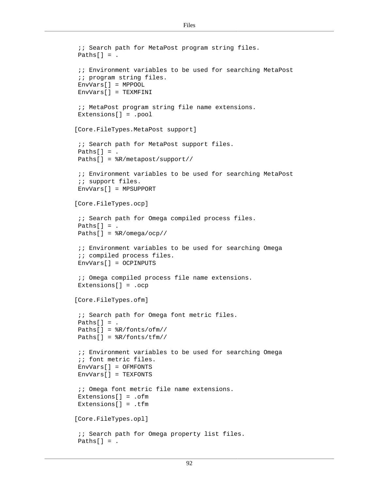```
\forall i Search path for MetaPost program string files.
Paths[] = . ;; Environment variables to be used for searching MetaPost
  ;; program string files.
 EnvVars[] = MPPOOL
 EnvVars[] = TEXMFINI
  ;; MetaPost program string file name extensions.
 Extensions[] = .pool
[Core.FileTypes.MetaPost support]
 : Search path for MetaPost support files.
Paths[] = . Paths[] = %R/metapost/support//
 :: Environment variables to be used for searching MetaPost
  ;; support files.
 EnvVars[] = MPSUPPORT
[Core.FileTypes.ocp]
  ;; Search path for Omega compiled process files.
Paths[] = . Paths[] = %R/omega/ocp//
 :: Environment variables to be used for searching Omega
 i compiled process files.
 EnvVars[] = OCPINPUTS
  ;; Omega compiled process file name extensions.
 Extensions[] = .ocp
[Core.FileTypes.ofm]
 : Search path for Omega font metric files.
Paths[] = . Paths[] = %R/fonts/ofm//
 Paths[] = %R/fonts/tfm//
  ;; Environment variables to be used for searching Omega
  ;; font metric files.
 EnvVars[] = OFMFONTS
 EnvVars[] = TEXFONTS
  ;; Omega font metric file name extensions.
 Extensions[] = .ofm
 Extensions[] = .tfm
[Core.FileTypes.opl]
 : Search path for Omega property list files.
Paths[] = .
```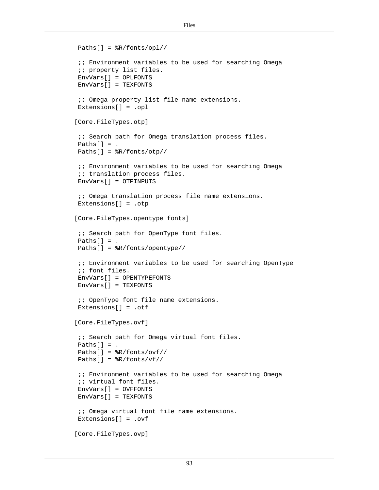```
 Paths[] = %R/fonts/opl//
 :: Environment variables to be used for searching Omega
  ;; property list files.
 EnvVars[] = OPLFONTS
 EnvVars[] = TEXFONTS
  ;; Omega property list file name extensions.
 Extensions[] = .opl
[Core.FileTypes.otp]
  ;; Search path for Omega translation process files.
Paths[] = .Paths[] = R/fonts/otp/:: Environment variables to be used for searching Omega
 \cdots i; translation process files.
 EnvVars[] = OTPINPUTS
 : Omega translation process file name extensions.
 Extensions[] = .otp
[Core.FileTypes.opentype fonts]
 : Search path for OpenType font files.
Paths[] = . Paths[] = %R/fonts/opentype//
  ;; Environment variables to be used for searching OpenType
  ;; font files.
 EnvVars[] = OPENTYPEFONTS
 EnvVars[] = TEXFONTS
  ;; OpenType font file name extensions.
 Extensions[] = .otf
[Core.FileTypes.ovf]
 : Search path for Omega virtual font files.
Paths[] = .Paths[] = \frac{8R}{fonts}/\frac{ovf}{f}Paths[] = R/fonts/vf//;; Environment variables to be used for searching Omega
  ;; virtual font files.
 EnvVars[] = OVFFONTS
 EnvVars[] = TEXFONTS
  ;; Omega virtual font file name extensions.
 Extensions[] = .ovf
[Core.FileTypes.ovp]
```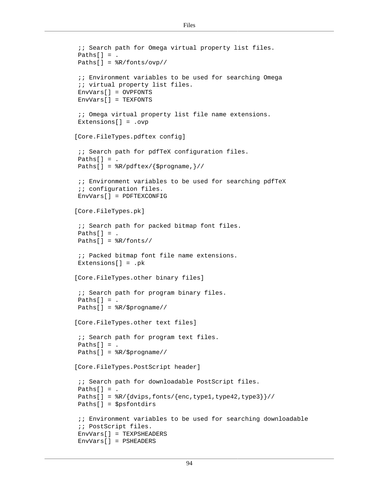```
i; Search path for Omega virtual property list files.
Paths[] = . Paths[] = %R/fonts/ovp//
 :: Environment variables to be used for searching Omega
  ;; virtual property list files.
 EnvVars[] = OVPFONTS
 EnvVars[] = TEXFONTS
  ;; Omega virtual property list file name extensions.
 Extensions[] = .ovp
[Core.FileTypes.pdftex config]
  ;; Search path for pdfTeX configuration files.
 Paths[] = .
Paths[] = R/pdftex/{\s{propname}, }//
  ;; Environment variables to be used for searching pdfTeX
  ;; configuration files.
 EnvVars[] = PDFTEXCONFIG
[Core.FileTypes.pk]
 : Search path for packed bitmap font files.
Paths[] = . Paths[] = %R/fonts//
  ;; Packed bitmap font file name extensions.
 Extensions[] = .pk
[Core.FileTypes.other binary files]
 : Search path for program binary files.
Paths[] = . Paths[] = %R/$progname//
[Core.FileTypes.other text files]
 \forall i Search path for program text files.
Paths[] = . Paths[] = %R/$progname//
[Core.FileTypes.PostScript header]
 : Search path for downloadable PostScript files.
Paths[] = .Paths[] = R/\{\text{dvlps},\text{fonts}/\{\text{enc},\text{type1},\text{type42},\text{type3}\}\}/\ell Paths[] = $psfontdirs
 ;; Environment variables to be used for searching downloadable
  ;; PostScript files.
 EnvVars[] = TEXPSHEADERS
 EnvVars[] = PSHEADERS
```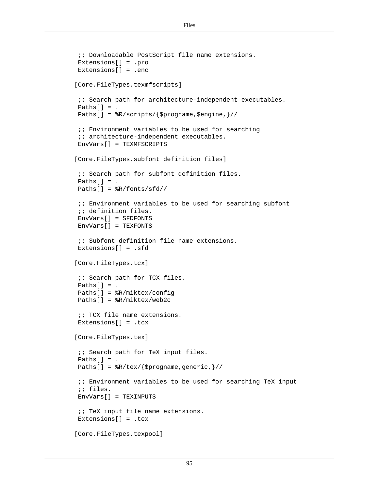```
 ;; Downloadable PostScript file name extensions.
 Extensions[] = .pro
 Extensions[] = .enc
[Core.FileTypes.texmfscripts]
  ;; Search path for architecture-independent executables.
Paths[] = .Paths[] = R/scripts / \{sprogname, \xi engine, \}//\forall i Environment variables to be used for searching
  ;; architecture-independent executables.
 EnvVars[] = TEXMFSCRIPTS
[Core.FileTypes.subfont definition files]
 ;; Search path for subfont definition files.
Paths[] = .Paths[] = \frac{8R}{fonts/sfd}/f: Environment variables to be used for searching subfont
  ;; definition files.
 EnvVars[] = SFDFONTS
 EnvVars[] = TEXFONTS
  ;; Subfont definition file name extensions.
 Extensions[] = .sfd
[Core.FileTypes.tcx]
: Search path for TCX files.
Paths[] = . Paths[] = %R/miktex/config
 Paths[] = %R/miktex/web2c
  ;; TCX file name extensions.
 Extensions[] = .tcx
[Core.FileTypes.tex]
  ;; Search path for TeX input files.
Paths[] = .Paths[] = R/\text{tex}/\{\text{sprogname}}, generic, \frac{1}{1} ;; Environment variables to be used for searching TeX input
  ;; files.
 EnvVars[] = TEXINPUTS
  ;; TeX input file name extensions.
 Extensions[] = .tex
[Core.FileTypes.texpool]
```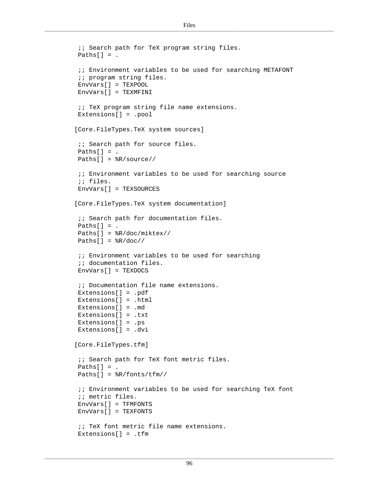```
\forall i Search path for TeX program string files.
Paths[] = . ;; Environment variables to be used for searching METAFONT
  ;; program string files.
 EnvVars[] = TEXPOOL
 EnvVars[] = TEXMFINI
 \forall i TeX program string file name extensions.
 Extensions[] = .pool
[Core.FileTypes.TeX system sources]
 i; Search path for source files.
Paths[] = . Paths[] = %R/source//
 ;; Environment variables to be used for searching source
 ;; files.
 EnvVars[] = TEXSOURCES
[Core.FileTypes.TeX system documentation]
 : Search path for documentation files.
Paths[] = .Paths[] = \frac{8R}{doc}/\text{miktex}//Paths[ ] = \frac{8R}{doc}/
: Environment variables to be used for searching
  ;; documentation files.
 EnvVars[] = TEXDOCS
  ;; Documentation file name extensions.
 Extensions[] = .pdf
 Extensions[] = .html
 Extensions[] = .md
 Extensions[] = .txt
 Extensions[] = .ps
 Extensions[] = .dvi
[Core.FileTypes.tfm]
 \forall i Search path for TeX font metric files.
Paths[] = . Paths[] = %R/fonts/tfm//
 :: Environment variables to be used for searching TeX font
 ;; metric files.
 EnvVars[] = TFMFONTS
 EnvVars[] = TEXFONTS
 ;; TeX font metric file name extensions.
 Extensions[] = .tfm
```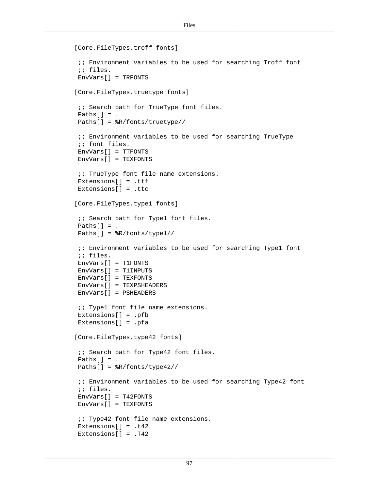```
[Core.FileTypes.troff fonts]
  ;; Environment variables to be used for searching Troff font
  ;; files.
 EnvVars[] = TRFONTS
[Core.FileTypes.truetype fonts]
 : Search path for TrueType font files.
Paths[] = . Paths[] = %R/fonts/truetype//
  ;; Environment variables to be used for searching TrueType
  ;; font files.
 EnvVars[] = TTFONTS
 EnvVars[] = TEXFONTS
  ;; TrueType font file name extensions.
 Extensions[] = .ttf
 Extensions[] = .ttc
[Core.FileTypes.type1 fonts]
 i; Search path for Typel font files.
Paths[] = . Paths[] = %R/fonts/type1//
  ;; Environment variables to be used for searching Type1 font
  ;; files.
 EnvVars[] = T1FONTS
 EnvVars[] = T1INPUTS
 EnvVars[] = TEXFONTS
 EnvVars[] = TEXPSHEADERS
 EnvVars[] = PSHEADERS
  ;; Type1 font file name extensions.
 Extensions[] = .pfb
 Extensions[] = .pfa
[Core.FileTypes.type42 fonts]
 : Search path for Type42 font files.
Paths[] = . Paths[] = %R/fonts/type42//
  ;; Environment variables to be used for searching Type42 font
  ;; files.
 EnvVars[] = T42FONTS
 EnvVars[] = TEXFONTS
  ;; Type42 font file name extensions.
 Extensions[] = .t42
 Extensions[] = .T42
```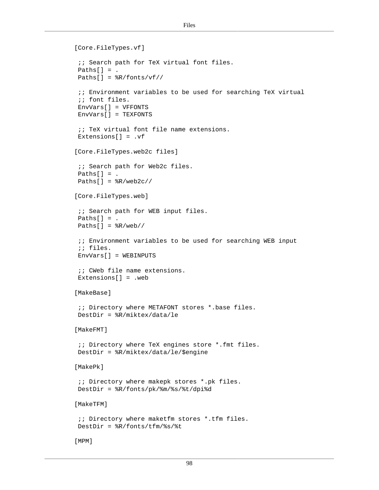```
[Core.FileTypes.vf]
 : Search path for TeX virtual font files.
Paths[] = .Paths[] = R/fonts/vf// ;; Environment variables to be used for searching TeX virtual
 ;; font files.
 EnvVars[] = VFFONTS
 EnvVars[] = TEXFONTS
  ;; TeX virtual font file name extensions.
 Extensions[] = .vf
[Core.FileTypes.web2c files]
 : Search path for Web2c files.
 Paths[] = .
Paths[] = R/web2c//[Core.FileTypes.web]
 i Search path for WEB input files.
Paths[] = .Paths[] = R/web// ;; Environment variables to be used for searching WEB input
  ;; files.
 EnvVars[] = WEBINPUTS
  ;; CWeb file name extensions.
 Extensions[] = .web
[MakeBase]
 ;; Directory where METAFONT stores *.base files.
 DestDir = %R/miktex/data/le
[MakeFMT]
 ;; Directory where TeX engines store *.fmt files.
 DestDir = %R/miktex/data/le/$engine
[MakePk]
  ;; Directory where makepk stores *.pk files.
 DestDir = %R/fonts/pk/%m/%s/%t/dpi%d
[MakeTFM]
 ;; Directory where maketfm stores *.tfm files.
 DestDir = %R/fonts/tfm/%s/%t
```

```
[MPM]
```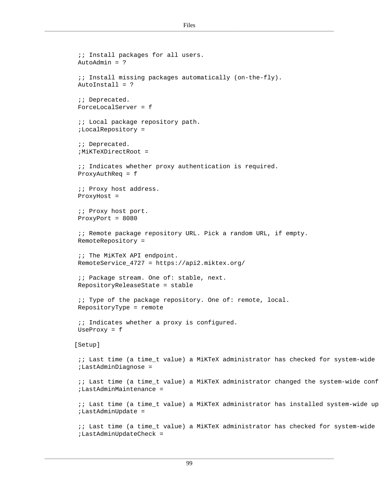```
 ;; Install packages for all users.
 AutoAdmin = ?
  ;; Install missing packages automatically (on-the-fly).
 AutoInstall = ?
 ;; Deprecated.
 ForceLocalServer = f
 i; Local package repository path.
  ;LocalRepository = 
  ;; Deprecated.
  ;MiKTeXDirectRoot =
  ;; Indicates whether proxy authentication is required.
 ProxyAuthReq = f
  ;; Proxy host address.
 ProxyHost =
  ;; Proxy host port.
 ProxyPort = 8080
  ;; Remote package repository URL. Pick a random URL, if empty.
 RemoteRepository = 
 ;; The MiKTeX API endpoint.
 RemoteService_4727 = https://api2.miktex.org/
  ;; Package stream. One of: stable, next.
 RepositoryReleaseState = stable
  ;; Type of the package repository. One of: remote, local.
 RepositoryType = remote
  ;; Indicates whether a proxy is configured.
 UseProxy = f
[Setup]
 i; Last time (a time_t value) a MiKTeX administrator has checked for system-wide
  ;LastAdminDiagnose =
 \forall i Last time (a time t value) a MiKTeX administrator changed the system-wide conf
  ;LastAdminMaintenance =
 j; Last time (a time_t value) a MiKTeX administrator has installed system-wide up
  ;LastAdminUpdate =
 j; Last time (a time_t value) a MiKTeX administrator has checked for system-wide
  ;LastAdminUpdateCheck =
```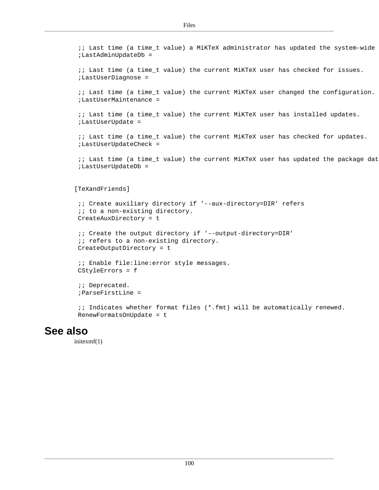```
i: Last time (a time_t value) a MiKTeX administrator has updated the system-wide
  ;LastAdminUpdateDb =
  ;; Last time (a time_t value) the current MiKTeX user has checked for issues.
  ;LastUserDiagnose =
  ;; Last time (a time_t value) the current MiKTeX user changed the configuration.
  ;LastUserMaintenance =
  ;; Last time (a time_t value) the current MiKTeX user has installed updates.
  ;LastUserUpdate =
 ;; Last time (a time t value) the current MiKTeX user has checked for updates.
  ;LastUserUpdateCheck =
 i; Last time (a time_t value) the current MiKTeX user has updated the package dat
  ;LastUserUpdateDb =
[TeXandFriends]
 ;; Create auxiliary directory if '--aux-directory=DIR' refers
 i; to a non-existing directory.
 CreateAuxDirectory = t
  ;; Create the output directory if '--output-directory=DIR'
 i; refers to a non-existing directory.
 CreateOutputDirectory = t
  ;; Enable file:line:error style messages.
 CStyleErrors = f
  ;; Deprecated.
  ;ParseFirstLine =
  ;; Indicates whether format files (*.fmt) will be automatically renewed.
```
Files

#### **See also**

initexmf(1)

RenewFormatsOnUpdate = t

100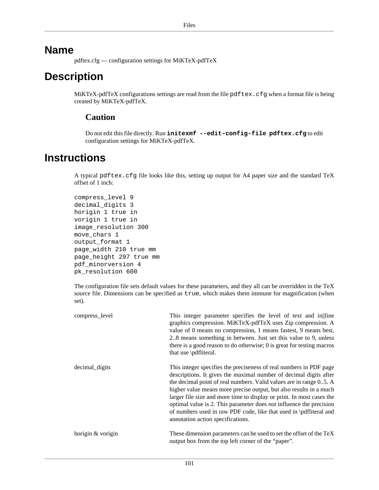pdftex.cfg — configuration settings for MiKTeX-pdfTeX

# **Description**

MiKTeX-pdfTeX configurations settings are read from the file pdftex.cfg when a format file is being created by MiKTeX-pdfTeX.

#### **Caution**

Do not edit this file directly. Run **initexmf --edit-config-file pdftex.cfg** to edit configuration settings for MiKTeX-pdfTeX.

## **Instructions**

A typical pdftex.cfg file looks like this, setting up output for A4 paper size and the standard TeX offset of 1 inch:

```
compress_level 9
decimal_digits 3
horigin 1 true in
vorigin 1 true in
image_resolution 300
move_chars 1
output_format 1
page_width 210 true mm
page_height 297 true mm
pdf_minorversion 4
pk_resolution 600
```
The configuration file sets default values for these parameters, and they all can be overridden in the TeX source file. Dimensions can be specified as true, which makes them immune for magnification (when set).

| compress_level    | This integer parameter specifies the level of text and in line<br>graphics compression. MiKTeX-pdfTeX uses Zip compression. A<br>value of 0 means no compression, 1 means fastest, 9 means best,<br>28 means something in between. Just set this value to 9, unless<br>there is a good reason to do otherwise; $\theta$ is great for testing macros<br>that use \pdfliteral.                                                                                                                                                                           |
|-------------------|--------------------------------------------------------------------------------------------------------------------------------------------------------------------------------------------------------------------------------------------------------------------------------------------------------------------------------------------------------------------------------------------------------------------------------------------------------------------------------------------------------------------------------------------------------|
| decimal_digits    | This integer specifies the preciseness of real numbers in PDF page<br>descriptions. It gives the maximal number of decimal digits after<br>the decimal point of real numbers. Valid values are in range 0.5. A<br>higher value means more precise output, but also results in a much<br>larger file size and more time to display or print. In most cases the<br>optimal value is 2. This parameter does <i>not</i> influence the precision<br>of numbers used in raw PDF code, like that used in \pdfliteral and<br>annotation action specifications. |
| horigin & vorigin | These dimension parameters can be used to set the offset of the TeX<br>output box from the top left corner of the "paper".                                                                                                                                                                                                                                                                                                                                                                                                                             |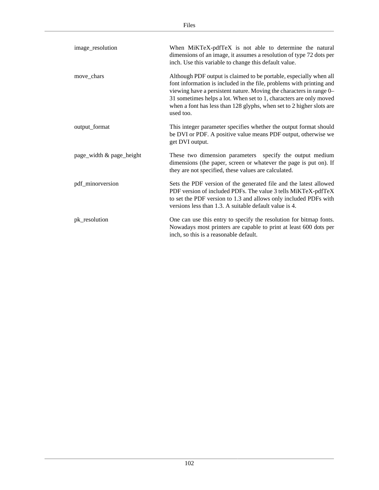| image_resolution         | When MiKTeX-pdfTeX is not able to determine the natural<br>dimensions of an image, it assumes a resolution of type 72 dots per<br>inch. Use this variable to change this default value.                                                                                                                                                                                      |
|--------------------------|------------------------------------------------------------------------------------------------------------------------------------------------------------------------------------------------------------------------------------------------------------------------------------------------------------------------------------------------------------------------------|
| move chars               | Although PDF output is claimed to be portable, especially when all<br>font information is included in the file, problems with printing and<br>viewing have a persistent nature. Moving the characters in range 0–<br>31 sometimes helps a lot. When set to 1, characters are only moved<br>when a font has less than 128 glyphs, when set to 2 higher slots are<br>used too. |
| output_format            | This integer parameter specifies whether the output format should<br>be DVI or PDF. A positive value means PDF output, otherwise we<br>get DVI output.                                                                                                                                                                                                                       |
| page_width & page_height | These two dimension parameters specify the output medium<br>dimensions (the paper, screen or whatever the page is put on). If<br>they are not specified, these values are calculated.                                                                                                                                                                                        |
| pdf_minorversion         | Sets the PDF version of the generated file and the latest allowed<br>PDF version of included PDFs. The value 3 tells MiKTeX-pdfTeX<br>to set the PDF version to 1.3 and allows only included PDFs with<br>versions less than 1.3. A suitable default value is 4.                                                                                                             |
| pk_resolution            | One can use this entry to specify the resolution for bitmap fonts.<br>Nowadays most printers are capable to print at least 600 dots per<br>inch, so this is a reasonable default.                                                                                                                                                                                            |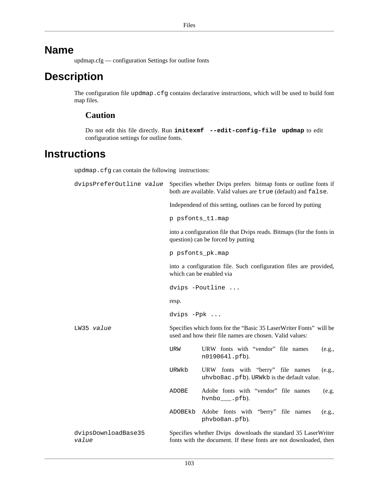updmap.cfg — configuration Settings for outline fonts

# **Description**

The configuration file updmap.cfg contains declarative instructions, which will be used to build font map files.

#### **Caution**

Do not edit this file directly. Run **initexmf --edit-config-file updmap** to edit configuration settings for outline fonts.

# **Instructions**

updmap.cfg can contain the following instructions:

| dvipsPreferOutline value     | Specifies whether Dvips prefers bitmap fonts or outline fonts if<br>both are available. Valid values are true (default) and false. |                                                                                                                               |  |
|------------------------------|------------------------------------------------------------------------------------------------------------------------------------|-------------------------------------------------------------------------------------------------------------------------------|--|
|                              | Independend of this setting, outlines can be forced by putting                                                                     |                                                                                                                               |  |
|                              | p psfonts_t1.map                                                                                                                   |                                                                                                                               |  |
|                              | into a configuration file that Dvips reads. Bitmaps (for the fonts in<br>question) can be forced by putting                        |                                                                                                                               |  |
|                              | p psfonts_pk.map                                                                                                                   |                                                                                                                               |  |
|                              | into a configuration file. Such configuration files are provided,<br>which can be enabled via                                      |                                                                                                                               |  |
|                              | dvips -Poutline                                                                                                                    |                                                                                                                               |  |
|                              | resp.                                                                                                                              |                                                                                                                               |  |
|                              | dvips -Ppk                                                                                                                         |                                                                                                                               |  |
| LW35 value                   |                                                                                                                                    | Specifies which fonts for the "Basic 35 LaserWriter Fonts" will be<br>used and how their file names are chosen. Valid values: |  |
|                              | URW                                                                                                                                | URW fonts with "vendor" file names<br>(e.g.,<br>n0190641.pfb).                                                                |  |
|                              | URWkb                                                                                                                              | URW fonts with "berry" file names<br>(e.g.,<br>uhvbo8ac.pfb). URWkb is the default value.                                     |  |
|                              | <b>ADOBE</b>                                                                                                                       | Adobe fonts with "vendor" file names<br>(e.g.<br>hvnbo____.pfb).                                                              |  |
|                              | ADOBEkb                                                                                                                            | Adobe fonts with "berry" file names<br>(e.g.,<br>phvbo8an.pfb).                                                               |  |
| dvipsDownloadBase35<br>value | Specifies whether Dvips downloads the standard 35 LaserWriter<br>fonts with the document. If these fonts are not downloaded, then  |                                                                                                                               |  |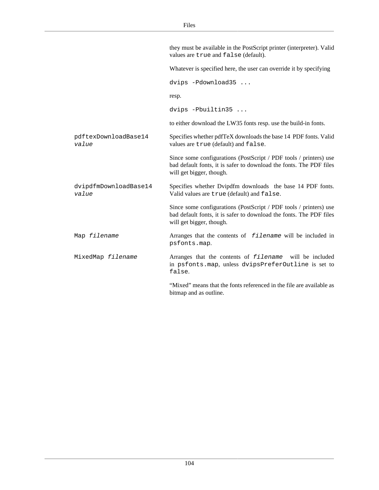<span id="page-108-3"></span><span id="page-108-2"></span><span id="page-108-1"></span><span id="page-108-0"></span>

|                                | they must be available in the PostScript printer (interpreter). Valid<br>values are true and false (default).                                                        |
|--------------------------------|----------------------------------------------------------------------------------------------------------------------------------------------------------------------|
|                                | Whatever is specified here, the user can override it by specifying                                                                                                   |
|                                | dvips -Pdownload35                                                                                                                                                   |
|                                | resp.                                                                                                                                                                |
|                                | dvips -Pbuiltin35                                                                                                                                                    |
|                                | to either download the LW35 fonts resp. use the build-in fonts.                                                                                                      |
| pdftexDownloadBase14<br>value  | Specifies whether pdfTeX downloads the base 14 PDF fonts. Valid<br>values are true (default) and false.                                                              |
|                                | Since some configurations (PostScript / PDF tools / printers) use<br>bad default fonts, it is safer to download the fonts. The PDF files<br>will get bigger, though. |
| dvipdfmDownloadBase14<br>value | Specifies whether Dvipdfm downloads the base 14 PDF fonts.<br>Valid values are true (default) and false.                                                             |
|                                | Since some configurations (PostScript / PDF tools / printers) use<br>bad default fonts, it is safer to download the fonts. The PDF files<br>will get bigger, though. |
| Map filename                   | Arranges that the contents of filename will be included in<br>psfonts.map.                                                                                           |
| MixedMap filename              | Arranges that the contents of filename will be included<br>in psfonts.map, unless dvipsPreferOutline is set to<br>false.                                             |
|                                | "Mixed" means that the fonts referenced in the file are available as<br>bitmap and as outline.                                                                       |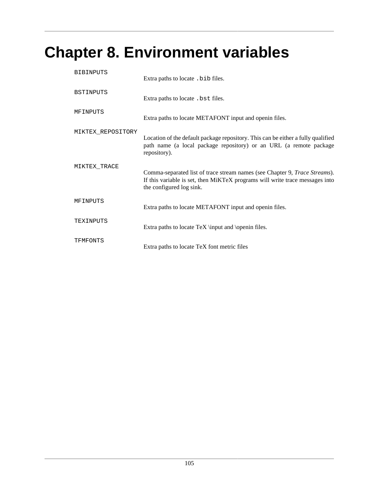# <span id="page-109-0"></span>**Chapter 8. Environment variables**

<span id="page-109-7"></span><span id="page-109-6"></span><span id="page-109-5"></span><span id="page-109-4"></span><span id="page-109-3"></span><span id="page-109-2"></span><span id="page-109-1"></span>

| <b>BIBINPUTS</b>  | Extra paths to locate . bib files.                                                                                                                                                     |
|-------------------|----------------------------------------------------------------------------------------------------------------------------------------------------------------------------------------|
| <b>BSTINPUTS</b>  | Extra paths to locate . bst files.                                                                                                                                                     |
| MFINPUTS          | Extra paths to locate METAFONT input and openin files.                                                                                                                                 |
| MIKTEX REPOSITORY | Location of the default package repository. This can be either a fully qualified<br>path name (a local package repository) or an URL (a remote package<br>repository).                 |
| MIKTEX TRACE      | Comma-separated list of trace stream names (see Chapter 9, Trace Streams).<br>If this variable is set, then MiKTeX programs will write trace messages into<br>the configured log sink. |
| MFINPUTS          | Extra paths to locate METAFONT input and openin files.                                                                                                                                 |
| TEXINPUTS         | Extra paths to locate $TeX \in and \open{openin files.}$                                                                                                                               |
| TFMFONTS          | Extra paths to locate TeX font metric files                                                                                                                                            |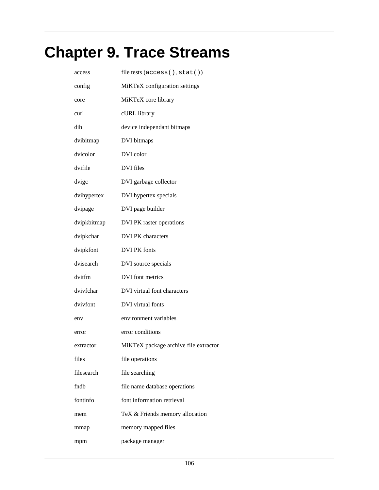## <span id="page-110-0"></span>**Chapter 9. Trace Streams**

| access      | file tests $(\text{access}(\cdot), \text{stat}(\cdot))$ |
|-------------|---------------------------------------------------------|
| config      | MiKTeX configuration settings                           |
| core        | MiKTeX core library                                     |
| curl        | cURL library                                            |
| dib         | device independant bitmaps                              |
| dvibitmap   | DVI bitmaps                                             |
| dvicolor    | DVI color                                               |
| dvifile     | DVI files                                               |
| dvigc       | DVI garbage collector                                   |
| dvihypertex | DVI hypertex specials                                   |
| dvipage     | DVI page builder                                        |
| dvipkbitmap | DVI PK raster operations                                |
| dvipkchar   | <b>DVI PK</b> characters                                |
| dvipkfont   | <b>DVI PK</b> fonts                                     |
| dvisearch   | DVI source specials                                     |
| dvitfm      | DVI font metrics                                        |
| dvivfchar   | DVI virtual font characters                             |
| dvivfont    | DVI virtual fonts                                       |
| env         | environment variables                                   |
| error       | error conditions                                        |
| extractor   | MiKTeX package archive file extractor                   |
| files       | file operations                                         |
| filesearch  | file searching                                          |
| fndb        | file name database operations                           |
| fontinfo    | font information retrieval                              |
| mem         | TeX & Friends memory allocation                         |
| mmap        | memory mapped files                                     |
| mpm         | package manager                                         |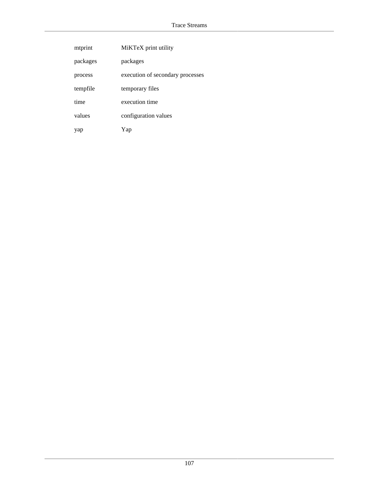| mtprint  | MiKTeX print utility             |
|----------|----------------------------------|
| packages | packages                         |
| process  | execution of secondary processes |
| tempfile | temporary files                  |
| time     | execution time                   |
| values   | configuration values             |
| yap      | Yap                              |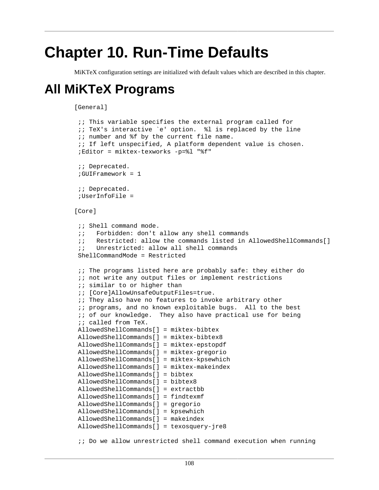## **Chapter 10. Run-Time Defaults**

MiKTeX configuration settings are initialized with default values which are described in this chapter.

## **All MiKTeX Programs**

[General]

```
i; This variable specifies the external program called for
  ;; TeX's interactive `e' option. %l is replaced by the line
  ;; number and %f by the current file name.
  ;; If left unspecified, A platform dependent value is chosen.
  ;Editor = miktex-texworks -p=%l "%f"
  ;; Deprecated.
  ;GUIFramework = 1
  ;; Deprecated.
  ;UserInfoFile = 
[Core]
  ;; Shell command mode.
  ;; Forbidden: don't allow any shell commands
  ;; Restricted: allow the commands listed in AllowedShellCommands[]
  ;; Unrestricted: allow all shell commands
 ShellCommandMode = Restricted
  ;; The programs listed here are probably safe: they either do
  ;; not write any output files or implement restrictions
 i; similar to or higher than
  ;; [Core]AllowUnsafeOutputFiles=true.
  ;; They also have no features to invoke arbitrary other
  ;; programs, and no known exploitable bugs. All to the best
  ;; of our knowledge. They also have practical use for being
  ;; called from TeX.
 AllowedShellCommands[] = miktex-bibtex
 AllowedShellCommands[] = miktex-bibtex8
 AllowedShellCommands[] = miktex-epstopdf
 AllowedShellCommands[] = miktex-gregorio
 AllowedShellCommands[] = miktex-kpsewhich
 AllowedShellCommands[] = miktex-makeindex
 AllowedShellCommands[] = bibtex
 AllowedShellCommands[] = bibtex8
 AllowedShellCommands[] = extractbb
 AllowedShellCommands[] = findtexmf
 AllowedShellCommands[] = gregorio
 AllowedShellCommands[] = kpsewhich
 AllowedShellCommands[] = makeindex
 AllowedShellCommands[] = texosquery-jre8
  ;; Do we allow unrestricted shell command execution when running
```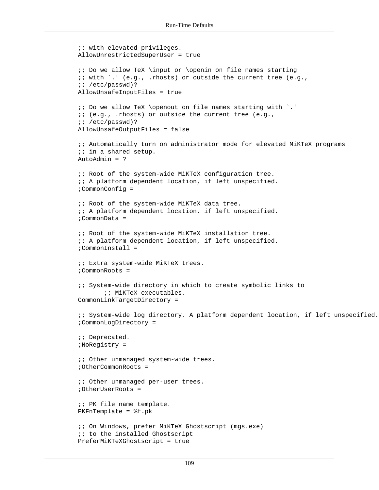```
 ;; with elevated privileges.
 AllowUnrestrictedSuperUser = true
i; Do we allow TeX \input or \openin on file names starting
i: with `.' (e.g., .rhosts) or outside the current tree (e.g.,
 ;; /etc/passwd)?
 AllowUnsafeInputFiles = true
 ;; Do we allow TeX \openout on file names starting with `.'
i: (e.g., .rhosts) or outside the current tree (e.g.,
 ;; /etc/passwd)?
 AllowUnsafeOutputFiles = false
 ;; Automatically turn on administrator mode for elevated MiKTeX programs
 ;; in a shared setup.
 AutoAdmin = ?
: Root of the system-wide MiKTeX configuration tree.
i: A platform dependent location, if left unspecified.
 ;CommonConfig = 
: ; Root of the system-wide MiKTeX data tree.
i: A platform dependent location, if left unspecified.
 ;CommonData = 
 ;; Root of the system-wide MiKTeX installation tree.
i: A platform dependent location, if left unspecified.
 ;CommonInstall = 
 ;; Extra system-wide MiKTeX trees.
 ;CommonRoots = 
 ;; System-wide directory in which to create symbolic links to
        ;; MiKTeX executables.
 CommonLinkTargetDirectory = 
 ;; System-wide log directory. A platform dependent location, if left unspecified.
 ;CommonLogDirectory = 
 ;; Deprecated.
 ;NoRegistry =
 ;; Other unmanaged system-wide trees.
 ;OtherCommonRoots = 
\ldots other unmanaged per-user trees.
 ;OtherUserRoots = 
;; PK file name template.
 PKFnTemplate = %f.pk
 ;; On Windows, prefer MiKTeX Ghostscript (mgs.exe)
i; to the installed Ghostscript
 PreferMiKTeXGhostscript = true
```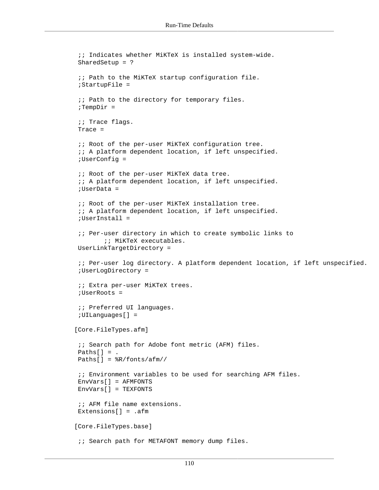```
 ;; Indicates whether MiKTeX is installed system-wide.
 SharedSetup = ?
 i; Path to the MiKTeX startup configuration file.
  ;StartupFile = 
 ;; Path to the directory for temporary files.
  ;TempDir =
  ;; Trace flags.
 Trace =
 : Root of the per-user MiKTeX configuration tree.
  ;; A platform dependent location, if left unspecified.
  ;UserConfig = 
 : ; Root of the per-user MiKTeX data tree.
 i: A platform dependent location, if left unspecified.
  ;UserData = 
 : Root of the per-user MiKTeX installation tree.
 i: A platform dependent location, if left unspecified.
  ;UserInstall = 
  ;; Per-user directory in which to create symbolic links to
         ;; MiKTeX executables.
 UserLinkTargetDirectory = 
  ;; Per-user log directory. A platform dependent location, if left unspecified.
  ;UserLogDirectory = 
 i; Extra per-user MiKTeX trees.
  ;UserRoots = 
  ;; Preferred UI languages.
  ;UILanguages[] = 
[Core.FileTypes.afm]
 ;; Search path for Adobe font metric (AFM) files.
 Paths[] = .
Paths[] = \frac{8R}{fonts}/\frac{4fm}{f} ;; Environment variables to be used for searching AFM files.
 EnvVars[] = AFMFONTS
 EnvVars[] = TEXFONTS
  ;; AFM file name extensions.
 Extensions[] = .afm
[Core.FileTypes.base]
 : Search path for METAFONT memory dump files.
```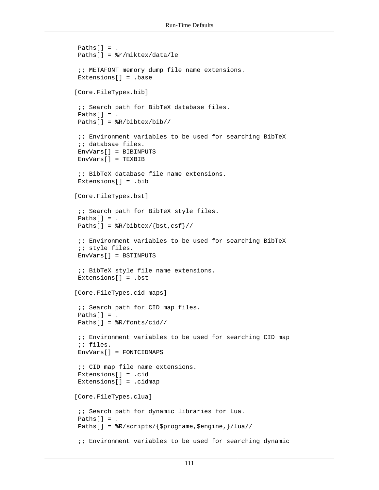```
Paths[] = . Paths[] = %r/miktex/data/le
  ;; METAFONT memory dump file name extensions.
 Extensions[] = .base
[Core.FileTypes.bib]
  ;; Search path for BibTeX database files.
Paths[] = . Paths[] = %R/bibtex/bib//
  ;; Environment variables to be used for searching BibTeX
  ;; databsae files.
 EnvVars[] = BIBINPUTS
 EnvVars[] = TEXBIB
 ;; BibTeX database file name extensions.
 Extensions[] = .bib
[Core.FileTypes.bst]
  ;; Search path for BibTeX style files.
Paths[] = .Paths[] = R/bibtex/{bst,csf}//
 :: Environment variables to be used for searching BibTeX
  ;; style files.
 EnvVars[] = BSTINPUTS
  ;; BibTeX style file name extensions.
 Extensions[] = .bst
[Core.FileTypes.cid maps]
 i Search path for CID map files.
Paths[] = . Paths[] = %R/fonts/cid//
 :: Environment variables to be used for searching CID map
 ;; files.
 EnvVars[] = FONTCIDMAPS
  ;; CID map file name extensions.
 Extensions[] = .cid
 Extensions[] = .cidmap
[Core.FileTypes.clua]
  ;; Search path for dynamic libraries for Lua.
Paths[] = . Paths[] = %R/scripts/{$progname,$engine,}/lua//
  ;; Environment variables to be used for searching dynamic
```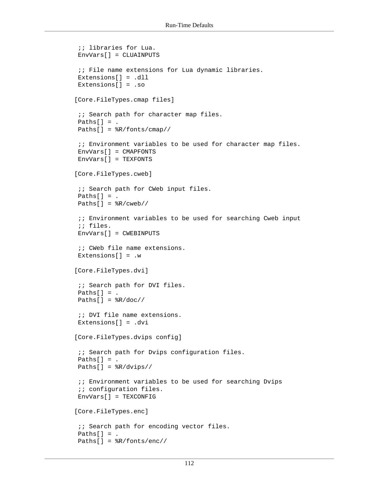```
 ;; libraries for Lua.
 EnvVars[] = CLUAINPUTS
 ;; File name extensions for Lua dynamic libraries.
 Extensions[] = .dll
 Extensions[] = .so
[Core.FileTypes.cmap files]
 \forall i Search path for character map files.
Paths[] = . Paths[] = %R/fonts/cmap//
  ;; Environment variables to be used for character map files.
 EnvVars[] = CMAPFONTS
 EnvVars[] = TEXFONTS
[Core.FileTypes.cweb]
  ;; Search path for CWeb input files.
Paths[] = .Paths[] = R/cweb// ;; Environment variables to be used for searching Cweb input
  ;; files.
 EnvVars[] = CWEBINPUTS
  ;; CWeb file name extensions.
 Extensions[] = .w
[Core.FileTypes.dvi]
  ;; Search path for DVI files.
Paths[] = .Paths[ ] = \frac{8R}{doc}/
  ;; DVI file name extensions.
 Extensions[] = .dvi
[Core.FileTypes.dvips config]
  ;; Search path for Dvips configuration files.
Paths[] = . Paths[] = %R/dvips//
  ;; Environment variables to be used for searching Dvips
  ;; configuration files.
 EnvVars[] = TEXCONFIG
[Core.FileTypes.enc]
 \forall i Search path for encoding vector files.
Paths[] = . Paths[] = %R/fonts/enc//
```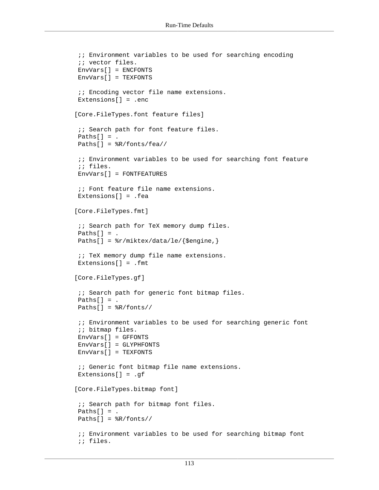```
 ;; Environment variables to be used for searching encoding
  ;; vector files.
 EnvVars[] = ENCFONTS
 EnvVars[] = TEXFONTS
  ;; Encoding vector file name extensions.
 Extensions[] = .enc
[Core.FileTypes.font feature files]
 \forall i Search path for font feature files.
Paths[] = . Paths[] = %R/fonts/fea//
  ;; Environment variables to be used for searching font feature
  ;; files.
 EnvVars[] = FONTFEATURES
  ;; Font feature file name extensions.
 Extensions[] = .fea
[Core.FileTypes.fmt]
: Search path for TeX memory dump files.
Paths[] = . Paths[] = %r/miktex/data/le/{$engine,}
 ;; TeX memory dump file name extensions.
 Extensions[] = .fmt
[Core.FileTypes.gf]
 \forall i Search path for generic font bitmap files.
Paths[] = .Paths[] = R/fonts ;; Environment variables to be used for searching generic font
  ;; bitmap files.
 EnvVars[] = GFFONTS
 EnvVars[] = GLYPHFONTS
 EnvVars[] = TEXFONTS
  ;; Generic font bitmap file name extensions.
 Extensions[] = .gf
[Core.FileTypes.bitmap font]
 : Search path for bitmap font files.
Paths[] = . Paths[] = %R/fonts//
  ;; Environment variables to be used for searching bitmap font
  ;; files.
```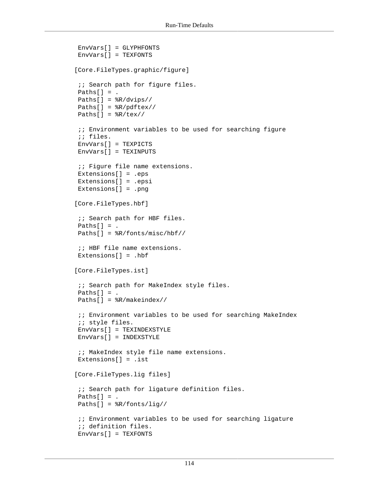```
 EnvVars[] = GLYPHFONTS
 EnvVars[] = TEXFONTS
[Core.FileTypes.graphic/figure]
 i; Search path for figure files.
Paths[] = .Paths[] = \frac{8R}{\text{dvips}}/ Paths[] = %R/pdftex//
Paths[ ] = \frac{8R}{\text{tex}}/\forall i Environment variables to be used for searching figure
  ;; files.
 EnvVars[] = TEXPICTS
 EnvVars[] = TEXINPUTS
  ;; Figure file name extensions.
 Extensions[] = .eps
 Extensions[] = .epsi
 Extensions[] = .png
[Core.FileTypes.hbf]
  ;; Search path for HBF files.
Paths[] = . Paths[] = %R/fonts/misc/hbf//
  ;; HBF file name extensions.
 Extensions[] = .hbf
[Core.FileTypes.ist]
 : Search path for MakeIndex style files.
Paths[] = . Paths[] = %R/makeindex//
 ;; Environment variables to be used for searching MakeIndex
  ;; style files.
 EnvVars[] = TEXINDEXSTYLE
 EnvVars[] = INDEXSTYLE
  ;; MakeIndex style file name extensions.
 Extensions[] = .ist
[Core.FileTypes.lig files]
  ;; Search path for ligature definition files.
Paths[] = . Paths[] = %R/fonts/lig//
 :: Environment variables to be used for searching ligature
  ;; definition files.
 EnvVars[] = TEXFONTS
```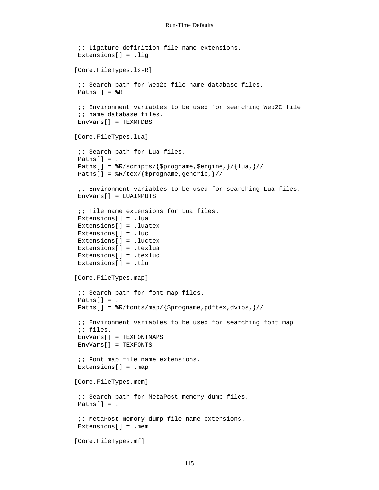```
 ;; Ligature definition file name extensions.
 Extensions[] = .lig
[Core.FileTypes.ls-R]
 \forall i Search path for Web2c file name database files.
 Paths[] = %R
  ;; Environment variables to be used for searching Web2C file
  ;; name database files.
 EnvVars[] = TEXMFDBS
[Core.FileTypes.lua]
: Search path for Lua files.
Paths[] = .Paths[] = R/scripts / \{5progname, $engine, \}/\{1ua, \} //
Paths[] = R/\text{tex}/\{\text{sprogname}}, generic, \frac{1}{1} ;; Environment variables to be used for searching Lua files.
 EnvVars[] = LUAINPUTS
  ;; File name extensions for Lua files.
 Extensions[] = .lua
 Extensions[] = .luatex
 Extensions[] = .luc
 Extensions[] = .luctex
 Extensions[] = .texlua
 Extensions[] = .texluc
 Extensions[] = .tlu
[Core.FileTypes.map]
 i; Search path for font map files.
Paths[] = . Paths[] = %R/fonts/map/{$progname,pdftex,dvips,}//
 :: Environment variables to be used for searching font map
  ;; files.
 EnvVars[] = TEXFONTMAPS
 EnvVars[] = TEXFONTS
  ;; Font map file name extensions.
 Extensions[] = .map
[Core.FileTypes.mem]
 : Search path for MetaPost memory dump files.
 Paths[] = .
  ;; MetaPost memory dump file name extensions.
 Extensions[] = .mem
[Core.FileTypes.mf]
```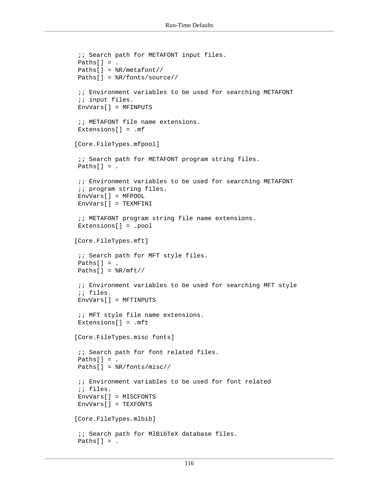```
 ;; Search path for METAFONT input files.
Paths[] = .
Paths[] = %R/metafont /
 Paths[] = %R/fonts/source//
 : Environment variables to be used for searching METAFONT
  ;; input files.
 EnvVars[] = MFINPUTS
  ;; METAFONT file name extensions.
 Extensions[] = .mf
[Core.FileTypes.mfpool]
 : Search path for METAFONT program string files.
Paths[] = . ;; Environment variables to be used for searching METAFONT
  ;; program string files.
 EnvVars[] = MFPOOL
 EnvVars[] = TEXMFINI
  ;; METAFONT program string file name extensions.
 Extensions[] = .pool
[Core.FileTypes.mft]
: Search path for MFT style files.
Paths[] = .Paths[ ] = \frac{8R}{mft}/ ;; Environment variables to be used for searching MFT style
  ;; files.
 EnvVars[] = MFTINPUTS
  ;; MFT style file name extensions.
 Extensions[] = .mft
[Core.FileTypes.misc fonts]
 i; Search path for font related files.
Paths[] = . Paths[] = %R/fonts/misc//
 ;; Environment variables to be used for font related
  ;; files.
 EnvVars[] = MISCFONTS
 EnvVars[] = TEXFONTS
[Core.FileTypes.mlbib]
  ;; Search path for MlBibTeX database files.
Paths[] = .
```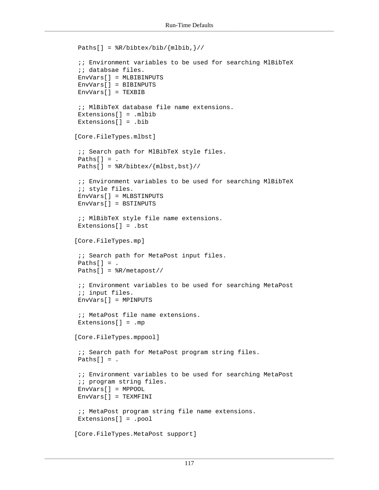```
Paths[] = R/bibtex/bib/{mlbib}, \}//:: Environment variables to be used for searching MlBibTeX
  ;; databsae files.
 EnvVars[] = MLBIBINPUTS
 EnvVars[] = BIBINPUTS
 EnvVars[] = TEXBIB
  ;; MlBibTeX database file name extensions.
 Extensions[] = .mlbib
 Extensions[] = .bib
[Core.FileTypes.mlbst]
 ;; Search path for MlBibTeX style files.
Paths[] = .Paths[] = R/bibtex/{mlbst,bst}//
  ;; Environment variables to be used for searching MlBibTeX
  ;; style files.
 EnvVars[] = MLBSTINPUTS
 EnvVars[] = BSTINPUTS
  ;; MlBibTeX style file name extensions.
 Extensions[] = .bst
[Core.FileTypes.mp]
 ;; Search path for MetaPost input files.
Paths[] = . Paths[] = %R/metapost//
 :: Environment variables to be used for searching MetaPost
  ;; input files.
 EnvVars[] = MPINPUTS
  ;; MetaPost file name extensions.
 Extensions[] = .mp
[Core.FileTypes.mppool]
 : Search path for MetaPost program string files.
Paths\lceil \cdot \rceil = .
 :: Environment variables to be used for searching MetaPost
  ;; program string files.
 EnvVars[] = MPPOOL
 EnvVars[] = TEXMFINI
 ;; MetaPost program string file name extensions.
 Extensions[] = .pool
[Core.FileTypes.MetaPost support]
```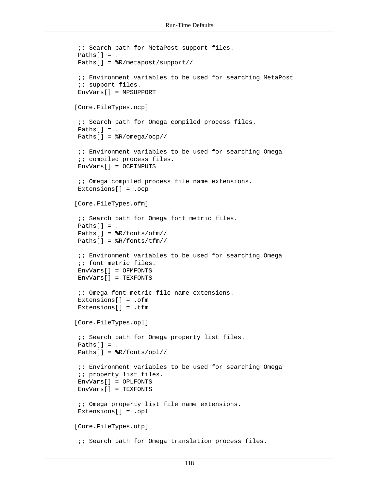```
: Search path for MetaPost support files.
Paths[] = . Paths[] = %R/metapost/support//
 :: Environment variables to be used for searching MetaPost
  ;; support files.
 EnvVars[] = MPSUPPORT
[Core.FileTypes.ocp]
 : Search path for Omega compiled process files.
Paths[] = .Paths[] = \frac{8R}{\text{omega}/\text{ocp}}/ ;; Environment variables to be used for searching Omega
 \forall i compiled process files.
 EnvVars[] = OCPINPUTS
  ;; Omega compiled process file name extensions.
 Extensions[] = .ocp
[Core.FileTypes.ofm]
  ;; Search path for Omega font metric files.
Paths[] = .
Paths[] = R/fonts/ofm// Paths[] = %R/fonts/tfm//
;; Environment variables to be used for searching Omega
  ;; font metric files.
 EnvVars[] = OFMFONTS
 EnvVars[] = TEXFONTS
  ;; Omega font metric file name extensions.
 Extensions[] = .ofm
 Extensions[] = .tfm
[Core.FileTypes.opl]
 : Search path for Omega property list files.
Paths[] = . Paths[] = %R/fonts/opl//
 :: Environment variables to be used for searching Omega
  ;; property list files.
 EnvVars[] = OPLFONTS
 EnvVars[] = TEXFONTS
  ;; Omega property list file name extensions.
 Extensions[] = .opl
[Core.FileTypes.otp]
 : Search path for Omega translation process files.
```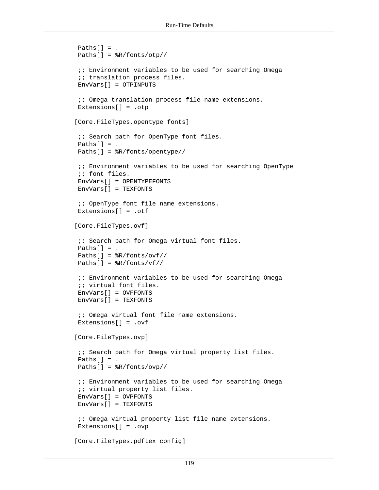```
Paths[] = . Paths[] = %R/fonts/otp//
 ;; Environment variables to be used for searching Omega
 \cdots translation process files.
 EnvVars[] = OTPINPUTS
  ;; Omega translation process file name extensions.
 Extensions[] = .otp
[Core.FileTypes.opentype fonts]
  ;; Search path for OpenType font files.
Paths[] = . Paths[] = %R/fonts/opentype//
 :: Environment variables to be used for searching OpenType
  ;; font files.
 EnvVars[] = OPENTYPEFONTS
 EnvVars[] = TEXFONTS
  ;; OpenType font file name extensions.
 Extensions[] = .otf
[Core.FileTypes.ovf]
 : Search path for Omega virtual font files.
Paths[] = . Paths[] = %R/fonts/ovf//
Paths[] = R/fonts/vf//:: Environment variables to be used for searching Omega
  ;; virtual font files.
 EnvVars[] = OVFFONTS
 EnvVars[] = TEXFONTS
  ;; Omega virtual font file name extensions.
 Extensions[] = .ovf
[Core.FileTypes.ovp]
 : Search path for Omega virtual property list files.
Paths[] = . Paths[] = %R/fonts/ovp//
  ;; Environment variables to be used for searching Omega
  ;; virtual property list files.
 EnvVars[] = OVPFONTS
 EnvVars[] = TEXFONTS
 \ldots Omega virtual property list file name extensions.
 Extensions[] = .ovp
[Core.FileTypes.pdftex config]
```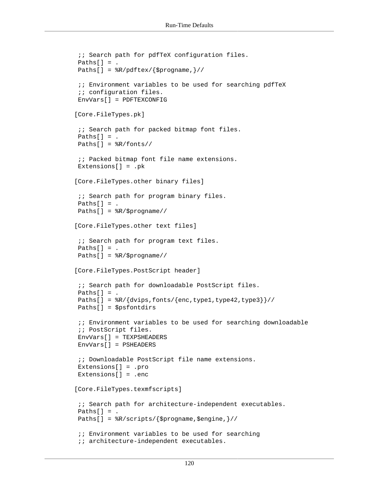```
 ;; Search path for pdfTeX configuration files.
Paths[] = .Paths[] = R/pdftex/\{sprogname\}: Environment variables to be used for searching pdfTeX
  ;; configuration files.
 EnvVars[] = PDFTEXCONFIG
[Core.FileTypes.pk]
 \forall i Search path for packed bitmap font files.
Paths[] = . Paths[] = %R/fonts//
  ;; Packed bitmap font file name extensions.
 Extensions[] = .pk
[Core.FileTypes.other binary files]
 \ldots Search path for program binary files.
Paths[] = . Paths[] = %R/$progname//
[Core.FileTypes.other text files]
 \ldots ; : Search path for program text files.
Paths[] = . Paths[] = %R/$progname//
[Core.FileTypes.PostScript header]
  ;; Search path for downloadable PostScript files.
Paths[] = .Paths[] = R/\{\text{dvips}, \text{fonts}/\{\text{enc}, \text{type1}, \text{type42}, \text{type3}\}\}/\sqrt{\text{cov}} Paths[] = $psfontdirs
  ;; Environment variables to be used for searching downloadable
  ;; PostScript files.
 EnvVars[] = TEXPSHEADERS
 EnvVars[] = PSHEADERS
  ;; Downloadable PostScript file name extensions.
 Extensions[] = .pro
 Extensions[] = .enc
[Core.FileTypes.texmfscripts]
 : Search path for architecture-independent executables.
Paths[] = . Paths[] = %R/scripts/{$progname,$engine,}//
 i: Environment variables to be used for searching
  ;; architecture-independent executables.
```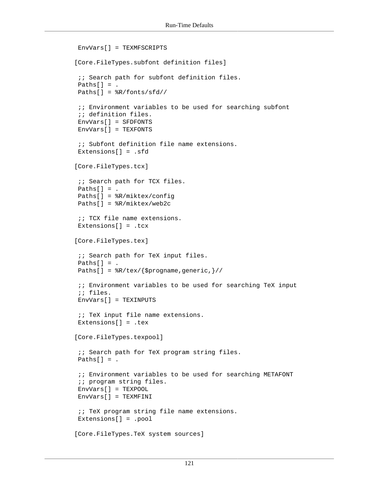```
 EnvVars[] = TEXMFSCRIPTS
[Core.FileTypes.subfont definition files]
  ;; Search path for subfont definition files.
Paths[] = . Paths[] = %R/fonts/sfd//
 ;; Environment variables to be used for searching subfont
  ;; definition files.
 EnvVars[] = SFDFONTS
 EnvVars[] = TEXFONTS
  ;; Subfont definition file name extensions.
 Extensions[] = .sfd
[Core.FileTypes.tcx]
 i; Search path for TCX files.
Paths[] = . Paths[] = %R/miktex/config
 Paths[] = %R/miktex/web2c
  ;; TCX file name extensions.
 Extensions[] = .tcx
[Core.FileTypes.tex]
 ;; Search path for TeX input files.
Paths[] = .Paths[] = R/\text{tex}/\{\text{sprogname}}, generic, \}// ;; Environment variables to be used for searching TeX input
  ;; files.
 EnvVars[] = TEXINPUTS
  ;; TeX input file name extensions.
 Extensions[] = .tex
[Core.FileTypes.texpool]
 : Search path for TeX program string files.
Paths\lceil \cdot \rceil = .
 : Environment variables to be used for searching METAFONT
  ;; program string files.
 EnvVars[] = TEXPOOL
 EnvVars[] = TEXMFINI
 \forall i TeX program string file name extensions.
 Extensions[] = .pool
[Core.FileTypes.TeX system sources]
```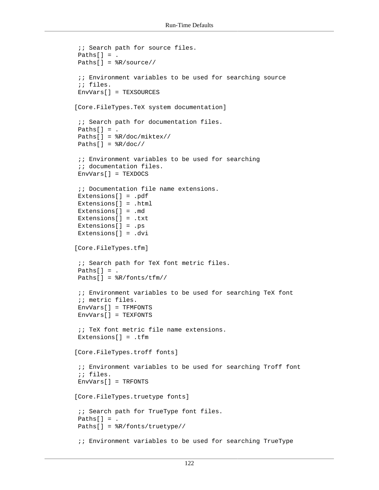```
i; Search path for source files.
Paths[] = . Paths[] = %R/source//
 : Environment variables to be used for searching source
  ;; files.
 EnvVars[] = TEXSOURCES
[Core.FileTypes.TeX system documentation]
  ;; Search path for documentation files.
Paths[] = . Paths[] = %R/doc/miktex//
Paths[] = R/doc//
: Environment variables to be used for searching
  ;; documentation files.
 EnvVars[] = TEXDOCS
  ;; Documentation file name extensions.
 Extensions[] = .pdf
 Extensions[] = .html
 Extensions[] = .md
 Extensions[] = .txt
 Extensions[] = .ps
 Extensions[] = .dvi
[Core.FileTypes.tfm]
 \ldots ; : Search path for TeX font metric files.
Paths[] = . Paths[] = %R/fonts/tfm//
:: Environment variables to be used for searching TeX font
  ;; metric files.
 EnvVars[] = TFMFONTS
 EnvVars[] = TEXFONTS
  ;; TeX font metric file name extensions.
 Extensions[] = .tfm
[Core.FileTypes.troff fonts]
  ;; Environment variables to be used for searching Troff font
  ;; files.
 EnvVars[] = TRFONTS
[Core.FileTypes.truetype fonts]
  ;; Search path for TrueType font files.
Paths[] = . Paths[] = %R/fonts/truetype//
  ;; Environment variables to be used for searching TrueType
```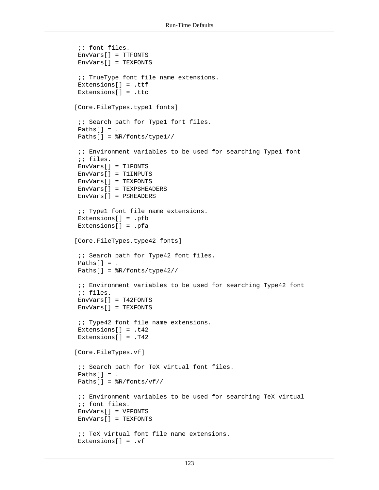```
 ;; font files.
 EnvVars[] = TTFONTS
 EnvVars[] = TEXFONTS
  ;; TrueType font file name extensions.
 Extensions[] = .ttf
 Extensions[] = .ttc
[Core.FileTypes.type1 fonts]
 : Search path for Typel font files.
Paths[] = . Paths[] = %R/fonts/type1//
 ;; Environment variables to be used for searching Type1 font
  ;; files.
 EnvVars[] = T1FONTS
 EnvVars[] = T1INPUTS
 EnvVars[] = TEXFONTS
 EnvVars[] = TEXPSHEADERS
 EnvVars[] = PSHEADERS
  ;; Type1 font file name extensions.
 Extensions[] = .pfb
 Extensions[] = .pfa
[Core.FileTypes.type42 fonts]
: Search path for Type42 font files.
Paths[] = . Paths[] = %R/fonts/type42//
  ;; Environment variables to be used for searching Type42 font
  ;; files.
 EnvVars[] = T42FONTS
 EnvVars[] = TEXFONTS
  ;; Type42 font file name extensions.
 Extensions[] = .t42
 Extensions[] = .T42
[Core.FileTypes.vf]
 : Search path for TeX virtual font files.
Paths[] = .Paths[] = R/fonts/vf// ;; Environment variables to be used for searching TeX virtual
  ;; font files.
 EnvVars[] = VFFONTS
 EnvVars[] = TEXFONTS
  ;; TeX virtual font file name extensions.
 Extensions[] = .vf
```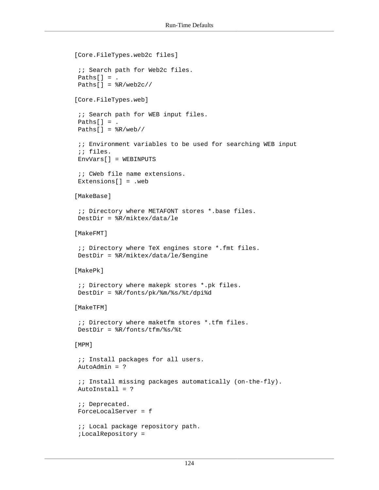```
[Core.FileTypes.web2c files]
i; Search path for Web2c files.
Paths[] = .Paths[] = R/web2c//[Core.FileTypes.web]
 \forall i Search path for WEB input files.
 Paths[] = .
Paths[] = R/web// ;; Environment variables to be used for searching WEB input
  ;; files.
 EnvVars[] = WEBINPUTS
  ;; CWeb file name extensions.
 Extensions[] = .web
[MakeBase]
 ;; Directory where METAFONT stores *.base files.
 DestDir = %R/miktex/data/le
[MakeFMT]
 ;; Directory where TeX engines store *.fmt files.
 DestDir = %R/miktex/data/le/$engine
[MakePk]
  ;; Directory where makepk stores *.pk files.
 DestDir = %R/fonts/pk/%m/%s/%t/dpi%d
[MakeTFM]
  ;; Directory where maketfm stores *.tfm files.
 DestDir = %R/fonts/tfm/%s/%t
[MPM]
 ;; Install packages for all users.
 AutoAdmin = ?
  ;; Install missing packages automatically (on-the-fly).
 AutoInstall = ?
  ;; Deprecated.
 ForceLocalServer = f
 i; Local package repository path.
  ;LocalRepository =
```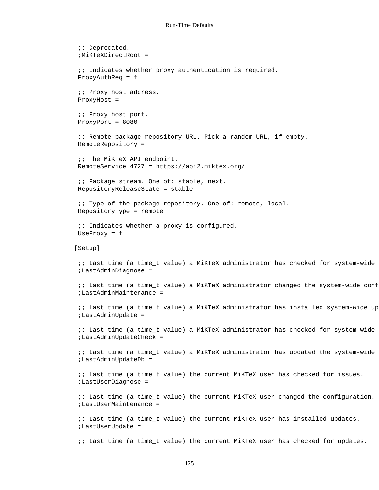```
 ;; Deprecated.
  ;MiKTeXDirectRoot =
  ;; Indicates whether proxy authentication is required.
 ProxyAuthReq = f
  ;; Proxy host address.
 ProxyHost =
  ;; Proxy host port.
 ProxyPort = 8080
  ;; Remote package repository URL. Pick a random URL, if empty.
 RemoteRepository = 
 ;; The MiKTeX API endpoint.
 RemoteService_4727 = https://api2.miktex.org/
  ;; Package stream. One of: stable, next.
 RepositoryReleaseState = stable
  ;; Type of the package repository. One of: remote, local.
 RepositoryType = remote
  ;; Indicates whether a proxy is configured.
 UseProxy = f
[Setup]
 i; Last time (a time t value) a MiKTeX administrator has checked for system-wide
  ;LastAdminDiagnose =
 ;; Last time (a time_t value) a MiKTeX administrator changed the system-wide conf
  ;LastAdminMaintenance =
 j; Last time (a time_t value) a MiKTeX administrator has installed system-wide up
  ;LastAdminUpdate =
 j; Last time (a time_t value) a MiKTeX administrator has checked for system-wide
  ;LastAdminUpdateCheck =
 i; Last time (a time_t value) a MiKTeX administrator has updated the system-wide
  ;LastAdminUpdateDb =
  ;; Last time (a time_t value) the current MiKTeX user has checked for issues.
  ;LastUserDiagnose =
 i; Last time (a time t value) the current MiKTeX user changed the configuration.
  ;LastUserMaintenance =
  ;; Last time (a time_t value) the current MiKTeX user has installed updates.
  ;LastUserUpdate =
  ;; Last time (a time_t value) the current MiKTeX user has checked for updates.
```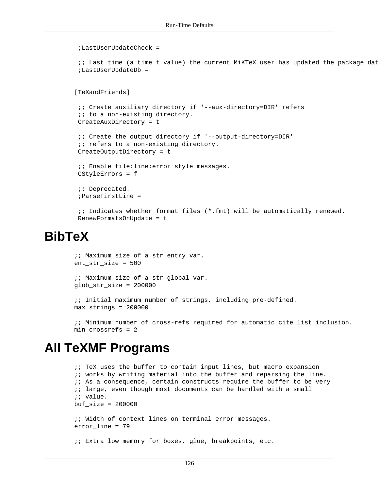;LastUserUpdateCheck =

 $j$ ; Last time (a time\_t value) the current MiKTeX user has updated the package dat ;LastUserUpdateDb =

[TeXandFriends]

```
 ;; Create auxiliary directory if '--aux-directory=DIR' refers
i; to a non-existing directory.
 CreateAuxDirectory = t
```

```
 ;; Create the output directory if '--output-directory=DIR'
i; refers to a non-existing directory.
 CreateOutputDirectory = t
```

```
 ;; Enable file:line:error style messages.
 CStyleErrors = f
```
 ;; Deprecated. ;ParseFirstLine =

```
 ;; Indicates whether format files (*.fmt) will be automatically renewed.
 RenewFormatsOnUpdate = t
```
### **BibTeX**

;; Maximum size of a str\_entry\_var. ent\_str\_size = 500 ;; Maximum size of a str\_global\_var. glob\_str\_size = 200000 ;; Initial maximum number of strings, including pre-defined.  $max$  strings = 200000

;; Minimum number of cross-refs required for automatic cite\_list inclusion. min\_crossrefs = 2

### **All TeXMF Programs**

```
;; TeX uses the buffer to contain input lines, but macro expansion
;; works by writing material into the buffer and reparsing the line.
i; As a consequence, certain constructs require the buffer to be very
;; large, even though most documents can be handled with a small
;; value.
buf_size = 200000
;; Width of context lines on terminal error messages.
error_line = 79
;; Extra low memory for boxes, glue, breakpoints, etc.
```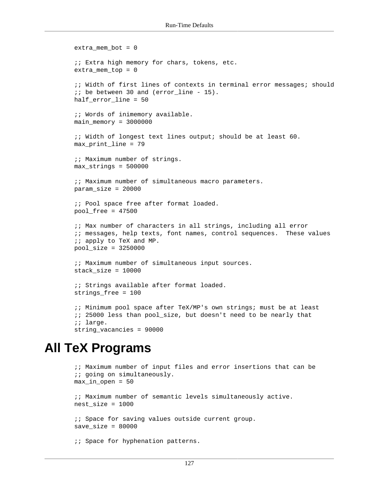```
extra_mem_bot = 0
;; Extra high memory for chars, tokens, etc.
extra mem top = 0;; Width of first lines of contexts in terminal error messages; should
i; be between 30 and (error_line - 15).
half error line = 50
;; Words of inimemory available.
main_memory = 3000000
;; Width of longest text lines output; should be at least 60.
max_print_line = 79
;; Maximum number of strings.
max_strings = 500000
;; Maximum number of simultaneous macro parameters.
param size = 20000;; Pool space free after format loaded.
pool_free = 47500
;; Max number of characters in all strings, including all error
;; messages, help texts, font names, control sequences. These values
i; apply to TeX and MP.
pool_size = 3250000
;; Maximum number of simultaneous input sources.
stack_size = 10000
;; Strings available after format loaded.
strings_free = 100
;; Minimum pool space after TeX/MP's own strings; must be at least
;; 25000 less than pool_size, but doesn't need to be nearly that
;; large.
string_vacancies = 90000
```
## **All TeX Programs**

```
;; Maximum number of input files and error insertions that can be
: i going on simultaneously.
max in open = 50;; Maximum number of semantic levels simultaneously active.
nest_size = 1000
i; Space for saving values outside current group.
save size = 80000i; Space for hyphenation patterns.
```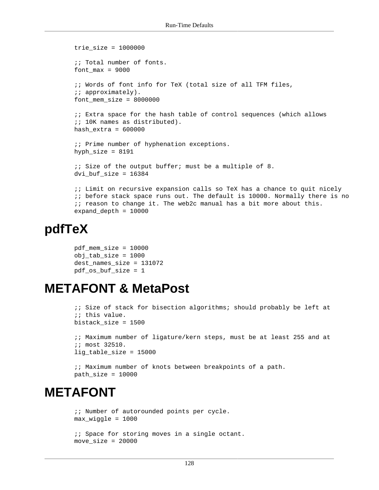```
trie_size = 1000000
;; Total number of fonts.
font max = 9000;; Words of font info for TeX (total size of all TFM files,
;; approximately).
font mem size = 8000000;; Extra space for the hash table of control sequences (which allows
;; 10K names as distributed).
hash_extra = 600000;; Prime number of hyphenation exceptions.
hyph size = 8191i: Size of the output buffer; must be a multiple of 8.
dvi_buf_size = 16384
;; Limit on recursive expansion calls so TeX has a chance to quit nicely
;; before stack space runs out. The default is 10000. Normally there is no
;; reason to change it. The web2c manual has a bit more about this.
expand_depth = 10000
```
## **pdfTeX**

```
pdf_mem_size = 10000
obj_tab_size = 1000
dest names size = 131072pdf_os_buf_size = 1
```
### **METAFONT & MetaPost**

```
;; Size of stack for bisection algorithms; should probably be left at
        ;; this value.
       bistack_size = 1500
        ;; Maximum number of ligature/kern steps, must be at least 255 and at
        ;; most 32510.
        lig_table_size = 15000
        : Maximum number of knots between breakpoints of a path.
       path_size = 10000
METAFONT
```

```
;; Number of autorounded points per cycle.
max_wiggle = 1000
i; Space for storing moves in a single octant.
move_size = 20000
```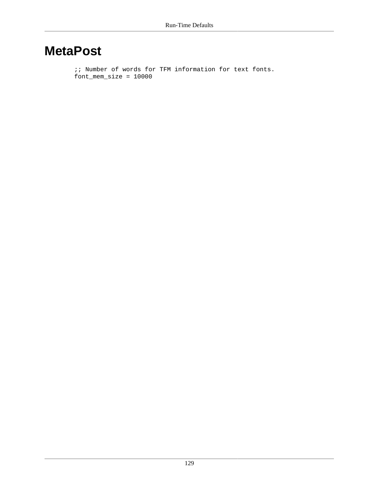## **MetaPost**

;; Number of words for TFM information for text fonts. font\_mem\_size = 10000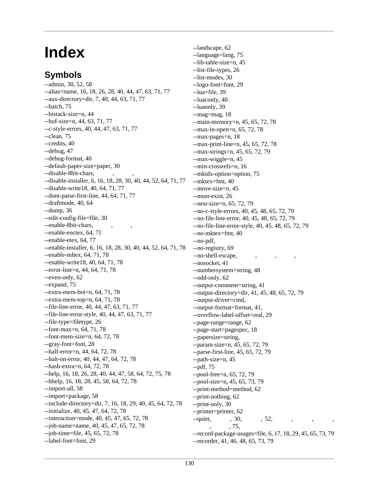## **Index**

#### **Symbols**

--admin, [30,](#page-34-0) [52,](#page-56-0) [58](#page-62-0) --alias=name, [16](#page-20-0), [18](#page-22-0), [26](#page-30-0), [28](#page-32-0), [40](#page-44-0), [44](#page-48-0), [47](#page-51-0), [63](#page-67-0), [71](#page-75-0), [77](#page-81-0) --aux-directory=dir, [7](#page-11-0), [40](#page-44-1), [44](#page-48-1), [63](#page-67-1), [71](#page-75-1), [77](#page-81-1) --batch, [75](#page-79-0) --bistack-size=n, [44](#page-48-2) --buf-size=n, [44,](#page-48-3) [63,](#page-67-2) [71,](#page-75-2) [77](#page-81-2) --c-style-errors, [40,](#page-44-2) [44,](#page-48-4) [47,](#page-51-1) [63,](#page-67-3) [71,](#page-75-3) [77](#page-81-3) --clean, [75](#page-79-1) --credits, [40](#page-44-3) --debug, [47](#page-51-2) --debug-format, [40](#page-44-4) --default-paper-size=paper, [30](#page-34-1) --disable-8bit-chars, --disable-installer, [6](#page-10-0), [16](#page-20-1), [18,](#page-22-1) [28,](#page-32-1) [30](#page-34-2), [40](#page-44-5), [44,](#page-48-5) [52,](#page-56-1) [64](#page-68-0), [71](#page-75-4), [77](#page-81-4) --disable-write18, [40,](#page-44-6) [64,](#page-68-1) [71,](#page-75-5) [77](#page-81-5) --dont-parse-first-line, [44,](#page-48-6) [64,](#page-68-2) [71,](#page-75-6) [77](#page-81-6) --draftmode, [40,](#page-44-7) [64](#page-68-3) --dump, [36](#page-40-0) --edit-config-file=file, [30](#page-34-3) --enable-8bit-chars, --enable-enctex, [64](#page-68-4), [71](#page-75-7) --enable-etex, [64,](#page-68-5) [77](#page-81-7) --enable-installer, [6](#page-10-1), [16](#page-20-2), [18](#page-22-2), [28](#page-32-2), [30](#page-34-4), [40](#page-44-8), [44](#page-48-7), [52](#page-56-2), [64](#page-68-6), [71](#page-75-8), [78](#page-82-0) --enable-mltex, [64,](#page-68-7) [71,](#page-75-9) [78](#page-82-1) --enable-write18, [40,](#page-44-9) [64,](#page-68-8) [71,](#page-75-10) [78](#page-82-2) --error-line=n, [44](#page-48-8), [64](#page-68-9), [71](#page-75-11), [78](#page-82-3) --even-only, [62](#page-66-0) --expand, [75](#page-79-2) --extra-mem-bot=n, [64,](#page-68-10) [71,](#page-75-12) [78](#page-82-4) --extra-mem-top=n, [64,](#page-68-11) [71,](#page-75-13) [78](#page-82-5) --file-line-error, [40](#page-44-10), [44](#page-48-9), [47](#page-51-3), [63](#page-67-4), [71](#page-75-14), [77](#page-81-8) --file-line-error-style, [40](#page-44-11), [44](#page-48-10), [47](#page-51-4), [63](#page-67-5), [71](#page-75-15), [77](#page-81-9) --file-type=filetype, [26](#page-30-1) --font-max=n, [64,](#page-68-12) [71,](#page-75-16) [78](#page-82-6) --font-mem-size=n, [64,](#page-68-13) [72,](#page-76-0) [78](#page-82-7) --gray-font=font, [28](#page-32-3) --half-error=n, [44,](#page-48-11) [64,](#page-68-14) [72,](#page-76-1) [78](#page-82-8) --halt-on-error, [40,](#page-44-12) [44,](#page-48-12) [47,](#page-51-5) [64,](#page-68-15) [72,](#page-76-2) [78](#page-82-9) --hash-extra=n, [64,](#page-68-16) [72,](#page-76-3) [78](#page-82-10) --help, [16,](#page-20-3) [18,](#page-22-3) [26,](#page-30-2) [28,](#page-32-4) [40,](#page-44-13) [44,](#page-48-13) [47,](#page-51-6) [58,](#page-62-1) [64,](#page-68-17) [72,](#page-76-4) [75,](#page-79-3) [78](#page-82-11) --hhelp, [16,](#page-20-4) [18,](#page-22-4) [28,](#page-32-5) [45,](#page-49-0) [58,](#page-62-2) [64,](#page-68-18) [72,](#page-76-5) [78](#page-82-12) --import-all, [58](#page-62-3) --import=package, [58](#page-62-4) --include-directory=dir, [7](#page-11-1), [16](#page-20-5), [18](#page-22-5), [29](#page-33-0), [40](#page-44-14), [45](#page-49-1), [64](#page-68-19), [72](#page-76-6), [78](#page-82-13) --initialize, [40,](#page-44-15) [45,](#page-49-2) [47,](#page-51-7) [64,](#page-68-20) [72,](#page-76-7) [78](#page-82-14) --interaction=mode, [40](#page-44-16), [45](#page-49-3), [47](#page-51-8), [65](#page-69-0), [72](#page-76-8), [78](#page-82-15) --job-name=name, [40,](#page-44-17) [45,](#page-49-4) [47,](#page-51-9) [65,](#page-69-1) [72,](#page-76-9) [78](#page-82-16) --job-time=file, [45,](#page-49-5) [65,](#page-69-2) [72,](#page-76-10) [78](#page-82-17) --label-font=font, [29](#page-33-1)

--landscape, [62](#page-66-1) --language=lang, [75](#page-79-4) --lib-table-size=n, [45](#page-49-6) --list-file-types, [26](#page-30-3) --list-modes, [30](#page-34-5) --logo-font=font, [29](#page-33-2) --lua=file, [39](#page-43-0) --luaconly, [40](#page-44-18) --luaonly, [39](#page-43-1) --mag=mag, [18](#page-22-6) --main-memory=n, [45,](#page-49-7) [65,](#page-69-3) [72,](#page-76-11) [78](#page-82-18) --max-in-open=n, [65](#page-69-4), [72](#page-76-12), [78](#page-82-19) --max-pages=n, [18](#page-22-7) --max-print-line=n, [45](#page-49-8), [65](#page-69-5), [72](#page-76-13), [78](#page-82-20) --max-strings=n, [45,](#page-49-9) [65,](#page-69-6) [72,](#page-76-14) [79](#page-83-0) --max-wiggle=n, [45](#page-49-10) --min-crossrefs=n, [16](#page-20-6) --mkidx-option=option, [75](#page-79-5) --mktex=fmt, [40](#page-44-19) --move-size=n, [45](#page-49-11) --must-exist, [26](#page-30-4) --nest-size=n, [65](#page-69-7), [72](#page-76-15), [79](#page-83-1) --no-c-style-errors, [40](#page-44-20), [45](#page-49-12), [48](#page-52-0), [65](#page-69-8), [72](#page-76-16), [79](#page-83-2) --no-file-line-error, [40](#page-44-21), [45](#page-49-13), [48](#page-52-1), [65](#page-69-9), [72](#page-76-17), [79](#page-83-3) --no-file-line-error-style, [40,](#page-44-22) [45,](#page-49-14) [48,](#page-52-2) [65,](#page-69-10) [72,](#page-76-18) [79](#page-83-4) --no-mktex=fmt, [40](#page-44-23) --no-pdf, --no-registry, [69](#page-73-0) --no-shell-escape, --nosocket, [41](#page-45-0) --numbersystem=string, [48](#page-52-3) --odd-only, [62](#page-66-2) --output-comment=string, [41](#page-45-1) --output-directory=dir, [41](#page-45-2), [45](#page-49-15), [48](#page-52-4), [65](#page-69-11), [72](#page-76-19), [79](#page-83-5) --output-driver=cmd, --output-format=format, [41,](#page-45-3) --overflow-label-offset=real, [29](#page-33-3) --page-range=range, [62](#page-66-3) --page-start=pagespec, [18](#page-22-8) --papersize=string, --param-size=n, [45](#page-49-16), [65](#page-69-12), [72](#page-76-20), [79](#page-83-6) --parse-first-line, [45,](#page-49-17) [65,](#page-69-13) [72,](#page-76-21) [79](#page-83-7) --path-size=n, [45](#page-49-18) --pdf, [75](#page-79-6) --pool-free=n, [65,](#page-69-14) [72,](#page-76-22) [79](#page-83-8) --pool-size=n, [45,](#page-49-19) [65,](#page-69-15) [73,](#page-77-0) [79](#page-83-9) --print-method=method, [62](#page-66-4) --print-nothing, [62](#page-66-5) --print-only, [30](#page-34-6) --printer=printer, [62](#page-66-6)  $-$ quiet,  $, 30, , 52,$  $, 30, , 52,$  $, 30, , 52,$  $, 30, , 52,$ , , [75](#page-79-7), --record-package-usages=file, [6,](#page-10-2) [17](#page-21-0), [18,](#page-22-9) [29](#page-33-4), [45,](#page-49-20) [65](#page-69-16), [73,](#page-77-1) [79](#page-83-10) --recorder, [41,](#page-45-4) [46,](#page-50-0) [48,](#page-52-5) [65,](#page-69-17) [73,](#page-77-2) [79](#page-83-11)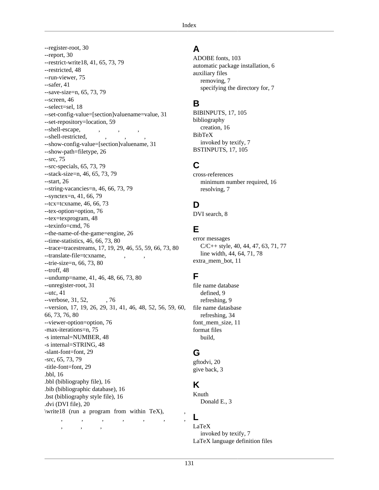--register-root, [30](#page-34-8) --report, [30](#page-34-9) --restrict-write18, [41](#page-45-5), [65](#page-69-18), [73](#page-77-3), [79](#page-83-12) --restricted, [48](#page-52-6) --run-viewer, [75](#page-79-8) --safer, [41](#page-45-6) --save-size=n, [65,](#page-69-19) [73,](#page-77-4) [79](#page-83-13) --screen, [46](#page-50-1) --select=sel, [18](#page-22-10) --set-config-value=[section]valuename=value, [31](#page-35-0) --set-repository=location, [59](#page-63-0) --shell-escape, --shell-restricted, , --show-config-value=[section]valuename, [31](#page-35-1) --show-path=filetype, [26](#page-30-5) --src, [75](#page-79-9) --src-specials, [65](#page-69-20), [73](#page-77-5), [79](#page-83-14) --stack-size=n, [46,](#page-50-2) [65,](#page-69-21) [73,](#page-77-6) [79](#page-83-15) --start, [26](#page-30-6) --string-vacancies=n, [46](#page-50-3), [66](#page-70-0), [73](#page-77-7), [79](#page-83-16) --synctex=n, [41,](#page-45-7) [66,](#page-70-1) [79](#page-83-17) --tcx=tcxname, [46](#page-50-4), [66](#page-70-2), [73](#page-77-8) --tex-option=option, [76](#page-80-0) --tex=texprogram, [48](#page-52-7) --texinfo=cmd, [76](#page-80-1) --the-name-of-the-game=engine, [26](#page-30-7) --time-statistics, [46](#page-50-5), [66](#page-70-3), [73](#page-77-9), [80](#page-84-0) --trace=tracestreams, [17,](#page-21-1) [19,](#page-23-0) [29,](#page-33-5) [46,](#page-50-6) [55,](#page-59-0) [59,](#page-63-1) [66,](#page-70-4) [73,](#page-77-10) [80](#page-84-1) --translate-file=tcxname, , --trie-size=n, [66,](#page-70-5) [73,](#page-77-11) [80](#page-84-2) --troff, [48](#page-52-8) --undump=name, [41,](#page-45-8) [46,](#page-50-7) [48,](#page-52-9) [66,](#page-70-6) [73,](#page-77-12) [80](#page-84-3) --unregister-root, [31](#page-35-2) --utc, [41](#page-45-9) --verbose, [31,](#page-35-3) [52,](#page-56-4) , [76](#page-80-2) --version, [17,](#page-21-2) [19,](#page-23-1) [26](#page-30-8), [29](#page-33-6), [31](#page-35-4), [41,](#page-45-10) [46,](#page-50-8) [48](#page-52-10), [52](#page-56-5), [56,](#page-60-0) [59,](#page-63-2) [60](#page-64-0), [66](#page-70-7), [73](#page-77-13), [76](#page-80-3), [80](#page-84-4) --viewer-option=option, [76](#page-80-4) -max-iterations=n, [75](#page-79-10) -s internal=NUMBER, [48](#page-52-11) -s internal=STRING, [48](#page-52-12) -slant-font=font, [29](#page-33-7) -src, [65,](#page-69-22) [73,](#page-77-14) [79](#page-83-18) -title-font=font, [29](#page-33-8) .bbl, [16](#page-20-7) .bbl (bibliography file), [16](#page-20-8) .bib (bibliographic database), [16](#page-20-9) .bst (bibliography style file), [16](#page-20-10) .dvi (DVI file), [20](#page-24-0) \write18 (run a program from within TeX), , , , , , , , , , , ,

#### **A**

```
ADOBE fonts, 103
automatic package installation, 6
auxiliary files
  removing, 7
   specifying the directory for, 7
```
#### **B**

```
BIBINPUTS, 17, 105
bibliography
  creation, 16
BibTeX
  invoked by texify, 7
BSTINPUTS, 17, 105
```
#### **C**

cross-references minimum number required, [16](#page-20-12) resolving, [7](#page-11-3)

#### **D**

DVI search, [8](#page-12-0)

#### **E**

error messages C/C++ style, [40,](#page-44-24) [44,](#page-48-14) [47,](#page-51-10) [63,](#page-67-6) [71,](#page-75-17) [77](#page-81-10) line width, [44](#page-48-15), [64](#page-68-21), [71](#page-75-18), [78](#page-82-21) extra\_mem\_bot, [11](#page-15-0)

#### **F**

file name database defined, [9](#page-13-0) refreshing, [9](#page-13-0) file name datasbase refreshing, [34](#page-38-0) font\_mem\_size, [11](#page-15-0) format files build,

#### **G**

gftodvi, [20](#page-24-1) give back, [3](#page-7-0)

#### **K**

Knuth Donald E., [3](#page-7-1)

#### **L**

LaTeX invoked by texify, [7](#page-11-3) LaTeX language definition files